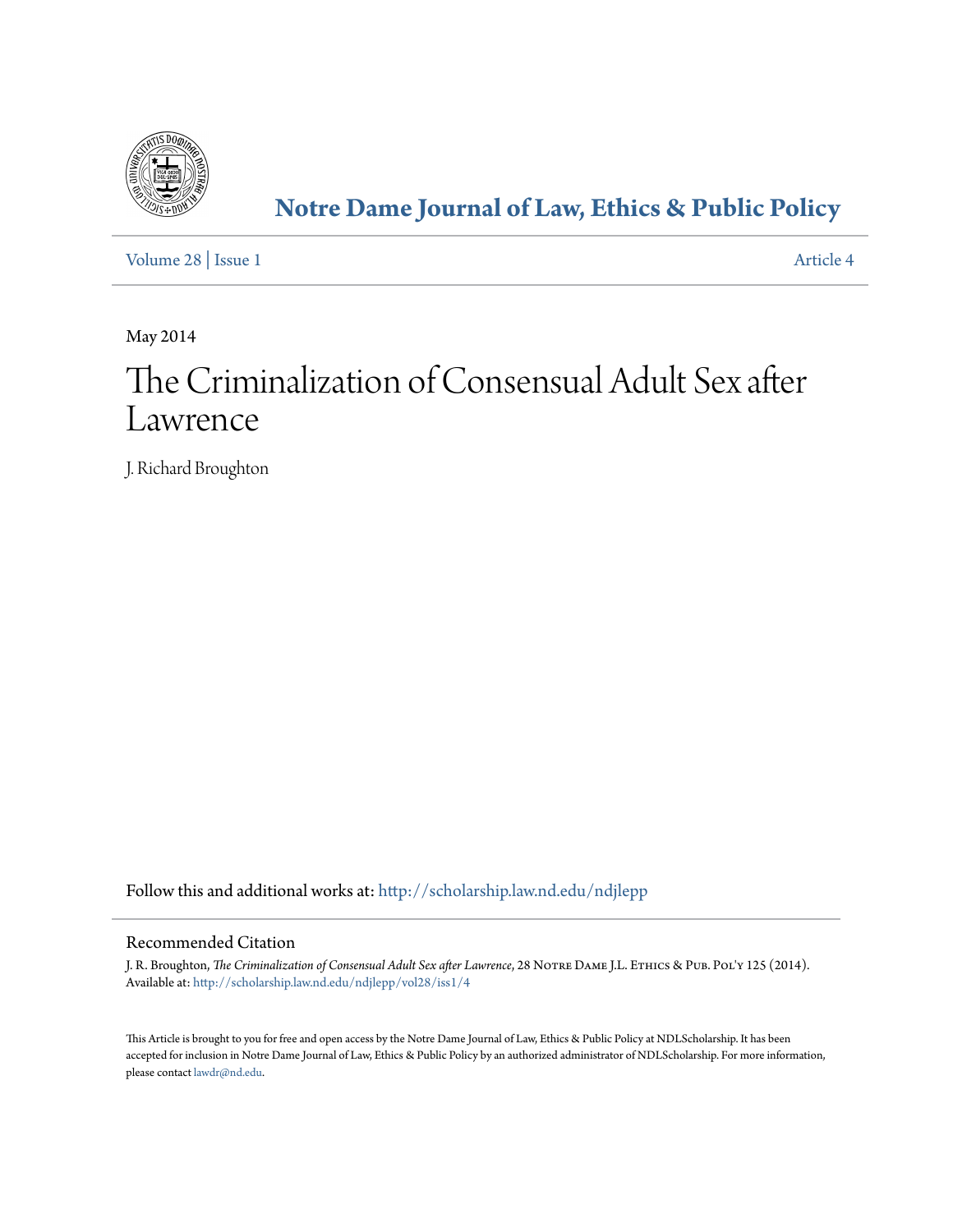

# **[Notre Dame Journal of Law, Ethics & Public Policy](http://scholarship.law.nd.edu/ndjlepp?utm_source=scholarship.law.nd.edu%2Fndjlepp%2Fvol28%2Fiss1%2F4&utm_medium=PDF&utm_campaign=PDFCoverPages)**

[Volume 28](http://scholarship.law.nd.edu/ndjlepp/vol28?utm_source=scholarship.law.nd.edu%2Fndjlepp%2Fvol28%2Fiss1%2F4&utm_medium=PDF&utm_campaign=PDFCoverPages) | [Issue 1](http://scholarship.law.nd.edu/ndjlepp/vol28/iss1?utm_source=scholarship.law.nd.edu%2Fndjlepp%2Fvol28%2Fiss1%2F4&utm_medium=PDF&utm_campaign=PDFCoverPages) [Article 4](http://scholarship.law.nd.edu/ndjlepp/vol28/iss1/4?utm_source=scholarship.law.nd.edu%2Fndjlepp%2Fvol28%2Fiss1%2F4&utm_medium=PDF&utm_campaign=PDFCoverPages)

May 2014

# The Criminalization of Consensual Adult Sex after Lawrence

J. Richard Broughton

Follow this and additional works at: [http://scholarship.law.nd.edu/ndjlepp](http://scholarship.law.nd.edu/ndjlepp?utm_source=scholarship.law.nd.edu%2Fndjlepp%2Fvol28%2Fiss1%2F4&utm_medium=PDF&utm_campaign=PDFCoverPages)

### Recommended Citation

J. R. Broughton, *The Criminalization of Consensual Adult Sex after Lawrence*, 28 Notre Dame J.L. Ethics & Pub. Pol'y 125 (2014). Available at: [http://scholarship.law.nd.edu/ndjlepp/vol28/iss1/4](http://scholarship.law.nd.edu/ndjlepp/vol28/iss1/4?utm_source=scholarship.law.nd.edu%2Fndjlepp%2Fvol28%2Fiss1%2F4&utm_medium=PDF&utm_campaign=PDFCoverPages)

This Article is brought to you for free and open access by the Notre Dame Journal of Law, Ethics & Public Policy at NDLScholarship. It has been accepted for inclusion in Notre Dame Journal of Law, Ethics & Public Policy by an authorized administrator of NDLScholarship. For more information, please contact [lawdr@nd.edu](mailto:lawdr@nd.edu).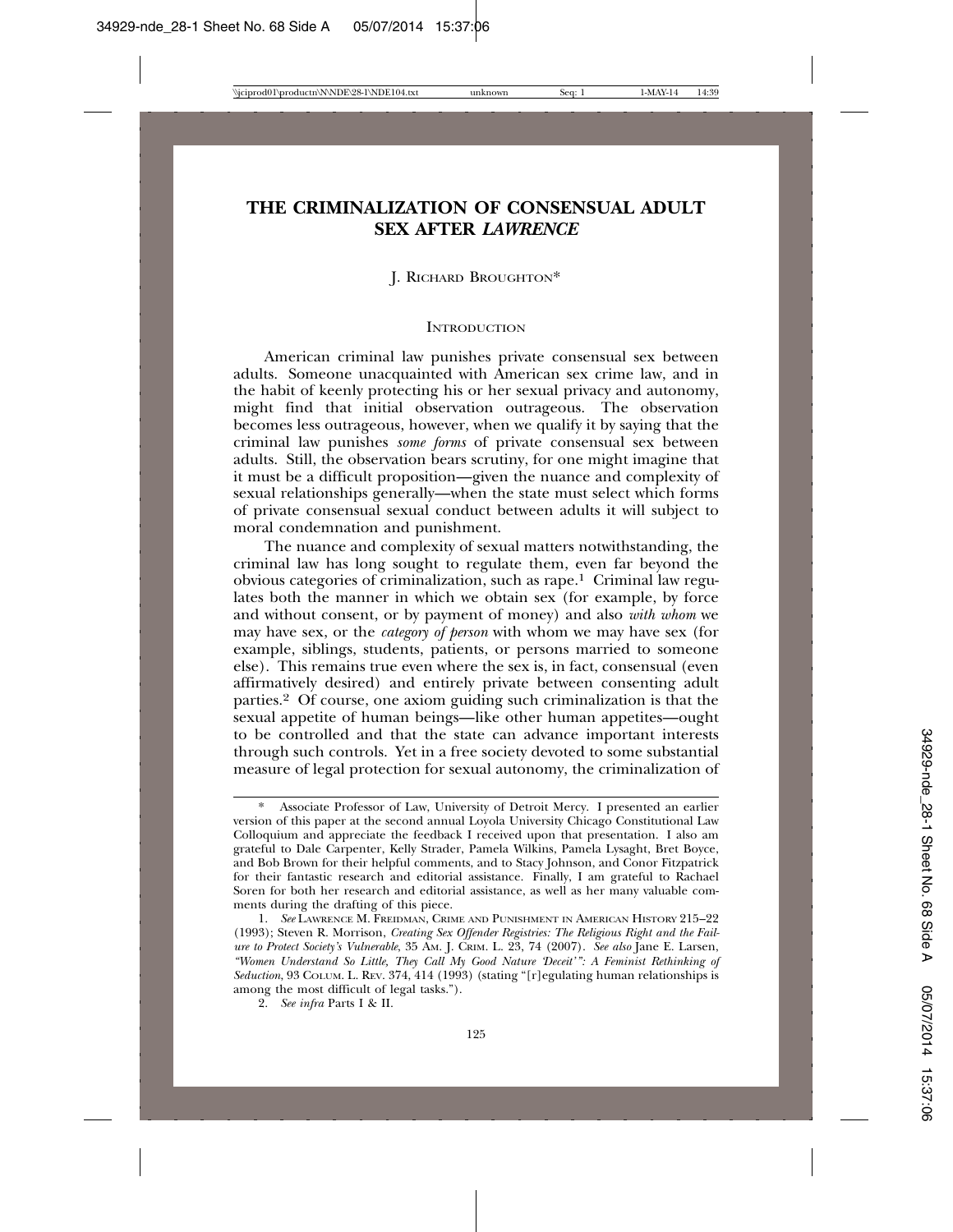## **THE CRIMINALIZATION OF CONSENSUAL ADULT SEX AFTER** *LAWRENCE*

#### J. RICHARD BROUGHTON\*

#### **INTRODUCTION**

American criminal law punishes private consensual sex between adults. Someone unacquainted with American sex crime law, and in the habit of keenly protecting his or her sexual privacy and autonomy, might find that initial observation outrageous. The observation becomes less outrageous, however, when we qualify it by saying that the criminal law punishes *some forms* of private consensual sex between adults. Still, the observation bears scrutiny, for one might imagine that it must be a difficult proposition—given the nuance and complexity of sexual relationships generally—when the state must select which forms of private consensual sexual conduct between adults it will subject to moral condemnation and punishment.

The nuance and complexity of sexual matters notwithstanding, the criminal law has long sought to regulate them, even far beyond the obvious categories of criminalization, such as rape.1 Criminal law regulates both the manner in which we obtain sex (for example, by force and without consent, or by payment of money) and also *with whom* we may have sex, or the *category of person* with whom we may have sex (for example, siblings, students, patients, or persons married to someone else). This remains true even where the sex is, in fact, consensual (even affirmatively desired) and entirely private between consenting adult parties.2 Of course, one axiom guiding such criminalization is that the sexual appetite of human beings—like other human appetites—ought to be controlled and that the state can advance important interests through such controls. Yet in a free society devoted to some substantial measure of legal protection for sexual autonomy, the criminalization of

Associate Professor of Law, University of Detroit Mercy. I presented an earlier version of this paper at the second annual Loyola University Chicago Constitutional Law Colloquium and appreciate the feedback I received upon that presentation. I also am grateful to Dale Carpenter, Kelly Strader, Pamela Wilkins, Pamela Lysaght, Bret Boyce, and Bob Brown for their helpful comments, and to Stacy Johnson, and Conor Fitzpatrick for their fantastic research and editorial assistance. Finally, I am grateful to Rachael Soren for both her research and editorial assistance, as well as her many valuable comments during the drafting of this piece.

<sup>1.</sup> *See* LAWRENCE M. FREIDMAN, CRIME AND PUNISHMENT IN AMERICAN HISTORY 215–22 (1993); Steven R. Morrison, *Creating Sex Offender Registries: The Religious Right and the Failure to Protect Society's Vulnerable*, 35 AM. J. CRIM. L. 23, 74 (2007). *See also* Jane E. Larsen, *"Women Understand So Little, They Call My Good Nature 'Deceit'": A Feminist Rethinking of Seduction*, 93 COLUM. L. REV. 374, 414 (1993) (stating "[r]egulating human relationships is among the most difficult of legal tasks.").

<sup>2.</sup> *See infra* Parts I & II.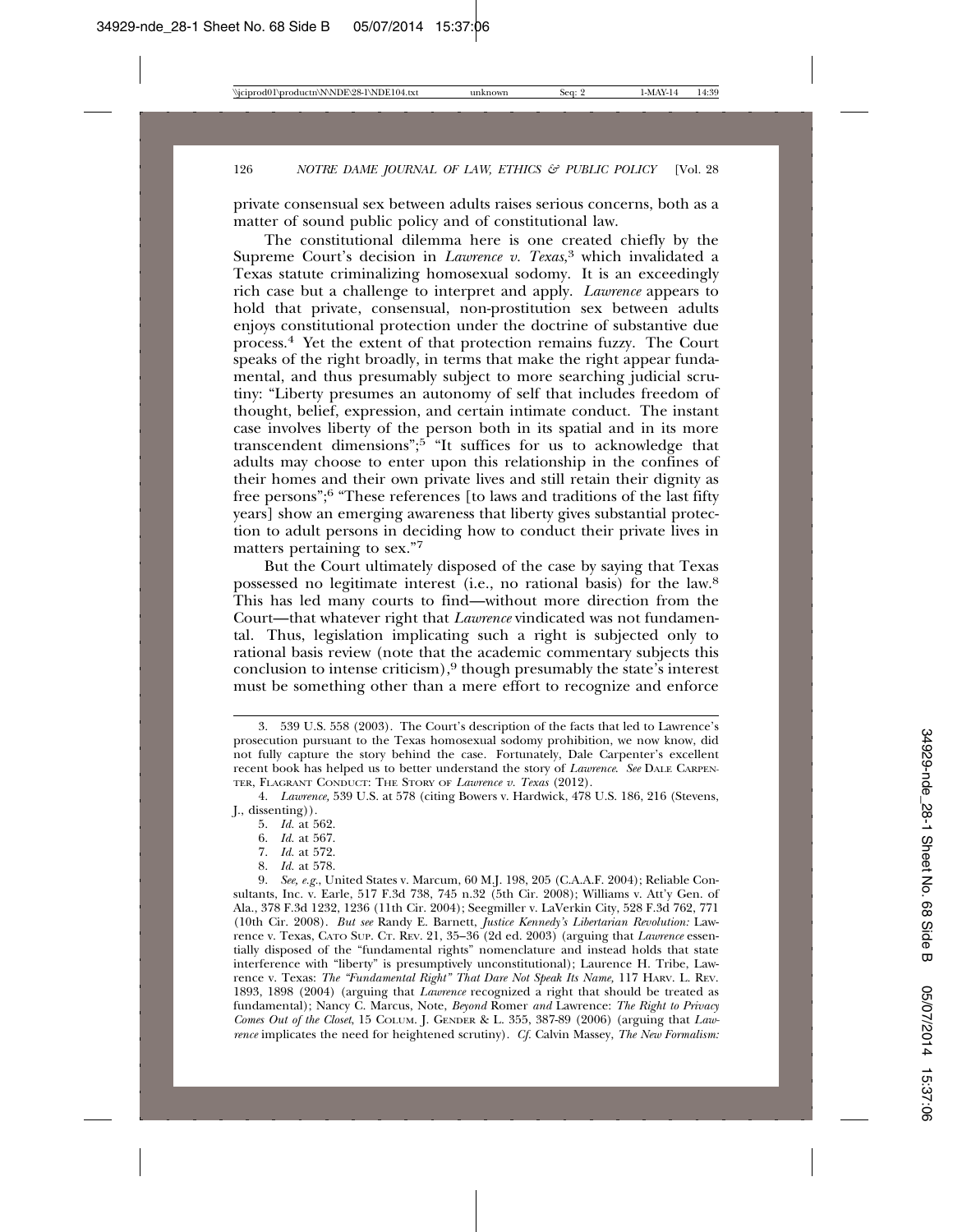private consensual sex between adults raises serious concerns, both as a matter of sound public policy and of constitutional law.

The constitutional dilemma here is one created chiefly by the Supreme Court's decision in *Lawrence v. Texas*, 3 which invalidated a Texas statute criminalizing homosexual sodomy. It is an exceedingly rich case but a challenge to interpret and apply. *Lawrence* appears to hold that private, consensual, non-prostitution sex between adults enjoys constitutional protection under the doctrine of substantive due process.4 Yet the extent of that protection remains fuzzy. The Court speaks of the right broadly, in terms that make the right appear fundamental, and thus presumably subject to more searching judicial scrutiny: "Liberty presumes an autonomy of self that includes freedom of thought, belief, expression, and certain intimate conduct. The instant case involves liberty of the person both in its spatial and in its more transcendent dimensions";<sup>5</sup> "It suffices for us to acknowledge that adults may choose to enter upon this relationship in the confines of their homes and their own private lives and still retain their dignity as free persons";6 "These references [to laws and traditions of the last fifty years] show an emerging awareness that liberty gives substantial protection to adult persons in deciding how to conduct their private lives in matters pertaining to sex."7

But the Court ultimately disposed of the case by saying that Texas possessed no legitimate interest (i.e., no rational basis) for the law.8 This has led many courts to find—without more direction from the Court—that whatever right that *Lawrence* vindicated was not fundamental. Thus, legislation implicating such a right is subjected only to rational basis review (note that the academic commentary subjects this conclusion to intense criticism),<sup>9</sup> though presumably the state's interest must be something other than a mere effort to recognize and enforce

- 6. *Id.* at 567.
- 7. *Id.* at 572.
- 8. *Id.* at 578.

<sup>3. 539</sup> U.S. 558 (2003). The Court's description of the facts that led to Lawrence's prosecution pursuant to the Texas homosexual sodomy prohibition, we now know, did not fully capture the story behind the case. Fortunately, Dale Carpenter's excellent recent book has helped us to better understand the story of *Lawrence*. *See* DALE CARPEN-TER, FLAGRANT CONDUCT: THE STORY OF *Lawrence v. Texas* (2012).

<sup>4.</sup> *Lawrence,* 539 U.S. at 578 (citing Bowers v. Hardwick, 478 U.S. 186, 216 (Stevens, J., dissenting))*.*

<sup>5.</sup> *Id.* at 562.

<sup>9.</sup> *See, e.g.*, United States v. Marcum, 60 M.J. 198, 205 (C.A.A.F. 2004); Reliable Consultants, Inc. v. Earle, 517 F.3d 738, 745 n.32 (5th Cir. 2008); Williams v. Att'y Gen. of Ala., 378 F.3d 1232, 1236 (11th Cir. 2004); Seegmiller v. LaVerkin City, 528 F.3d 762, 771 (10th Cir. 2008). *But see* Randy E. Barnett, *Justice Kennedy's Libertarian Revolution:* Lawrence v. Texas, CATO SUP. CT. REV. 21, 35–36 (2d ed. 2003) (arguing that *Lawrence* essentially disposed of the "fundamental rights" nomenclature and instead holds that state interference with "liberty" is presumptively unconstitutional); Laurence H. Tribe, Lawrence v. Texas: *The "Fundamental Right" That Dare Not Speak Its Name,* 117 HARV. L. REV. 1893, 1898 (2004) (arguing that *Lawrence* recognized a right that should be treated as fundamental); Nancy C. Marcus, Note, *Beyond* Romer *and* Lawrence: *The Right to Privacy Comes Out of the Closet*, 15 COLUM. J. GENDER & L. 355, 387-89 (2006) (arguing that *Lawrence* implicates the need for heightened scrutiny). *Cf.* Calvin Massey, *The New Formalism:*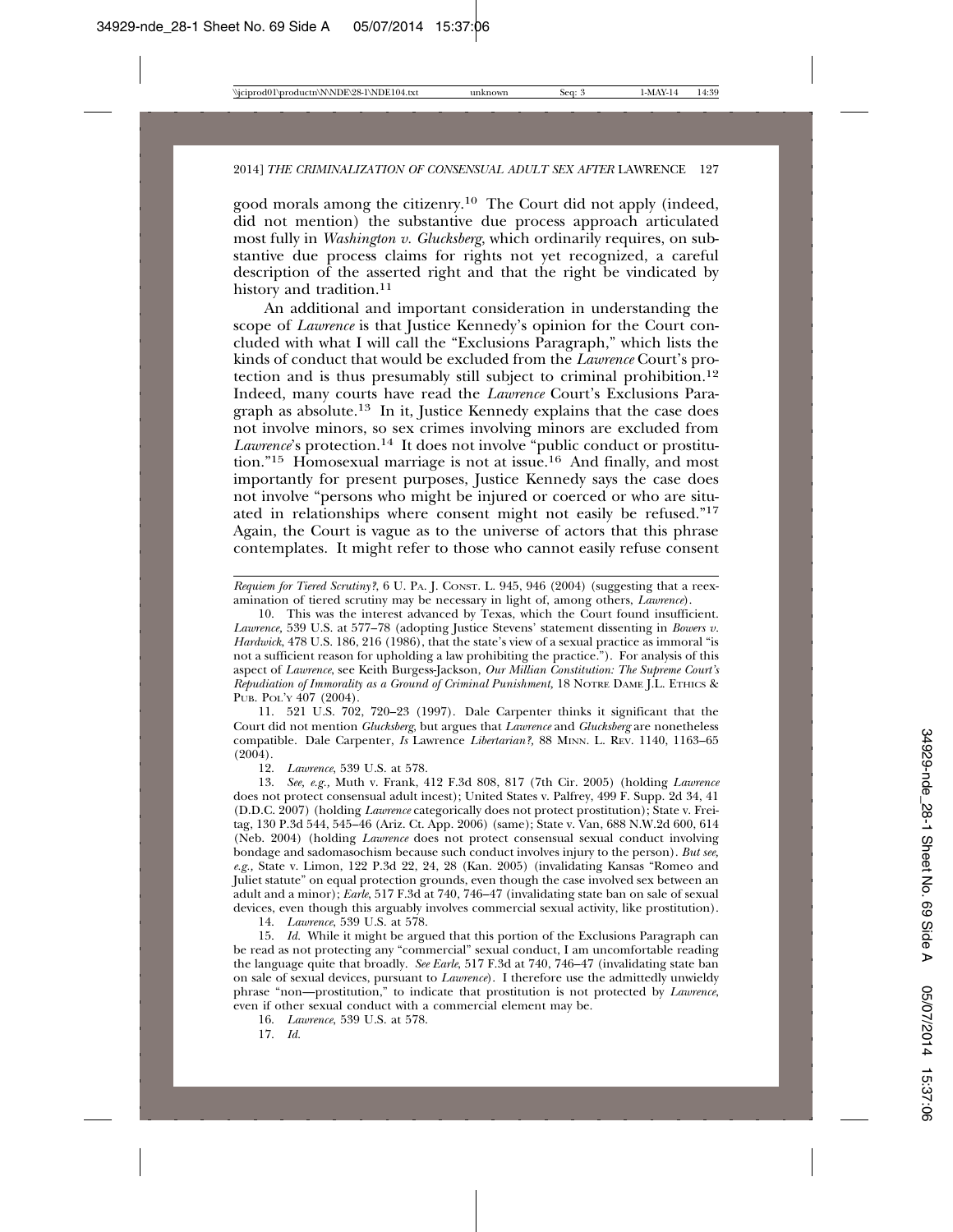good morals among the citizenry.10 The Court did not apply (indeed, did not mention) the substantive due process approach articulated most fully in *Washington v. Glucksberg*, which ordinarily requires, on substantive due process claims for rights not yet recognized, a careful description of the asserted right and that the right be vindicated by history and tradition.<sup>11</sup>

An additional and important consideration in understanding the scope of *Lawrence* is that Justice Kennedy's opinion for the Court concluded with what I will call the "Exclusions Paragraph," which lists the kinds of conduct that would be excluded from the *Lawrence* Court's protection and is thus presumably still subject to criminal prohibition.12 Indeed, many courts have read the *Lawrence* Court's Exclusions Paragraph as absolute.13 In it, Justice Kennedy explains that the case does not involve minors, so sex crimes involving minors are excluded from *Lawrence*'s protection.14 It does not involve "public conduct or prostitution."15 Homosexual marriage is not at issue.16 And finally, and most importantly for present purposes, Justice Kennedy says the case does not involve "persons who might be injured or coerced or who are situated in relationships where consent might not easily be refused."17 Again, the Court is vague as to the universe of actors that this phrase contemplates. It might refer to those who cannot easily refuse consent

*Requiem for Tiered Scrutiny?*, 6 U. PA. J. CONST. L. 945, 946 (2004) (suggesting that a reexamination of tiered scrutiny may be necessary in light of, among others, *Lawrence*).

10. This was the interest advanced by Texas, which the Court found insufficient. *Lawrence,* 539 U.S. at 577–78 (adopting Justice Stevens' statement dissenting in *Bowers v. Hardwick*, 478 U.S. 186, 216 (1986), that the state's view of a sexual practice as immoral "is not a sufficient reason for upholding a law prohibiting the practice."). For analysis of this aspect of *Lawrence*, see Keith Burgess-Jackson, *Our Millian Constitution: The Supreme Court's Repudiation of Immorality as a Ground of Criminal Punishment,* 18 NOTRE DAME J.L. ETHICS & PUB. POL'Y 407 (2004).

11. 521 U.S. 702, 720–23 (1997). Dale Carpenter thinks it significant that the Court did not mention *Glucksberg*, but argues that *Lawrence* and *Glucksberg* are nonetheless compatible. Dale Carpenter, *Is* Lawrence *Libertarian?,* 88 MINN. L. REV. 1140, 1163–65  $(2004)$ .

12. *Lawrence*, 539 U.S. at 578.

13. *See, e.g.,* Muth v. Frank, 412 F.3d 808, 817 (7th Cir. 2005) (holding *Lawrence* does not protect consensual adult incest); United States v. Palfrey, 499 F. Supp. 2d 34, 41 (D.D.C. 2007) (holding *Lawrence* categorically does not protect prostitution); State v. Freitag, 130 P.3d 544, 545–46 (Ariz. Ct. App. 2006) (same); State v. Van, 688 N.W.2d 600, 614 (Neb. 2004) (holding *Lawrence* does not protect consensual sexual conduct involving bondage and sadomasochism because such conduct involves injury to the person). *But see, e.g.,* State v. Limon, 122 P.3d 22, 24, 28 (Kan. 2005) (invalidating Kansas "Romeo and Juliet statute" on equal protection grounds, even though the case involved sex between an adult and a minor); *Earle*, 517 F.3d at 740, 746–47 (invalidating state ban on sale of sexual devices, even though this arguably involves commercial sexual activity, like prostitution).

14. *Lawrence*, 539 U.S. at 578.

15. *Id.* While it might be argued that this portion of the Exclusions Paragraph can be read as not protecting any "commercial" sexual conduct, I am uncomfortable reading the language quite that broadly. *See Earle*, 517 F.3d at 740, 746–47 (invalidating state ban on sale of sexual devices, pursuant to *Lawrence*). I therefore use the admittedly unwieldy phrase "non—prostitution," to indicate that prostitution is not protected by *Lawrence*, even if other sexual conduct with a commercial element may be.

16. *Lawrence*, 539 U.S. at 578.

17. *Id.*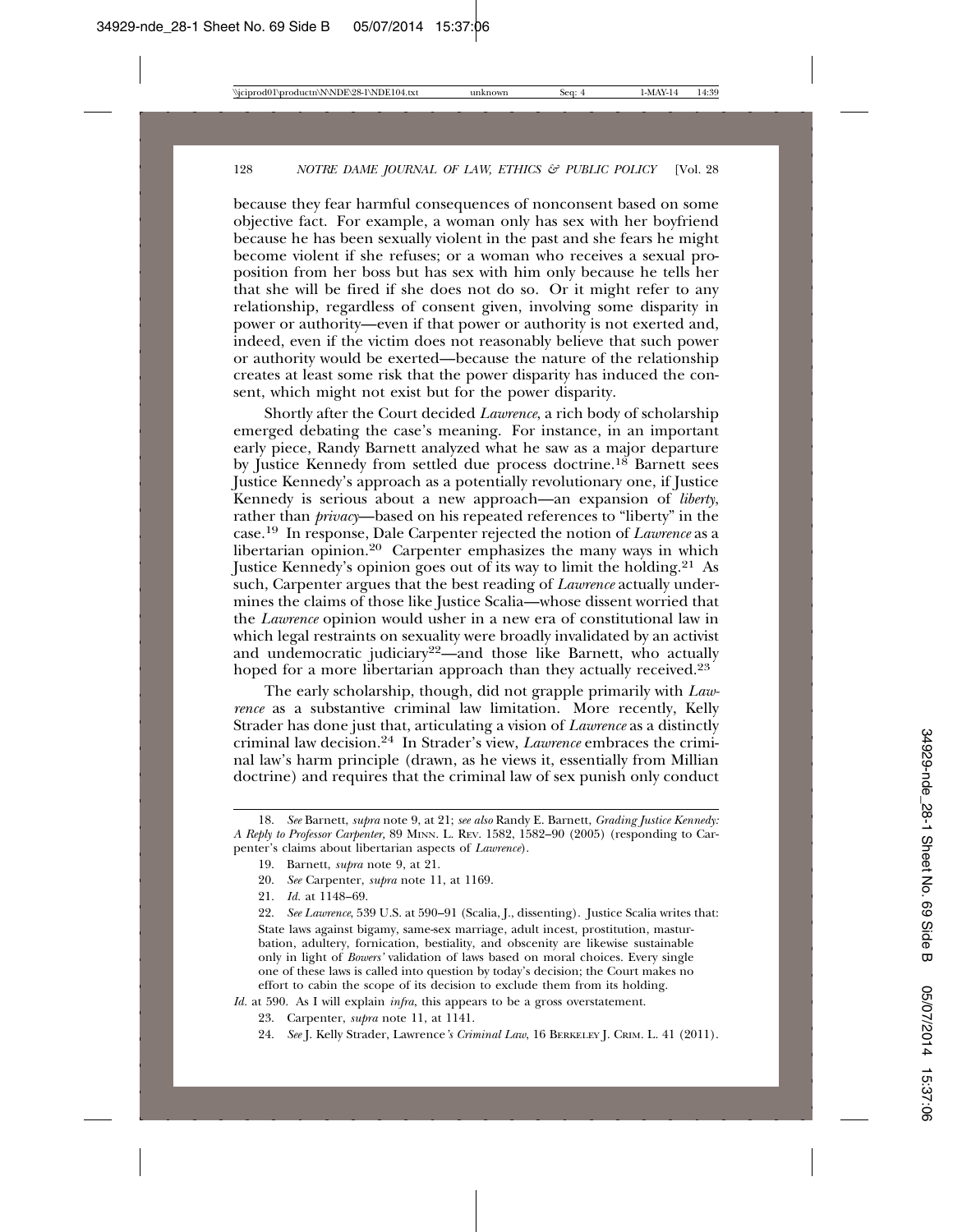because they fear harmful consequences of nonconsent based on some objective fact. For example, a woman only has sex with her boyfriend because he has been sexually violent in the past and she fears he might become violent if she refuses; or a woman who receives a sexual proposition from her boss but has sex with him only because he tells her that she will be fired if she does not do so. Or it might refer to any relationship, regardless of consent given, involving some disparity in power or authority—even if that power or authority is not exerted and, indeed, even if the victim does not reasonably believe that such power or authority would be exerted—because the nature of the relationship creates at least some risk that the power disparity has induced the consent, which might not exist but for the power disparity.

Shortly after the Court decided *Lawrence*, a rich body of scholarship emerged debating the case's meaning. For instance, in an important early piece, Randy Barnett analyzed what he saw as a major departure by Justice Kennedy from settled due process doctrine.<sup>18</sup> Barnett sees Justice Kennedy's approach as a potentially revolutionary one, if Justice Kennedy is serious about a new approach—an expansion of *liberty*, rather than *privacy*—based on his repeated references to "liberty" in the case.19 In response, Dale Carpenter rejected the notion of *Lawrence* as a libertarian opinion.20 Carpenter emphasizes the many ways in which Justice Kennedy's opinion goes out of its way to limit the holding.<sup>21</sup> As such, Carpenter argues that the best reading of *Lawrence* actually undermines the claims of those like Justice Scalia—whose dissent worried that the *Lawrence* opinion would usher in a new era of constitutional law in which legal restraints on sexuality were broadly invalidated by an activist and undemocratic judiciary<sup>22</sup>—and those like Barnett, who actually hoped for a more libertarian approach than they actually received.<sup>23</sup>

The early scholarship, though, did not grapple primarily with *Lawrence* as a substantive criminal law limitation. More recently, Kelly Strader has done just that, articulating a vision of *Lawrence* as a distinctly criminal law decision.24 In Strader's view, *Lawrence* embraces the criminal law's harm principle (drawn, as he views it, essentially from Millian doctrine) and requires that the criminal law of sex punish only conduct

*Id.* at 590. As I will explain *infra*, this appears to be a gross overstatement.

<sup>18.</sup> *See* Barnett, *supra* note 9, at 21; *see also* Randy E. Barnett, *Grading Justice Kennedy: A Reply to Professor Carpenter,* 89 MINN. L. REV. 1582, 1582–90 (2005) (responding to Carpenter's claims about libertarian aspects of *Lawrence*).

<sup>19.</sup> Barnett, *supra* note 9, at 21.

<sup>20.</sup> *See* Carpenter, *supra* note 11, at 1169.

<sup>21.</sup> *Id.* at 1148–69.

<sup>22.</sup> *See Lawrence*, 539 U.S. at 590–91 (Scalia, J., dissenting). Justice Scalia writes that: State laws against bigamy, same-sex marriage, adult incest, prostitution, masturbation, adultery, fornication, bestiality, and obscenity are likewise sustainable only in light of *Bowers'* validation of laws based on moral choices. Every single one of these laws is called into question by today's decision; the Court makes no effort to cabin the scope of its decision to exclude them from its holding.

<sup>23.</sup> Carpenter, *supra* note 11, at 1141.

<sup>24.</sup> *See* J. Kelly Strader, Lawrence*'s Criminal Law*, 16 BERKELEY J. CRIM. L. 41 (2011).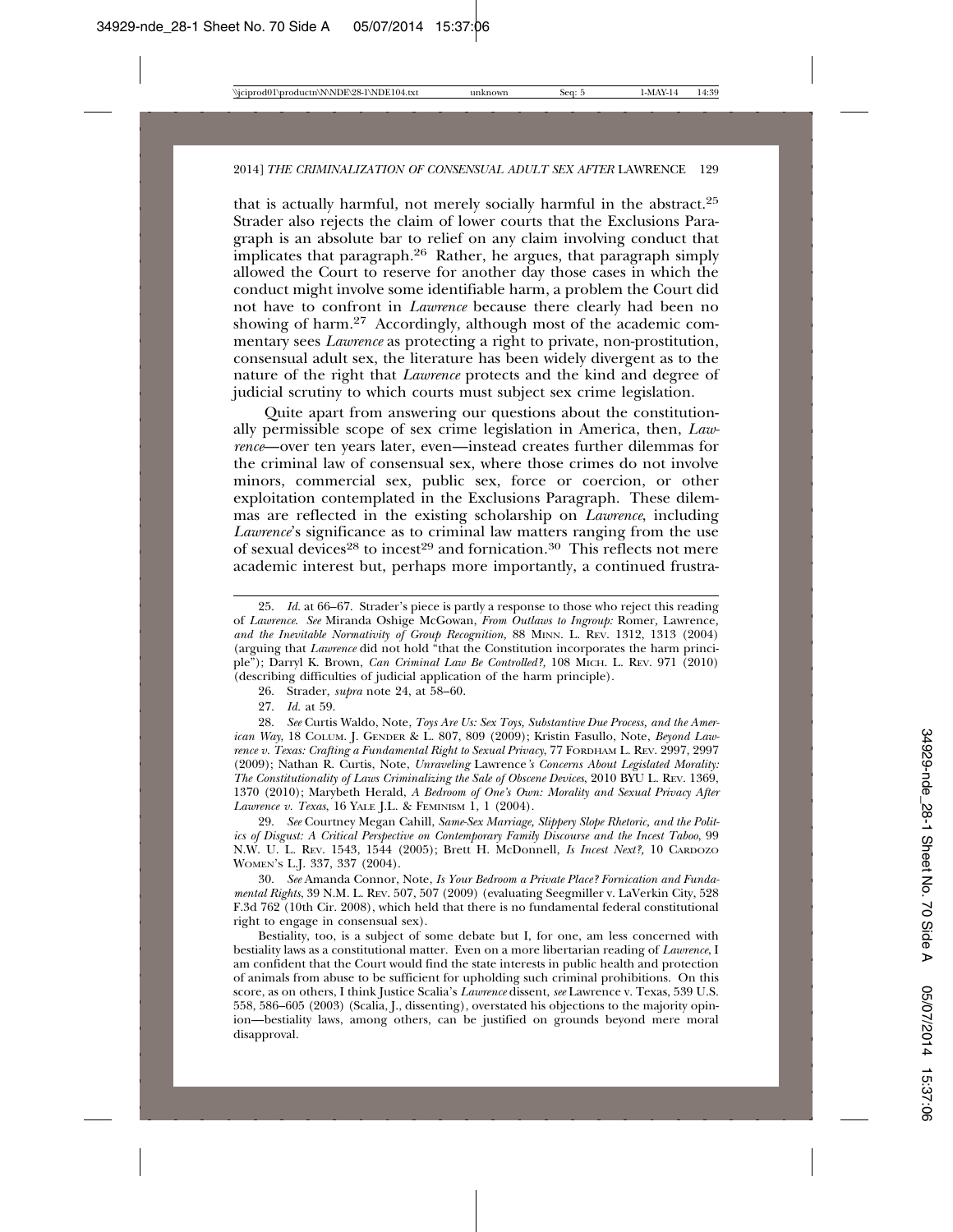that is actually harmful, not merely socially harmful in the abstract.25 Strader also rejects the claim of lower courts that the Exclusions Paragraph is an absolute bar to relief on any claim involving conduct that implicates that paragraph.26 Rather, he argues, that paragraph simply allowed the Court to reserve for another day those cases in which the conduct might involve some identifiable harm, a problem the Court did not have to confront in *Lawrence* because there clearly had been no showing of harm.<sup>27</sup> Accordingly, although most of the academic commentary sees *Lawrence* as protecting a right to private, non-prostitution, consensual adult sex, the literature has been widely divergent as to the nature of the right that *Lawrence* protects and the kind and degree of judicial scrutiny to which courts must subject sex crime legislation.

Quite apart from answering our questions about the constitutionally permissible scope of sex crime legislation in America, then, *Lawrence*—over ten years later, even—instead creates further dilemmas for the criminal law of consensual sex, where those crimes do not involve minors, commercial sex, public sex, force or coercion, or other exploitation contemplated in the Exclusions Paragraph. These dilemmas are reflected in the existing scholarship on *Lawrence*, including *Lawrence*'s significance as to criminal law matters ranging from the use of sexual devices<sup>28</sup> to incest<sup>29</sup> and fornication.<sup>30</sup> This reflects not mere academic interest but, perhaps more importantly, a continued frustra-

26. Strader, *supra* note 24, at 58–60.

27. *Id.* at 59.

28. *See* Curtis Waldo, Note, *Toys Are Us: Sex Toys, Substantive Due Process, and the American Way*, 18 COLUM. J. GENDER & L. 807, 809 (2009); Kristin Fasullo, Note, *Beyond Lawrence v. Texas: Crafting a Fundamental Right to Sexual Privacy*, 77 FORDHAM L. REV. 2997, 2997 (2009); Nathan R. Curtis, Note, *Unraveling* Lawrence*'s Concerns About Legislated Morality: The Constitutionality of Laws Criminalizing the Sale of Obscene Devices*, 2010 BYU L. REV. 1369, 1370 (2010); Marybeth Herald, *A Bedroom of One's Own: Morality and Sexual Privacy After Lawrence v. Texas*, 16 YALE J.L. & FEMINISM 1, 1 (2004).

29. *See* Courtney Megan Cahill, *Same-Sex Marriage, Slippery Slope Rhetoric, and the Politics of Disgust: A Critical Perspective on Contemporary Family Discourse and the Incest Taboo*, 99 N.W. U. L. REV. 1543, 1544 (2005); Brett H. McDonnell, *Is Incest Next?,* 10 CARDOZO WOMEN'S L.J. 337, 337 (2004).

30. *See* Amanda Connor, Note, *Is Your Bedroom a Private Place? Fornication and Fundamental Rights*, 39 N.M. L. REV. 507, 507 (2009) (evaluating Seegmiller v. LaVerkin City, 528 F.3d 762 (10th Cir. 2008), which held that there is no fundamental federal constitutional right to engage in consensual sex).

Bestiality, too, is a subject of some debate but I, for one, am less concerned with bestiality laws as a constitutional matter. Even on a more libertarian reading of *Lawrence*, I am confident that the Court would find the state interests in public health and protection of animals from abuse to be sufficient for upholding such criminal prohibitions. On this score, as on others, I think Justice Scalia's *Lawrence* dissent, *see* Lawrence v. Texas, 539 U.S. 558, 586–605 (2003) (Scalia, J., dissenting), overstated his objections to the majority opinion—bestiality laws, among others, can be justified on grounds beyond mere moral disapproval.

<sup>25.</sup> *Id.* at 66–67. Strader's piece is partly a response to those who reject this reading of *Lawrence*. *See* Miranda Oshige McGowan, *From Outlaws to Ingroup:* Romer*,* Lawrence*, and the Inevitable Normativity of Group Recognition,* 88 MINN. L. REV. 1312, 1313 (2004) (arguing that *Lawrence* did not hold "that the Constitution incorporates the harm principle"); Darryl K. Brown, *Can Criminal Law Be Controlled?,* 108 MICH. L. REV. 971 (2010) (describing difficulties of judicial application of the harm principle).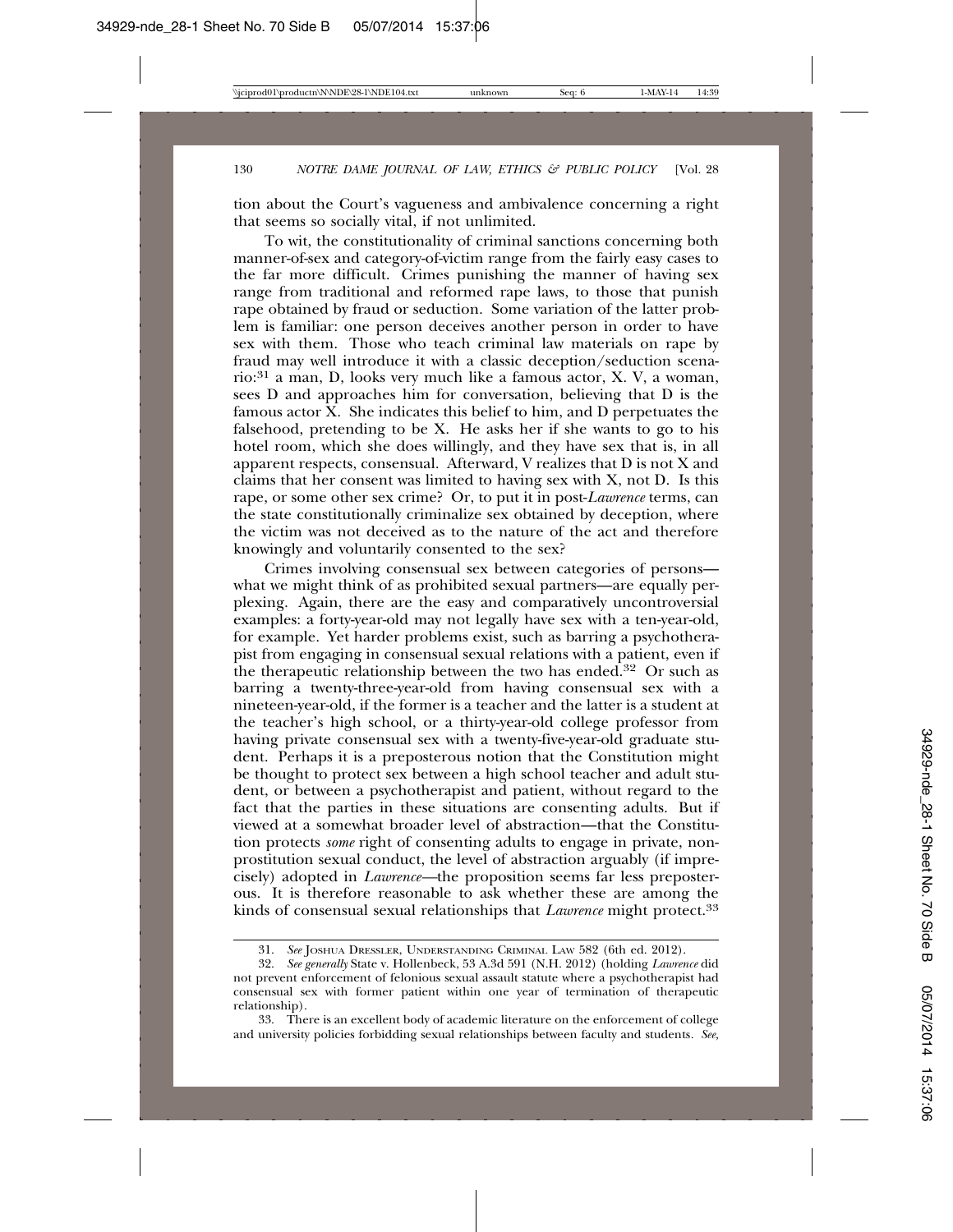tion about the Court's vagueness and ambivalence concerning a right that seems so socially vital, if not unlimited.

To wit, the constitutionality of criminal sanctions concerning both manner-of-sex and category-of-victim range from the fairly easy cases to the far more difficult. Crimes punishing the manner of having sex range from traditional and reformed rape laws, to those that punish rape obtained by fraud or seduction. Some variation of the latter problem is familiar: one person deceives another person in order to have sex with them. Those who teach criminal law materials on rape by fraud may well introduce it with a classic deception/seduction scenario:31 a man, D, looks very much like a famous actor, X. V, a woman, sees D and approaches him for conversation, believing that D is the famous actor  $\bar{X}$ . She indicates this belief to him, and D perpetuates the falsehood, pretending to be X. He asks her if she wants to go to his hotel room, which she does willingly, and they have sex that is, in all apparent respects, consensual. Afterward, V realizes that D is not X and claims that her consent was limited to having sex with X, not D. Is this rape, or some other sex crime? Or, to put it in post-*Lawrence* terms, can the state constitutionally criminalize sex obtained by deception, where the victim was not deceived as to the nature of the act and therefore knowingly and voluntarily consented to the sex?

Crimes involving consensual sex between categories of persons what we might think of as prohibited sexual partners—are equally perplexing. Again, there are the easy and comparatively uncontroversial examples: a forty-year-old may not legally have sex with a ten-year-old, for example. Yet harder problems exist, such as barring a psychotherapist from engaging in consensual sexual relations with a patient, even if the therapeutic relationship between the two has ended.<sup>32</sup> Or such as barring a twenty-three-year-old from having consensual sex with a nineteen-year-old, if the former is a teacher and the latter is a student at the teacher's high school, or a thirty-year-old college professor from having private consensual sex with a twenty-five-year-old graduate student. Perhaps it is a preposterous notion that the Constitution might be thought to protect sex between a high school teacher and adult student, or between a psychotherapist and patient, without regard to the fact that the parties in these situations are consenting adults. But if viewed at a somewhat broader level of abstraction—that the Constitution protects *some* right of consenting adults to engage in private, nonprostitution sexual conduct, the level of abstraction arguably (if imprecisely) adopted in *Lawrence—*the proposition seems far less preposterous. It is therefore reasonable to ask whether these are among the kinds of consensual sexual relationships that *Lawrence* might protect.33

<sup>31.</sup> *See* JOSHUA DRESSLER, UNDERSTANDING CRIMINAL LAW 582 (6th ed. 2012).

<sup>32.</sup> *See generally* State v. Hollenbeck, 53 A.3d 591 (N.H. 2012) (holding *Lawrence* did not prevent enforcement of felonious sexual assault statute where a psychotherapist had consensual sex with former patient within one year of termination of therapeutic relationship).

<sup>33.</sup> There is an excellent body of academic literature on the enforcement of college and university policies forbidding sexual relationships between faculty and students*. See,*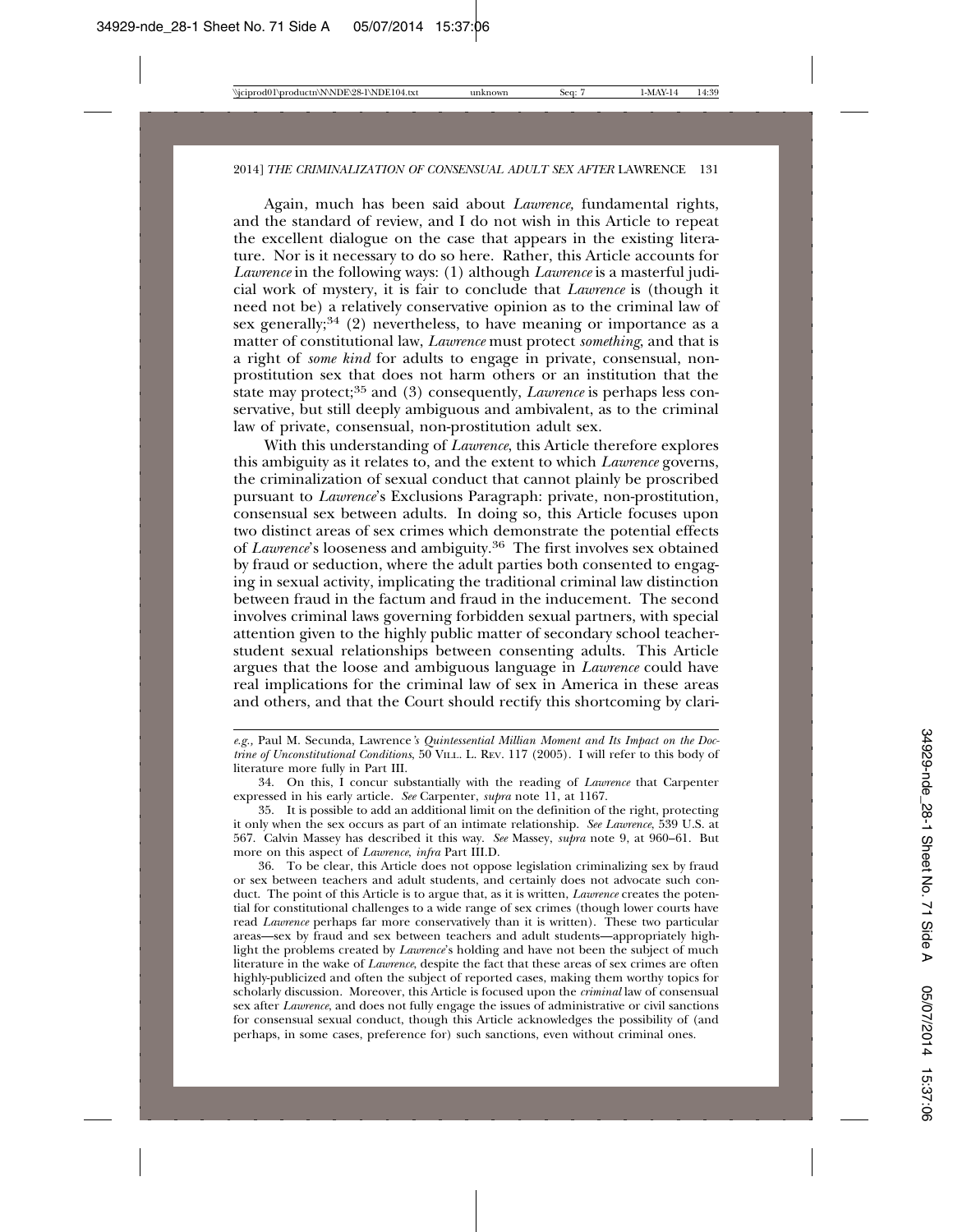Again, much has been said about *Lawrence,* fundamental rights, and the standard of review, and I do not wish in this Article to repeat the excellent dialogue on the case that appears in the existing literature. Nor is it necessary to do so here. Rather, this Article accounts for *Lawrence* in the following ways: (1) although *Lawrence* is a masterful judicial work of mystery, it is fair to conclude that *Lawrence* is (though it need not be) a relatively conservative opinion as to the criminal law of sex generally;<sup>34</sup> (2) nevertheless, to have meaning or importance as a matter of constitutional law, *Lawrence* must protect *something*, and that is a right of *some kind* for adults to engage in private, consensual, nonprostitution sex that does not harm others or an institution that the state may protect;<sup>35</sup> and (3) consequently, *Lawrence* is perhaps less conservative, but still deeply ambiguous and ambivalent, as to the criminal law of private, consensual, non-prostitution adult sex.

With this understanding of *Lawrence*, this Article therefore explores this ambiguity as it relates to, and the extent to which *Lawrence* governs, the criminalization of sexual conduct that cannot plainly be proscribed pursuant to *Lawrence*'s Exclusions Paragraph: private, non-prostitution, consensual sex between adults. In doing so, this Article focuses upon two distinct areas of sex crimes which demonstrate the potential effects of *Lawrence*'s looseness and ambiguity.36 The first involves sex obtained by fraud or seduction, where the adult parties both consented to engaging in sexual activity, implicating the traditional criminal law distinction between fraud in the factum and fraud in the inducement. The second involves criminal laws governing forbidden sexual partners, with special attention given to the highly public matter of secondary school teacherstudent sexual relationships between consenting adults. This Article argues that the loose and ambiguous language in *Lawrence* could have real implications for the criminal law of sex in America in these areas and others, and that the Court should rectify this shortcoming by clari-

36. To be clear, this Article does not oppose legislation criminalizing sex by fraud or sex between teachers and adult students, and certainly does not advocate such conduct. The point of this Article is to argue that, as it is written, *Lawrence* creates the potential for constitutional challenges to a wide range of sex crimes (though lower courts have read *Lawrence* perhaps far more conservatively than it is written). These two particular areas—sex by fraud and sex between teachers and adult students—appropriately highlight the problems created by *Lawrence*'s holding and have not been the subject of much literature in the wake of *Lawrence*, despite the fact that these areas of sex crimes are often highly-publicized and often the subject of reported cases, making them worthy topics for scholarly discussion. Moreover, this Article is focused upon the *criminal* law of consensual sex after *Lawrence*, and does not fully engage the issues of administrative or civil sanctions for consensual sexual conduct, though this Article acknowledges the possibility of (and perhaps, in some cases, preference for) such sanctions, even without criminal ones.

*e.g.,* Paul M. Secunda, Lawrence*'s Quintessential Millian Moment and Its Impact on the Doctrine of Unconstitutional Conditions*, 50 VILL. L. REV. 117 (2005). I will refer to this body of literature more fully in Part III.

<sup>34.</sup> On this, I concur substantially with the reading of *Lawrence* that Carpenter expressed in his early article. *See* Carpenter, *supra* note 11, at 1167.

<sup>35.</sup> It is possible to add an additional limit on the definition of the right, protecting it only when the sex occurs as part of an intimate relationship. *See Lawrence*, 539 U.S. at 567. Calvin Massey has described it this way. *See* Massey, *supra* note 9, at 960–61. But more on this aspect of *Lawrence*, *infra* Part III.D.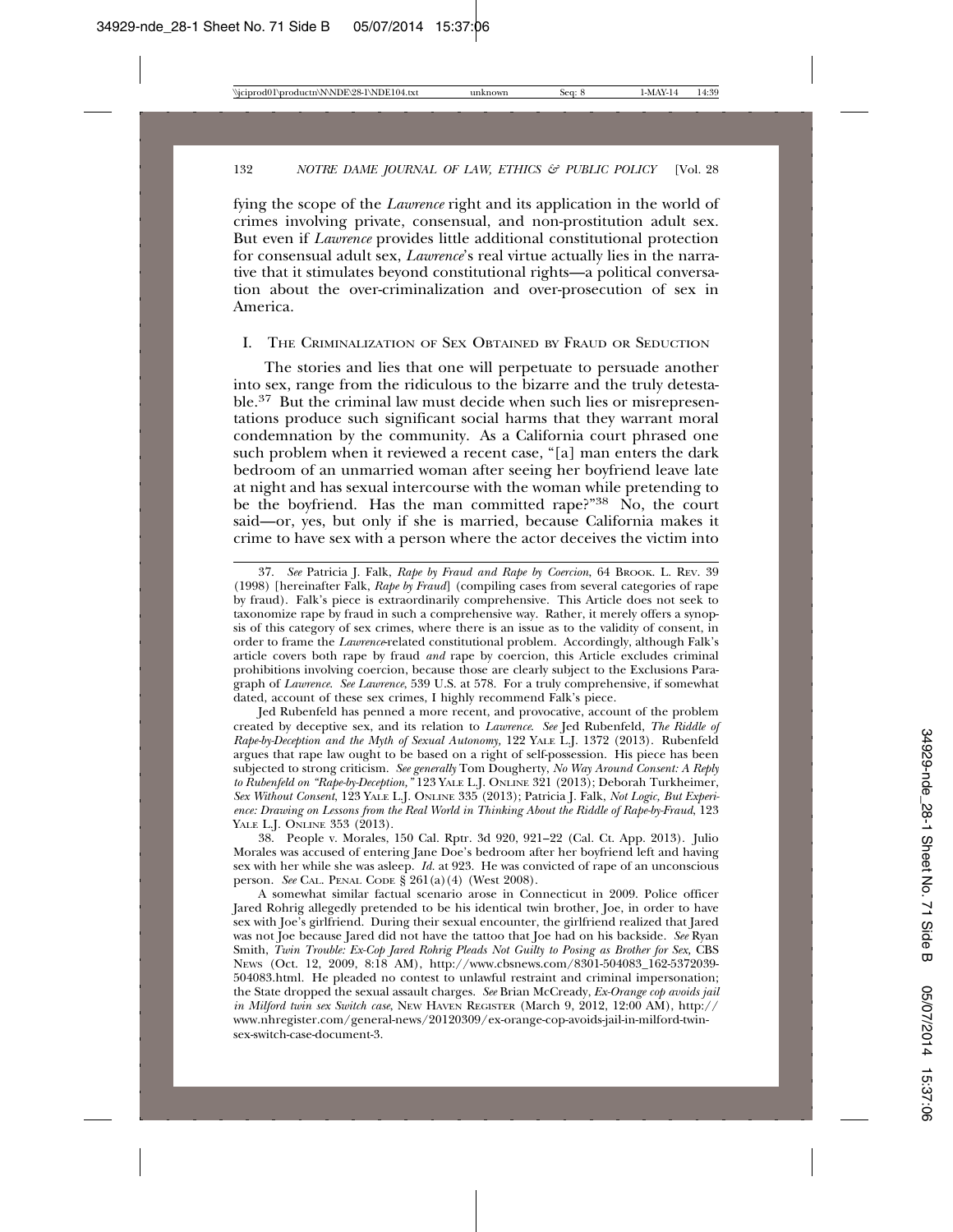fying the scope of the *Lawrence* right and its application in the world of crimes involving private, consensual, and non-prostitution adult sex. But even if *Lawrence* provides little additional constitutional protection for consensual adult sex, *Lawrence*'s real virtue actually lies in the narrative that it stimulates beyond constitutional rights—a political conversation about the over-criminalization and over-prosecution of sex in America.

#### I. THE CRIMINALIZATION OF SEX OBTAINED BY FRAUD OR SEDUCTION

The stories and lies that one will perpetuate to persuade another into sex, range from the ridiculous to the bizarre and the truly detestable.37 But the criminal law must decide when such lies or misrepresentations produce such significant social harms that they warrant moral condemnation by the community. As a California court phrased one such problem when it reviewed a recent case, "[a] man enters the dark bedroom of an unmarried woman after seeing her boyfriend leave late at night and has sexual intercourse with the woman while pretending to be the boyfriend. Has the man committed rape?"<sup>38</sup> No, the court said—or, yes, but only if she is married, because California makes it crime to have sex with a person where the actor deceives the victim into

Jed Rubenfeld has penned a more recent, and provocative, account of the problem created by deceptive sex, and its relation to *Lawrence*. *See* Jed Rubenfeld, *The Riddle of Rape-by-Deception and the Myth of Sexual Autonomy,* 122 YALE L.J. 1372 (2013). Rubenfeld argues that rape law ought to be based on a right of self-possession. His piece has been subjected to strong criticism. *See generally* Tom Dougherty, *No Way Around Consent: A Reply to Rubenfeld on "Rape-by-Deception,"* 123 YALE L.J. ONLINE 321 (2013); Deborah Turkheimer, *Sex Without Consent*, 123 YALE L.J. ONLINE 335 (2013); Patricia J. Falk, *Not Logic, But Experience: Drawing on Lessons from the Real World in Thinking About the Riddle of Rape-by-Fraud*, 123 YALE L.J. ONLINE 353 (2013).

38. People v. Morales, 150 Cal. Rptr. 3d 920, 921–22 (Cal. Ct. App. 2013). Julio Morales was accused of entering Jane Doe's bedroom after her boyfriend left and having sex with her while she was asleep. *Id.* at 923. He was convicted of rape of an unconscious person. *See* CAL. PENAL CODE § 261(a)(4) (West 2008).

A somewhat similar factual scenario arose in Connecticut in 2009. Police officer Jared Rohrig allegedly pretended to be his identical twin brother, Joe, in order to have sex with Joe's girlfriend. During their sexual encounter, the girlfriend realized that Jared was not Joe because Jared did not have the tattoo that Joe had on his backside. *See* Ryan Smith, *Twin Trouble: Ex-Cop Jared Rohrig Pleads Not Guilty to Posing as Brother for Sex, CBS* NEWS (Oct. 12, 2009, 8:18 AM), http://www.cbsnews.com/8301-504083\_162-5372039- 504083.html. He pleaded no contest to unlawful restraint and criminal impersonation; the State dropped the sexual assault charges. *See* Brian McCready, *Ex-Orange cop avoids jail in Milford twin sex Switch case*, NEW HAVEN REGISTER (March 9, 2012, 12:00 AM), http:// www.nhregister.com/general-news/20120309/ex-orange-cop-avoids-jail-in-milford-twinsex-switch-case-document-3.

<sup>37.</sup> *See* Patricia J. Falk, *Rape by Fraud and Rape by Coercion*, 64 BROOK. L. REV. 39 (1998) [hereinafter Falk, *Rape by Fraud*] (compiling cases from several categories of rape by fraud). Falk's piece is extraordinarily comprehensive. This Article does not seek to taxonomize rape by fraud in such a comprehensive way. Rather, it merely offers a synopsis of this category of sex crimes, where there is an issue as to the validity of consent, in order to frame the *Lawrence*-related constitutional problem. Accordingly, although Falk's article covers both rape by fraud *and* rape by coercion, this Article excludes criminal prohibitions involving coercion, because those are clearly subject to the Exclusions Paragraph of *Lawrence*. *See Lawrence*, 539 U.S. at 578. For a truly comprehensive, if somewhat dated, account of these sex crimes, I highly recommend Falk's piece.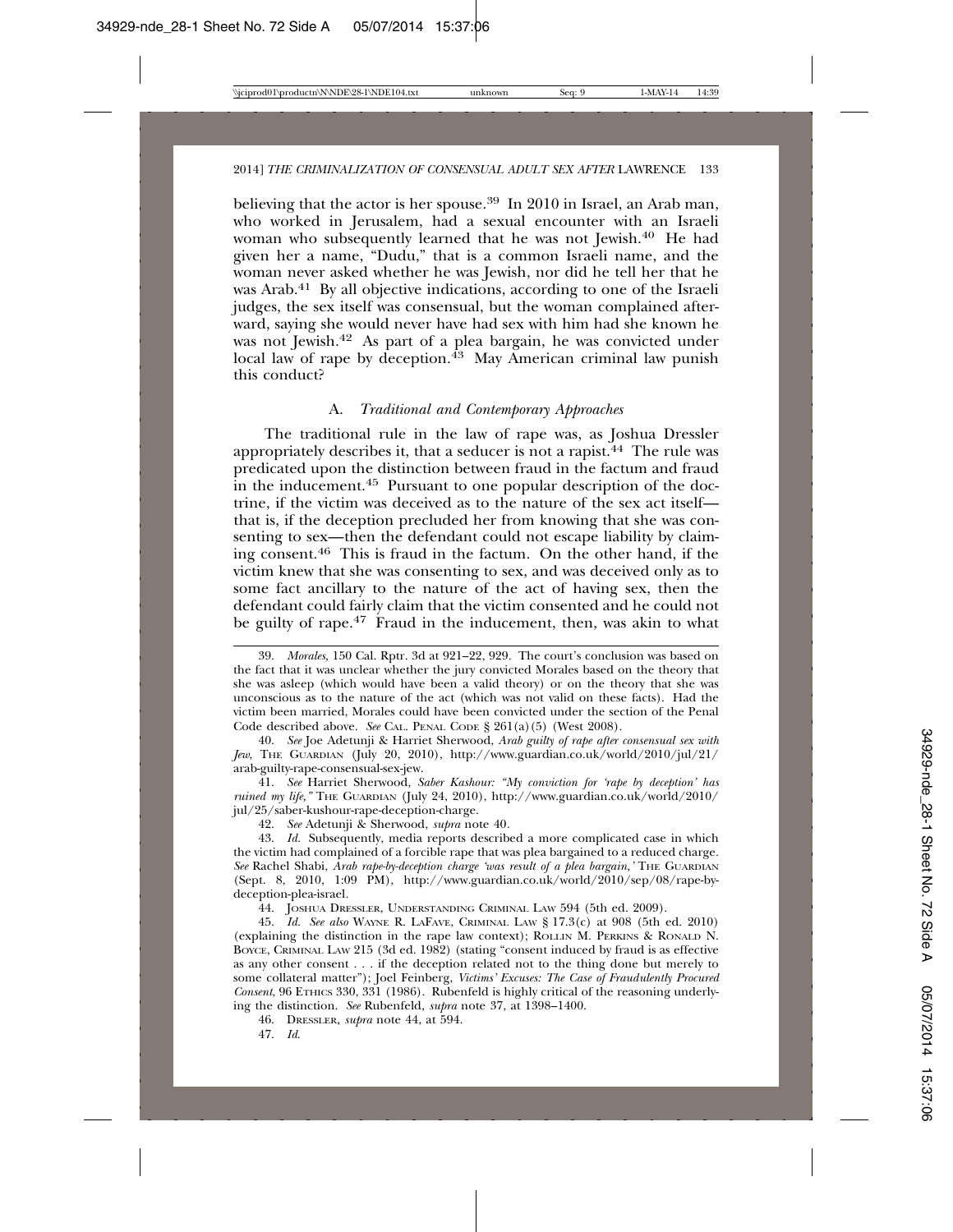believing that the actor is her spouse.<sup>39</sup> In 2010 in Israel, an Arab man, who worked in Jerusalem, had a sexual encounter with an Israeli woman who subsequently learned that he was not Jewish.<sup>40</sup> He had given her a name, "Dudu," that is a common Israeli name, and the woman never asked whether he was Jewish, nor did he tell her that he was Arab.<sup>41</sup> By all objective indications, according to one of the Israeli judges, the sex itself was consensual, but the woman complained afterward, saying she would never have had sex with him had she known he was not Jewish.42 As part of a plea bargain, he was convicted under local law of rape by deception. $43$  May American criminal law punish this conduct?

#### A. *Traditional and Contemporary Approaches*

The traditional rule in the law of rape was, as Joshua Dressler appropriately describes it, that a seducer is not a rapist.<sup>44</sup> The rule was predicated upon the distinction between fraud in the factum and fraud in the inducement.45 Pursuant to one popular description of the doctrine, if the victim was deceived as to the nature of the sex act itself that is, if the deception precluded her from knowing that she was consenting to sex—then the defendant could not escape liability by claiming consent.46 This is fraud in the factum. On the other hand, if the victim knew that she was consenting to sex, and was deceived only as to some fact ancillary to the nature of the act of having sex, then the defendant could fairly claim that the victim consented and he could not be guilty of rape.<sup>47</sup> Fraud in the inducement, then, was akin to what

41. *See* Harriet Sherwood*, Saber Kashour: "My conviction for 'rape by deception' has ruined my life,"* THE GUARDIAN (July 24, 2010), http://www.guardian.co.uk/world/2010/ jul/25/saber-kushour-rape-deception-charge.

42. *See* Adetunji & Sherwood, *supra* note 40*.*

43. *Id.* Subsequently, media reports described a more complicated case in which the victim had complained of a forcible rape that was plea bargained to a reduced charge. *See* Rachel Shabi, *Arab rape-by-deception charge 'was result of a plea bargain,'* THE GUARDIAN (Sept. 8, 2010, 1:09 PM), http://www.guardian.co.uk/world/2010/sep/08/rape-bydeception-plea-israel*.*

44. JOSHUA DRESSLER, UNDERSTANDING CRIMINAL LAW 594 (5th ed. 2009).

45. *Id. See also* WAYNE R. LAFAVE, CRIMINAL LAW § 17.3(c) at 908 (5th ed. 2010) (explaining the distinction in the rape law context); ROLLIN M. PERKINS & RONALD N. BOYCE, CRIMINAL LAW 215 (3d ed. 1982) (stating "consent induced by fraud is as effective as any other consent . . . if the deception related not to the thing done but merely to some collateral matter"); Joel Feinberg, *Victims' Excuses: The Case of Fraudulently Procured Consent*, 96 ETHICS 330, 331 (1986). Rubenfeld is highly critical of the reasoning underlying the distinction. *See* Rubenfeld, *supra* note 37, at 1398–1400.

46. DRESSLER, *supra* note 44, at 594.

47. *Id*.

<sup>39.</sup> *Morales,* 150 Cal. Rptr. 3d at 921–22, 929*.* The court's conclusion was based on the fact that it was unclear whether the jury convicted Morales based on the theory that she was asleep (which would have been a valid theory) or on the theory that she was unconscious as to the nature of the act (which was not valid on these facts). Had the victim been married, Morales could have been convicted under the section of the Penal Code described above. *See* CAL. PENAL CODE § 261(a)(5) (West 2008).

<sup>40.</sup> *See* Joe Adetunji & Harriet Sherwood, *Arab guilty of rape after consensual sex with Jew*, THE GUARDIAN (July 20, 2010), http://www.guardian.co.uk/world/2010/jul/21/ arab-guilty-rape-consensual-sex-jew.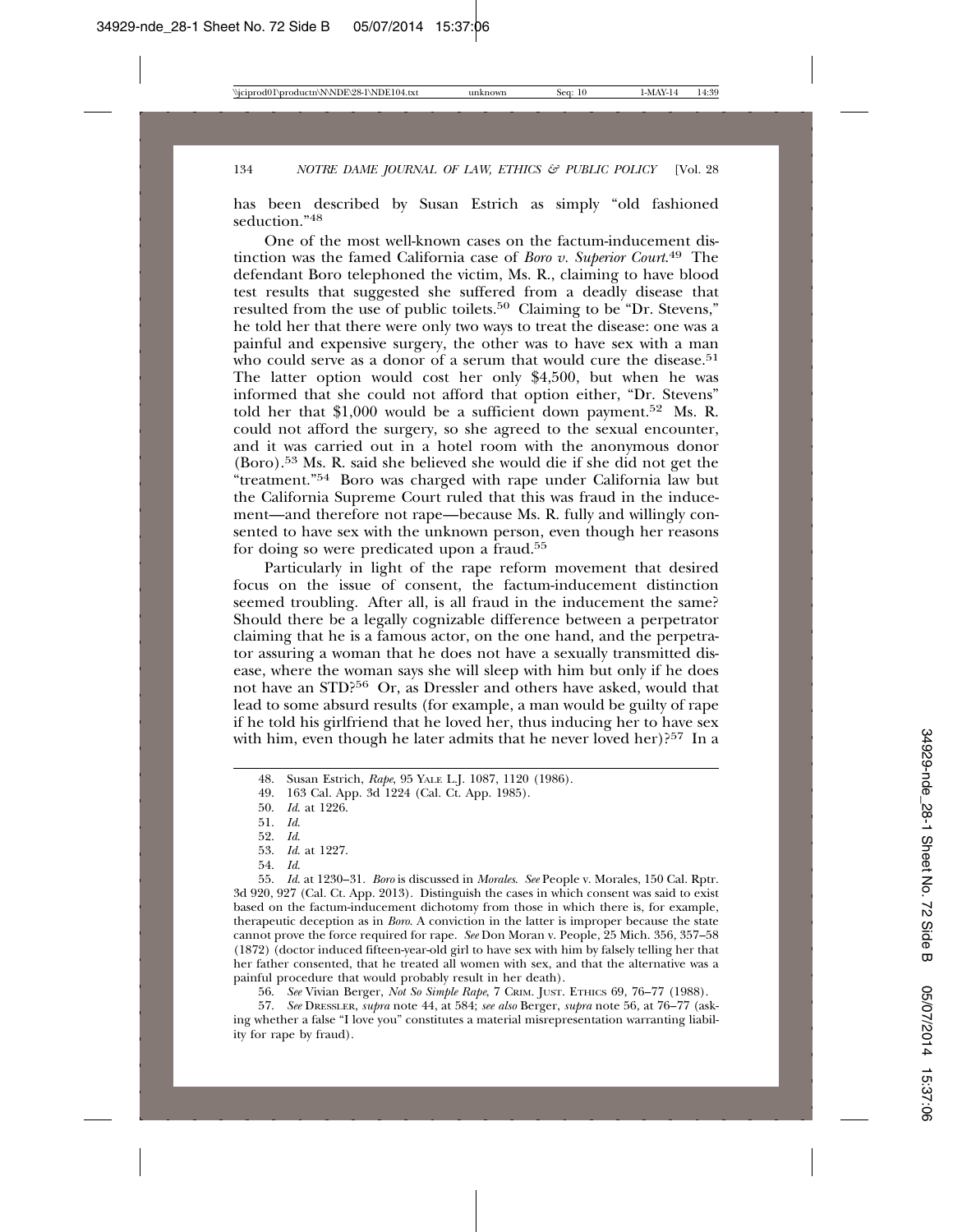has been described by Susan Estrich as simply "old fashioned seduction<sup>"48</sup>

One of the most well-known cases on the factum-inducement distinction was the famed California case of *Boro v. Superior Court*. 49 The defendant Boro telephoned the victim, Ms. R., claiming to have blood test results that suggested she suffered from a deadly disease that resulted from the use of public toilets.<sup>50</sup> Claiming to be "Dr. Stevens," he told her that there were only two ways to treat the disease: one was a painful and expensive surgery, the other was to have sex with a man who could serve as a donor of a serum that would cure the disease.<sup>51</sup> The latter option would cost her only \$4,500, but when he was informed that she could not afford that option either, "Dr. Stevens" told her that \$1,000 would be a sufficient down payment.52 Ms. R. could not afford the surgery, so she agreed to the sexual encounter, and it was carried out in a hotel room with the anonymous donor (Boro).53 Ms. R. said she believed she would die if she did not get the "treatment."54 Boro was charged with rape under California law but the California Supreme Court ruled that this was fraud in the inducement—and therefore not rape—because Ms. R. fully and willingly consented to have sex with the unknown person, even though her reasons for doing so were predicated upon a fraud.55

Particularly in light of the rape reform movement that desired focus on the issue of consent, the factum-inducement distinction seemed troubling. After all, is all fraud in the inducement the same? Should there be a legally cognizable difference between a perpetrator claiming that he is a famous actor, on the one hand, and the perpetrator assuring a woman that he does not have a sexually transmitted disease, where the woman says she will sleep with him but only if he does not have an STD?56 Or, as Dressler and others have asked, would that lead to some absurd results (for example, a man would be guilty of rape if he told his girlfriend that he loved her, thus inducing her to have sex with him, even though he later admits that he never loved her)?<sup>57</sup> In a

49. 163 Cal. App. 3d 1224 (Cal. Ct. App. 1985).

54. *Id*.

55. *Id*. at 1230–31. *Boro* is discussed in *Morales*. *See* People v. Morales, 150 Cal. Rptr. 3d 920, 927 (Cal. Ct. App. 2013). Distinguish the cases in which consent was said to exist based on the factum-inducement dichotomy from those in which there is, for example, therapeutic deception as in *Boro*. A conviction in the latter is improper because the state cannot prove the force required for rape. *See* Don Moran v. People, 25 Mich. 356, 357–58 (1872) (doctor induced fifteen-year-old girl to have sex with him by falsely telling her that her father consented, that he treated all women with sex, and that the alternative was a painful procedure that would probably result in her death).

56. *See* Vivian Berger, *Not So Simple Rape*, 7 CRIM. JUST. ETHICS 69, 76–77 (1988).

57. *See* DRESSLER, *supra* note 44, at 584; *see also* Berger, *supra* note 56, at 76–77 (asking whether a false "I love you" constitutes a material misrepresentation warranting liability for rape by fraud).

<sup>48.</sup> Susan Estrich, *Rape*, 95 YALE L.J. 1087, 1120 (1986).

<sup>50.</sup> *Id*. at 1226.

<sup>51.</sup> *Id*.

<sup>52.</sup> *Id*.

<sup>53.</sup> *Id*. at 1227.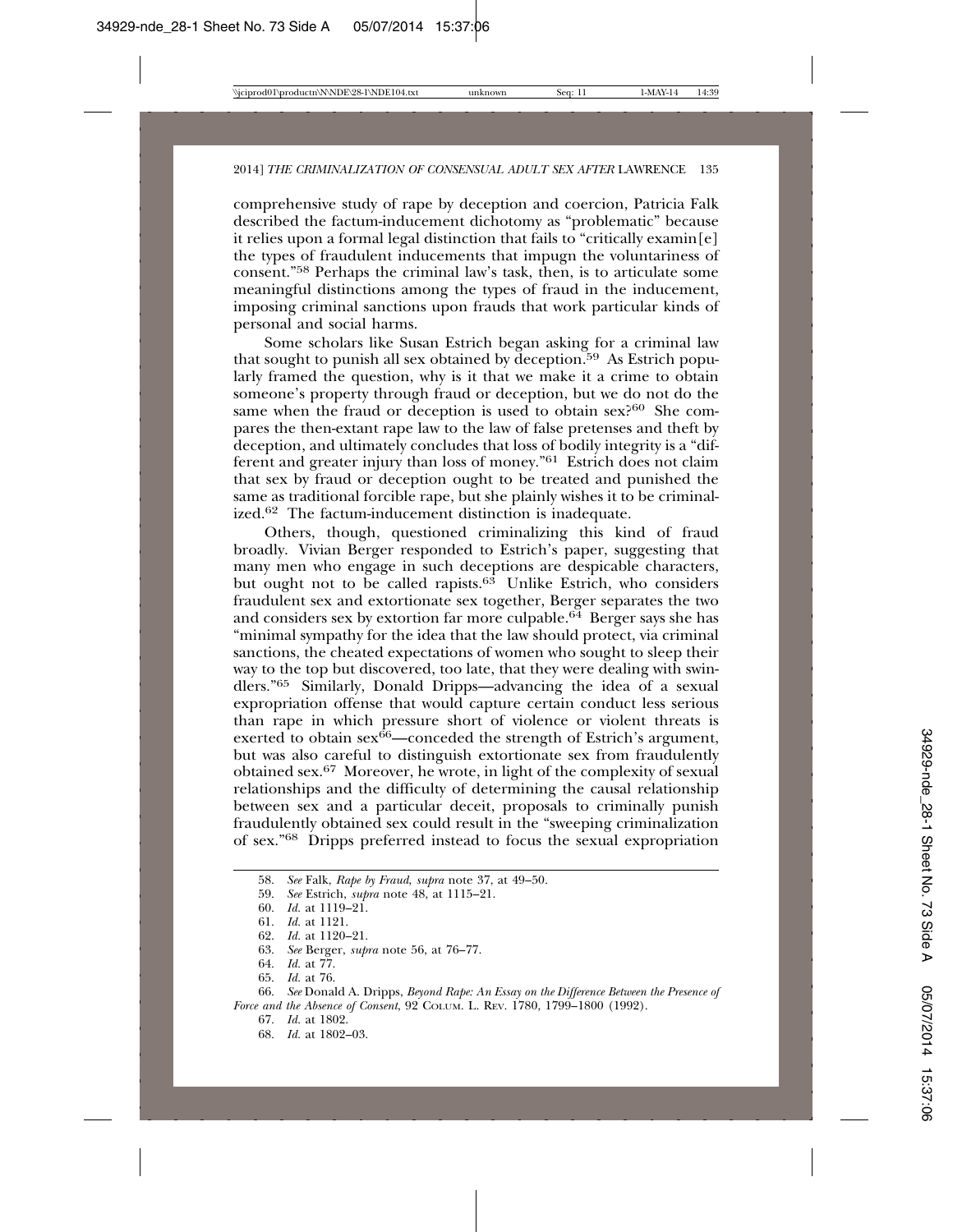comprehensive study of rape by deception and coercion, Patricia Falk described the factum-inducement dichotomy as "problematic" because it relies upon a formal legal distinction that fails to "critically examin $[e]$ the types of fraudulent inducements that impugn the voluntariness of consent."58 Perhaps the criminal law's task, then, is to articulate some meaningful distinctions among the types of fraud in the inducement, imposing criminal sanctions upon frauds that work particular kinds of personal and social harms.

Some scholars like Susan Estrich began asking for a criminal law that sought to punish all sex obtained by deception.<sup>59</sup> As Estrich popularly framed the question, why is it that we make it a crime to obtain someone's property through fraud or deception, but we do not do the same when the fraud or deception is used to obtain sex?<sup>60</sup> She compares the then-extant rape law to the law of false pretenses and theft by deception, and ultimately concludes that loss of bodily integrity is a "different and greater injury than loss of money."61 Estrich does not claim that sex by fraud or deception ought to be treated and punished the same as traditional forcible rape, but she plainly wishes it to be criminalized.62 The factum-inducement distinction is inadequate.

Others, though, questioned criminalizing this kind of fraud broadly. Vivian Berger responded to Estrich's paper, suggesting that many men who engage in such deceptions are despicable characters, but ought not to be called rapists. $6^{\circ}$  Unlike Estrich, who considers fraudulent sex and extortionate sex together, Berger separates the two and considers sex by extortion far more culpable.<sup>64</sup> Berger says she has "minimal sympathy for the idea that the law should protect, via criminal sanctions, the cheated expectations of women who sought to sleep their way to the top but discovered, too late, that they were dealing with swindlers."65 Similarly, Donald Dripps—advancing the idea of a sexual expropriation offense that would capture certain conduct less serious than rape in which pressure short of violence or violent threats is exerted to obtain  $sex^{66}$ —conceded the strength of Estrich's argument, but was also careful to distinguish extortionate sex from fraudulently obtained sex.67 Moreover, he wrote, in light of the complexity of sexual relationships and the difficulty of determining the causal relationship between sex and a particular deceit, proposals to criminally punish fraudulently obtained sex could result in the "sweeping criminalization of sex."68 Dripps preferred instead to focus the sexual expropriation

66. *See* Donald A. Dripps, *Beyond Rape: An Essay on the Difference Between the Presence of Force and the Absence of Consent*, 92 COLUM. L. REV. 1780, 1799–1800 (1992).

67. *Id.* at 1802.

<sup>58.</sup> *See* Falk, *Rape by Fraud*, *supra* note 37, at 49–50.

<sup>59.</sup> *See* Estrich, *supra* note 48, at 1115–21.

<sup>60.</sup> *Id.* at 1119–21.

<sup>61.</sup> *Id.* at 1121.

<sup>62.</sup> *Id.* at 1120–21.

<sup>63.</sup> *See* Berger, *supra* note 56, at 76–77.

<sup>64.</sup> *Id.* at 77.

<sup>65.</sup> *Id.* at 76.

<sup>68.</sup> *Id.* at 1802–03.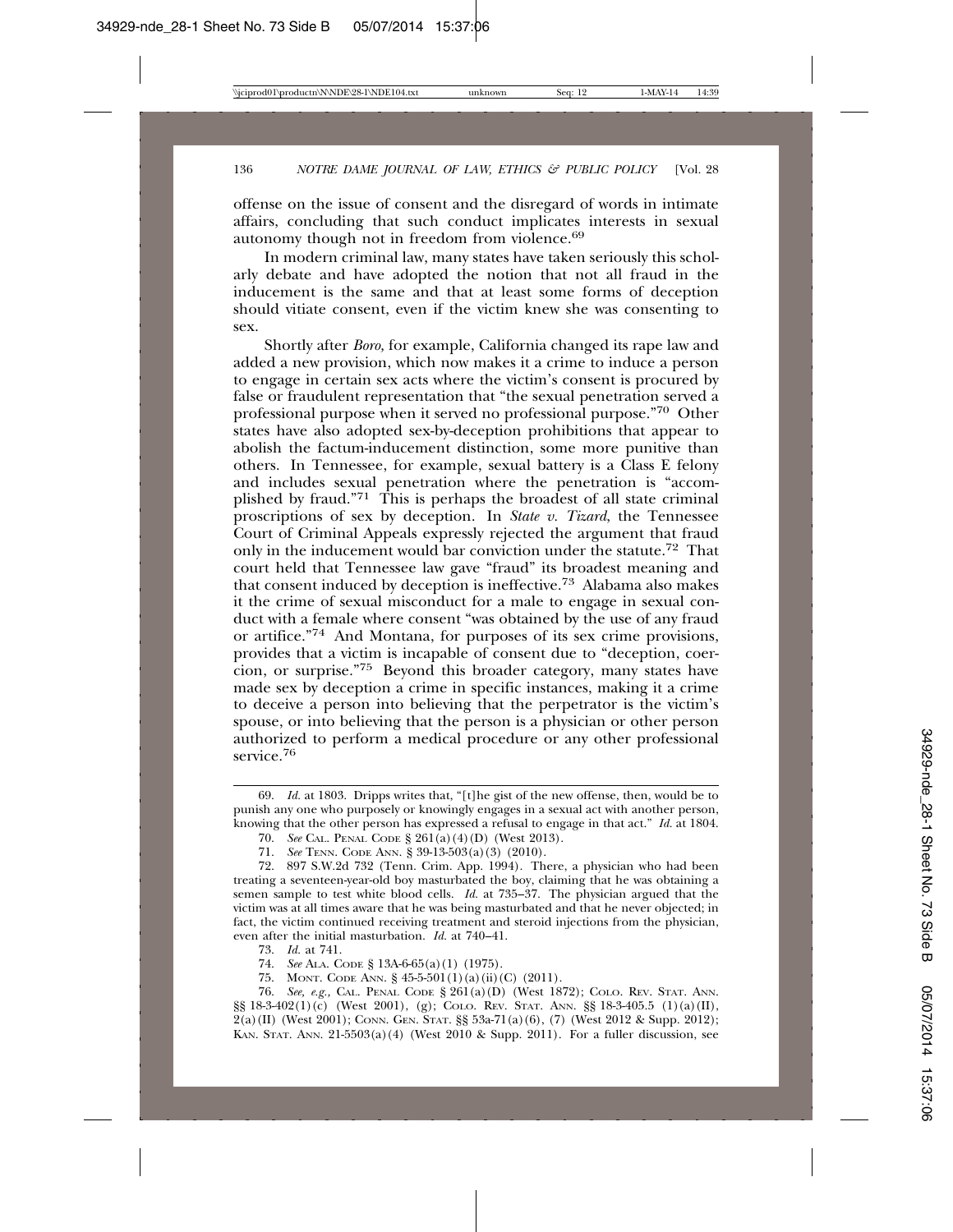offense on the issue of consent and the disregard of words in intimate affairs, concluding that such conduct implicates interests in sexual autonomy though not in freedom from violence.<sup>69</sup>

In modern criminal law, many states have taken seriously this scholarly debate and have adopted the notion that not all fraud in the inducement is the same and that at least some forms of deception should vitiate consent, even if the victim knew she was consenting to sex.

Shortly after *Boro,* for example, California changed its rape law and added a new provision, which now makes it a crime to induce a person to engage in certain sex acts where the victim's consent is procured by false or fraudulent representation that "the sexual penetration served a professional purpose when it served no professional purpose."70 Other states have also adopted sex-by-deception prohibitions that appear to abolish the factum-inducement distinction, some more punitive than others. In Tennessee, for example, sexual battery is a Class E felony and includes sexual penetration where the penetration is "accomplished by fraud."71 This is perhaps the broadest of all state criminal proscriptions of sex by deception. In *State v. Tizard*, the Tennessee Court of Criminal Appeals expressly rejected the argument that fraud only in the inducement would bar conviction under the statute.72 That court held that Tennessee law gave "fraud" its broadest meaning and that consent induced by deception is ineffective.73 Alabama also makes it the crime of sexual misconduct for a male to engage in sexual conduct with a female where consent "was obtained by the use of any fraud or artifice."74 And Montana, for purposes of its sex crime provisions, provides that a victim is incapable of consent due to "deception, coercion, or surprise."75 Beyond this broader category, many states have made sex by deception a crime in specific instances, making it a crime to deceive a person into believing that the perpetrator is the victim's spouse, or into believing that the person is a physician or other person authorized to perform a medical procedure or any other professional service.<sup>76</sup>

75. MONT. CODE ANN. § 45-5-501(1)(a)(ii)(C) (2011).

76. *See, e.g.,* CAL. PENAL CODE § 261(a)(D) (West 1872); COLO. REV. STAT. ANN. §§ 18-3-402(1)(c) (West 2001), (g); COLO. REV. STAT. ANN. §§ 18-3-405.5 (1)(a)(II), 2(a)(II) (West 2001); CONN. GEN. STAT. §§ 53a-71(a)(6), (7) (West 2012 & Supp. 2012); KAN. STAT. ANN.  $21-5503(a)(4)$  (West 2010 & Supp. 2011). For a fuller discussion, see

<sup>69.</sup> *Id.* at 1803. Dripps writes that, "[t]he gist of the new offense, then, would be to punish any one who purposely or knowingly engages in a sexual act with another person, knowing that the other person has expressed a refusal to engage in that act." *Id.* at 1804.

<sup>70.</sup> *See* CAL. PENAL CODE § 261(a)(4)(D) (West 2013).

<sup>71.</sup> *See* TENN. CODE ANN. § 39-13-503(a)(3) (2010).

<sup>72. 897</sup> S.W.2d 732 (Tenn. Crim. App. 1994). There, a physician who had been treating a seventeen-year-old boy masturbated the boy, claiming that he was obtaining a semen sample to test white blood cells. *Id.* at 735–37. The physician argued that the victim was at all times aware that he was being masturbated and that he never objected; in fact, the victim continued receiving treatment and steroid injections from the physician, even after the initial masturbation. *Id.* at 740–41.

<sup>73.</sup> *Id.* at 741.

<sup>74.</sup> *See* ALA. CODE § 13A-6-65(a)(1) (1975).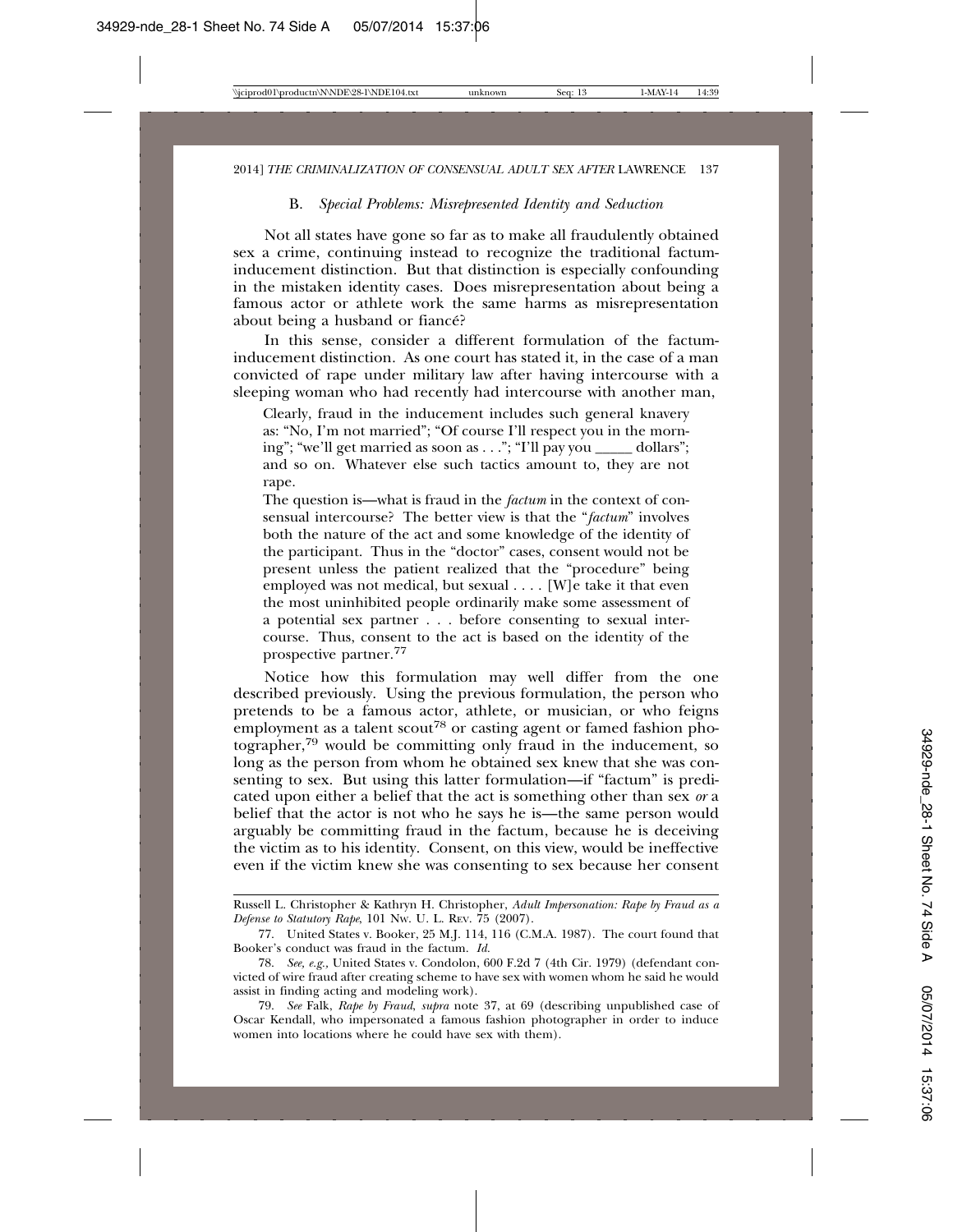#### B. *Special Problems: Misrepresented Identity and Seduction*

Not all states have gone so far as to make all fraudulently obtained sex a crime, continuing instead to recognize the traditional factuminducement distinction. But that distinction is especially confounding in the mistaken identity cases. Does misrepresentation about being a famous actor or athlete work the same harms as misrepresentation about being a husband or fiance?

In this sense, consider a different formulation of the factuminducement distinction. As one court has stated it, in the case of a man convicted of rape under military law after having intercourse with a sleeping woman who had recently had intercourse with another man,

Clearly, fraud in the inducement includes such general knavery as: "No, I'm not married"; "Of course I'll respect you in the morning"; "we'll get married as soon as . . ."; "I'll pay you dollars"; and so on. Whatever else such tactics amount to, they are not rape.

The question is—what is fraud in the *factum* in the context of consensual intercourse? The better view is that the "*factum*" involves both the nature of the act and some knowledge of the identity of the participant. Thus in the "doctor" cases, consent would not be present unless the patient realized that the "procedure" being employed was not medical, but sexual . . . . [W]e take it that even the most uninhibited people ordinarily make some assessment of a potential sex partner . . . before consenting to sexual intercourse. Thus, consent to the act is based on the identity of the prospective partner.77

Notice how this formulation may well differ from the one described previously. Using the previous formulation, the person who pretends to be a famous actor, athlete, or musician, or who feigns employment as a talent scout<sup>78</sup> or casting agent or famed fashion photographer,79 would be committing only fraud in the inducement, so long as the person from whom he obtained sex knew that she was consenting to sex. But using this latter formulation—if "factum" is predicated upon either a belief that the act is something other than sex *or* a belief that the actor is not who he says he is—the same person would arguably be committing fraud in the factum, because he is deceiving the victim as to his identity. Consent, on this view, would be ineffective even if the victim knew she was consenting to sex because her consent

79. *See* Falk, *Rape by Fraud*, *supra* note 37, at 69 (describing unpublished case of Oscar Kendall, who impersonated a famous fashion photographer in order to induce women into locations where he could have sex with them).

Russell L. Christopher & Kathryn H. Christopher, *Adult Impersonation: Rape by Fraud as a Defense to Statutory Rape*, 101 NW. U. L. REV. 75 (2007).

<sup>77.</sup> United States v. Booker, 25 M.J. 114, 116 (C.M.A. 1987). The court found that Booker's conduct was fraud in the factum. *Id.*

<sup>78.</sup> *See, e.g.,* United States v. Condolon, 600 F.2d 7 (4th Cir. 1979) (defendant convicted of wire fraud after creating scheme to have sex with women whom he said he would assist in finding acting and modeling work).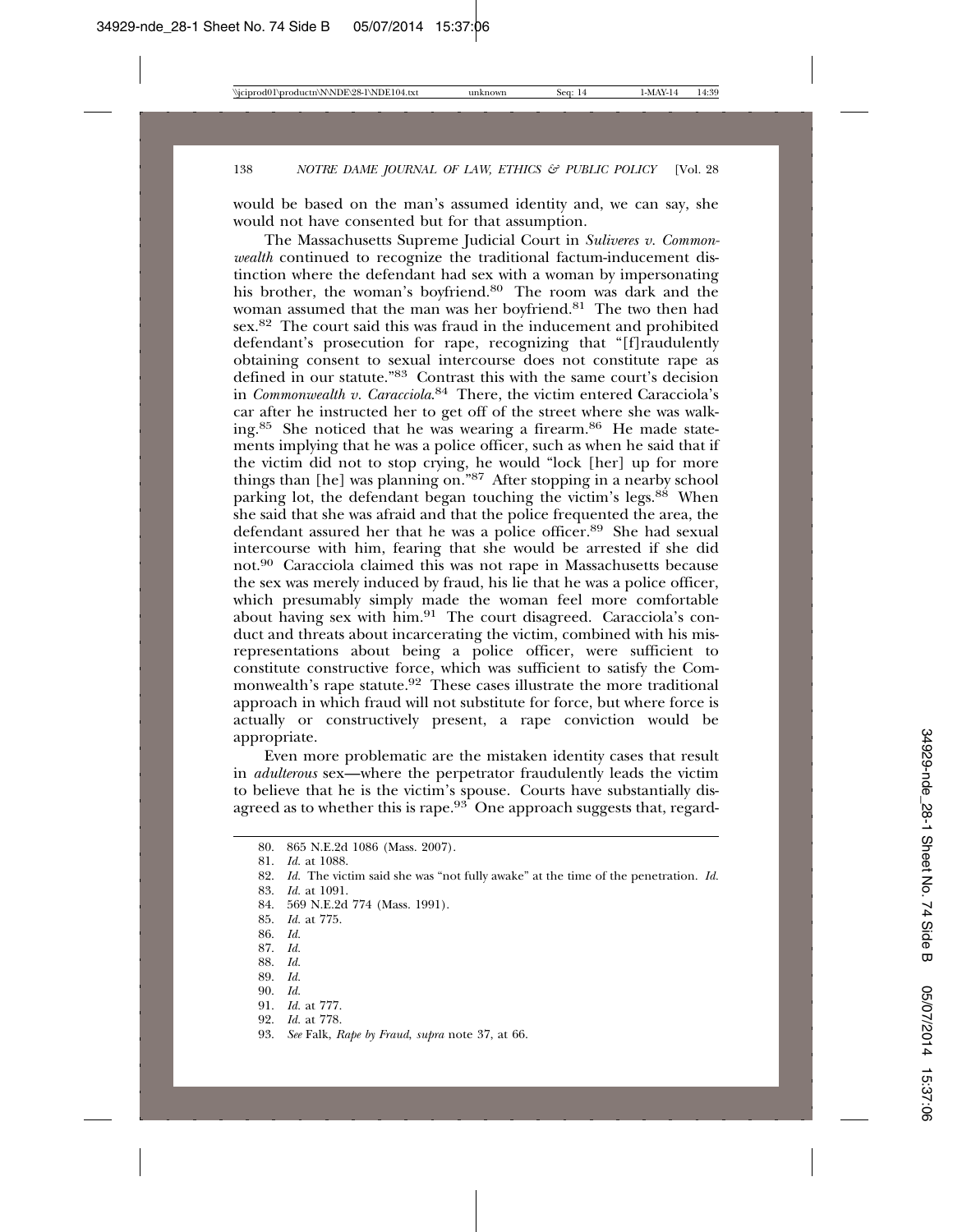would be based on the man's assumed identity and, we can say, she would not have consented but for that assumption.

The Massachusetts Supreme Judicial Court in *Suliveres v. Commonwealth* continued to recognize the traditional factum-inducement distinction where the defendant had sex with a woman by impersonating his brother, the woman's boyfriend.<sup>80</sup> The room was dark and the woman assumed that the man was her boyfriend.<sup>81</sup> The two then had sex.82 The court said this was fraud in the inducement and prohibited defendant's prosecution for rape, recognizing that "[f]raudulently obtaining consent to sexual intercourse does not constitute rape as defined in our statute."83 Contrast this with the same court's decision in *Commonwealth v. Caracciola*. 84 There, the victim entered Caracciola's car after he instructed her to get off of the street where she was walking.<sup>85</sup> She noticed that he was wearing a firearm.<sup>86</sup> He made statements implying that he was a police officer, such as when he said that if the victim did not to stop crying, he would "lock [her] up for more things than [he] was planning on."87 After stopping in a nearby school parking lot, the defendant began touching the victim's legs.<sup>88</sup> When she said that she was afraid and that the police frequented the area, the defendant assured her that he was a police officer.89 She had sexual intercourse with him, fearing that she would be arrested if she did not.90 Caracciola claimed this was not rape in Massachusetts because the sex was merely induced by fraud, his lie that he was a police officer, which presumably simply made the woman feel more comfortable about having sex with him.91 The court disagreed. Caracciola's conduct and threats about incarcerating the victim, combined with his misrepresentations about being a police officer, were sufficient to constitute constructive force, which was sufficient to satisfy the Commonwealth's rape statute.92 These cases illustrate the more traditional approach in which fraud will not substitute for force, but where force is actually or constructively present, a rape conviction would be appropriate.

Even more problematic are the mistaken identity cases that result in *adulterous* sex—where the perpetrator fraudulently leads the victim to believe that he is the victim's spouse. Courts have substantially disagreed as to whether this is rape.<sup>93</sup> One approach suggests that, regard-

- 84. 569 N.E.2d 774 (Mass. 1991).
- 85. *Id.* at 775.
- 86. *Id.*
- 87. *Id.*
- 88. *Id.*
- 89. *Id.* 90. *Id.*
- 
- 91. *Id.* at 777. 92. *Id.* at 778.
- 
- 93. *See* Falk, *Rape by Fraud*, *supra* note 37, at 66.

<sup>80. 865</sup> N.E.2d 1086 (Mass. 2007).

<sup>81.</sup> *Id.* at 1088.

<sup>82.</sup> *Id.* The victim said she was "not fully awake" at the time of the penetration. *Id.* 83. *Id.* at 1091.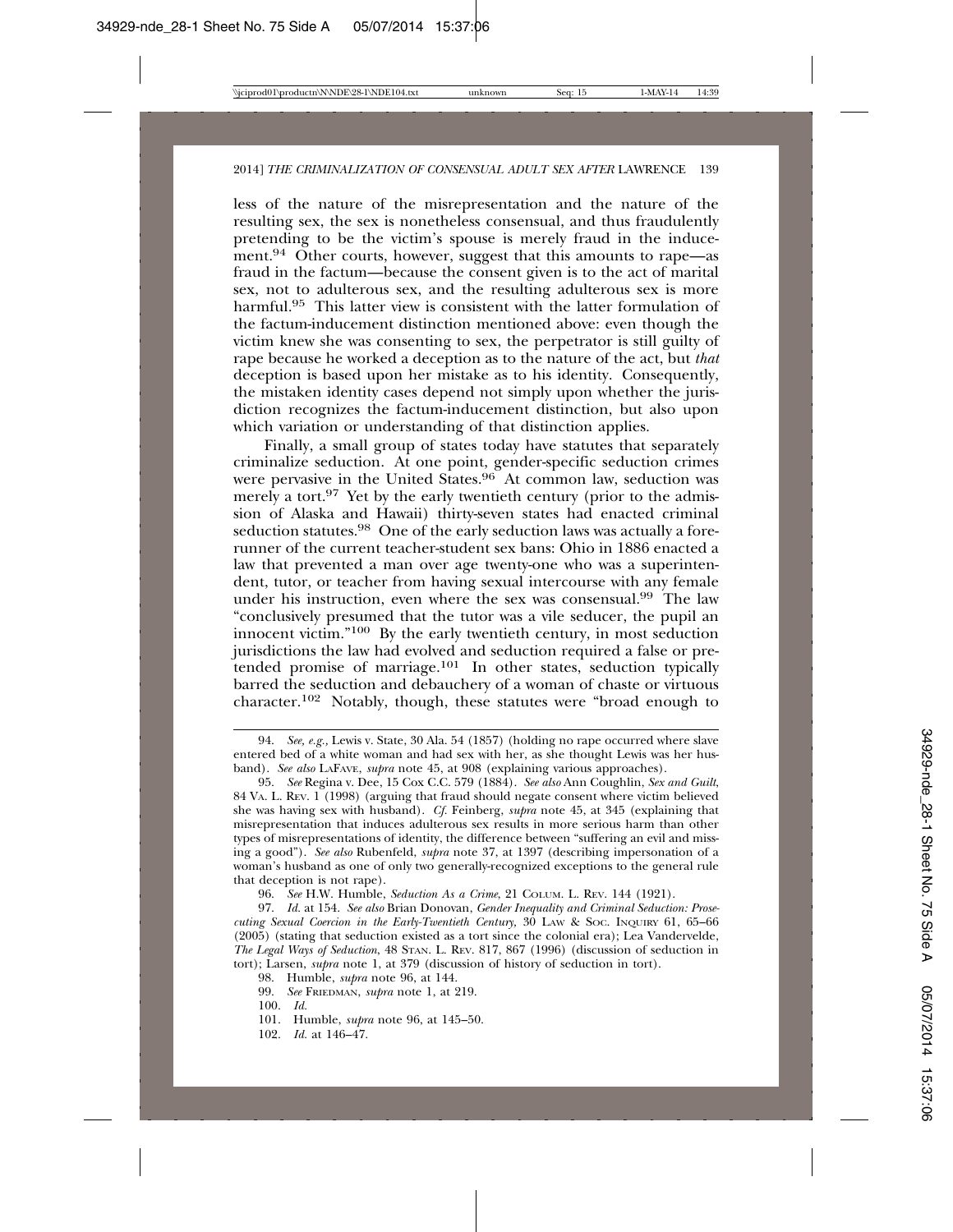less of the nature of the misrepresentation and the nature of the resulting sex, the sex is nonetheless consensual, and thus fraudulently pretending to be the victim's spouse is merely fraud in the inducement.<sup>94</sup> Other courts, however, suggest that this amounts to rape—as fraud in the factum—because the consent given is to the act of marital sex, not to adulterous sex, and the resulting adulterous sex is more harmful.<sup>95</sup> This latter view is consistent with the latter formulation of the factum-inducement distinction mentioned above: even though the victim knew she was consenting to sex, the perpetrator is still guilty of rape because he worked a deception as to the nature of the act, but *that* deception is based upon her mistake as to his identity. Consequently, the mistaken identity cases depend not simply upon whether the jurisdiction recognizes the factum-inducement distinction, but also upon which variation or understanding of that distinction applies.

Finally, a small group of states today have statutes that separately criminalize seduction. At one point, gender-specific seduction crimes were pervasive in the United  $S_{\rm t}^{\rm t}$  at common law, seduction was merely a tort.<sup>97</sup> Yet by the early twentieth century (prior to the admission of Alaska and Hawaii) thirty-seven states had enacted criminal seduction statutes.<sup>98</sup> One of the early seduction laws was actually a forerunner of the current teacher-student sex bans: Ohio in 1886 enacted a law that prevented a man over age twenty-one who was a superintendent, tutor, or teacher from having sexual intercourse with any female under his instruction, even where the sex was consensual.<sup>99</sup> The law "conclusively presumed that the tutor was a vile seducer, the pupil an innocent victim."100 By the early twentieth century, in most seduction jurisdictions the law had evolved and seduction required a false or pretended promise of marriage.<sup>101</sup> In other states, seduction typically barred the seduction and debauchery of a woman of chaste or virtuous character.102 Notably, though, these statutes were "broad enough to

96. *See* H.W. Humble, *Seduction As a Crime*, 21 COLUM. L. REV. 144 (1921).

99. *See* FRIEDMAN, *supra* note 1, at 219.

102. *Id.* at 146–47.

<sup>94.</sup> *See, e.g.,* Lewis v. State, 30 Ala. 54 (1857) (holding no rape occurred where slave entered bed of a white woman and had sex with her, as she thought Lewis was her husband). *See also* LAFAVE, *supra* note 45, at 908 (explaining various approaches).

<sup>95.</sup> *See* Regina v. Dee, 15 Cox C.C. 579 (1884). *See also* Ann Coughlin, *Sex and Guilt*, 84 VA. L. REV. 1 (1998) (arguing that fraud should negate consent where victim believed she was having sex with husband). *Cf.* Feinberg, *supra* note 45, at 345 (explaining that misrepresentation that induces adulterous sex results in more serious harm than other types of misrepresentations of identity, the difference between "suffering an evil and missing a good"). *See also* Rubenfeld, *supra* note 37, at 1397 (describing impersonation of a woman's husband as one of only two generally-recognized exceptions to the general rule that deception is not rape).

<sup>97.</sup> *Id.* at 154. *See also* Brian Donovan, *Gender Inequality and Criminal Seduction: Prosecuting Sexual Coercion in the Early-Twentieth Century,* 30 LAW & SOC. INQUIRY 61, 65–66 (2005) (stating that seduction existed as a tort since the colonial era); Lea Vandervelde, *The Legal Ways of Seduction*, 48 STAN. L. REV. 817, 867 (1996) (discussion of seduction in tort); Larsen, *supra* note 1, at 379 (discussion of history of seduction in tort).

<sup>98.</sup> Humble, *supra* note 96, at 144.

<sup>100.</sup> *Id.*

<sup>101.</sup> Humble, *supra* note 96, at 145–50.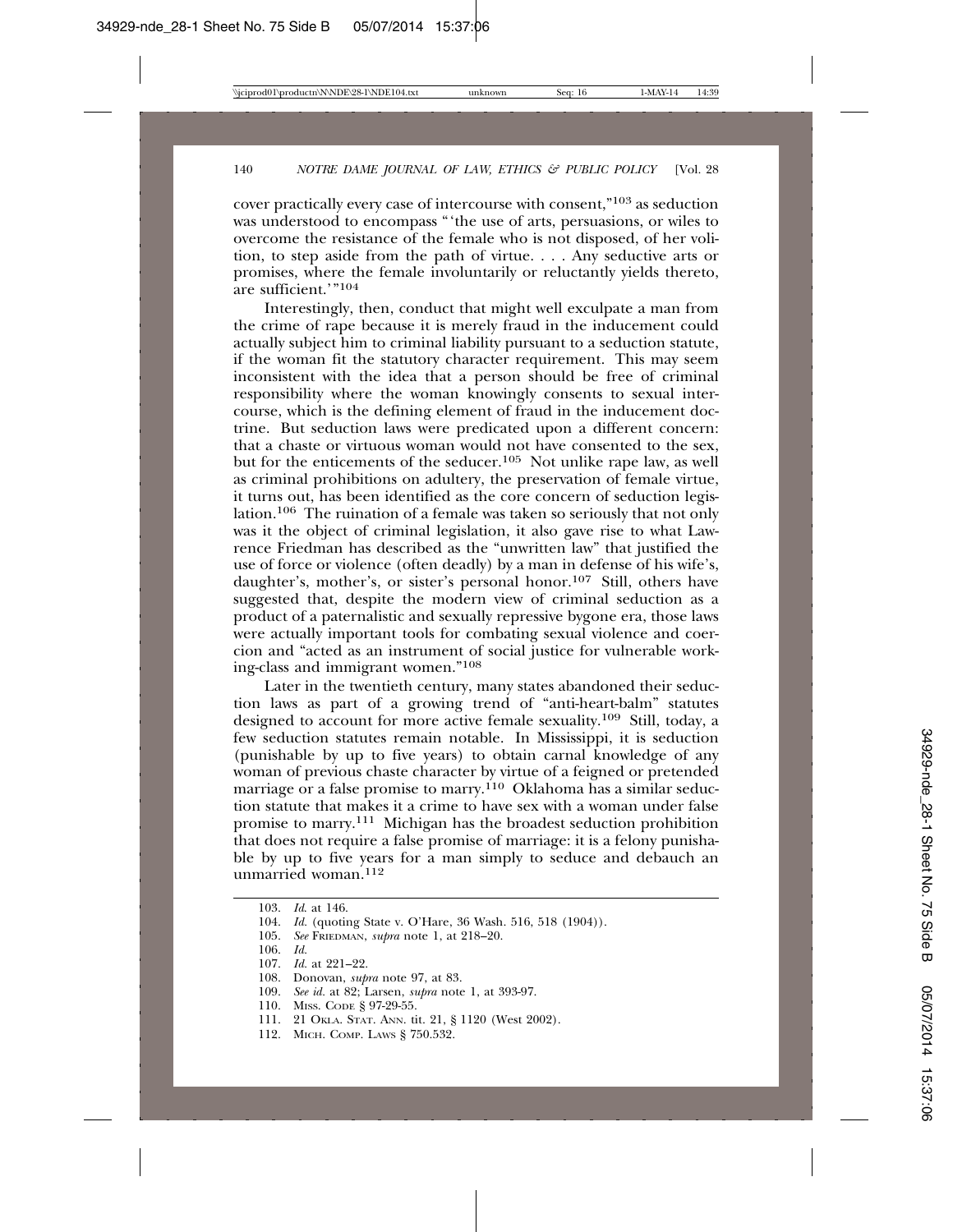cover practically every case of intercourse with consent,"103 as seduction was understood to encompass "the use of arts, persuasions, or wiles to overcome the resistance of the female who is not disposed, of her volition, to step aside from the path of virtue. . . . Any seductive arts or promises, where the female involuntarily or reluctantly yields thereto, are sufficient.'"104

Interestingly, then, conduct that might well exculpate a man from the crime of rape because it is merely fraud in the inducement could actually subject him to criminal liability pursuant to a seduction statute, if the woman fit the statutory character requirement. This may seem inconsistent with the idea that a person should be free of criminal responsibility where the woman knowingly consents to sexual intercourse, which is the defining element of fraud in the inducement doctrine. But seduction laws were predicated upon a different concern: that a chaste or virtuous woman would not have consented to the sex, but for the enticements of the seducer.<sup>105</sup> Not unlike rape law, as well as criminal prohibitions on adultery, the preservation of female virtue, it turns out, has been identified as the core concern of seduction legislation.106 The ruination of a female was taken so seriously that not only was it the object of criminal legislation, it also gave rise to what Lawrence Friedman has described as the "unwritten law" that justified the use of force or violence (often deadly) by a man in defense of his wife's, daughter's, mother's, or sister's personal honor.107 Still, others have suggested that, despite the modern view of criminal seduction as a product of a paternalistic and sexually repressive bygone era, those laws were actually important tools for combating sexual violence and coercion and "acted as an instrument of social justice for vulnerable working-class and immigrant women."108

Later in the twentieth century, many states abandoned their seduction laws as part of a growing trend of "anti-heart-balm" statutes designed to account for more active female sexuality.109 Still, today, a few seduction statutes remain notable. In Mississippi, it is seduction (punishable by up to five years) to obtain carnal knowledge of any woman of previous chaste character by virtue of a feigned or pretended marriage or a false promise to marry.<sup>110</sup> Oklahoma has a similar seduction statute that makes it a crime to have sex with a woman under false promise to marry.111 Michigan has the broadest seduction prohibition that does not require a false promise of marriage: it is a felony punishable by up to five years for a man simply to seduce and debauch an unmarried woman.112

105. *See* FRIEDMAN, *supra* note 1, at 218–20.

110. MISS. CODE § 97-29-55.

112. MICH. COMP. LAWS § 750.532.

<sup>103.</sup> *Id*. at 146.

<sup>104.</sup> *Id.* (quoting State v. O'Hare, 36 Wash. 516, 518 (1904)).

<sup>106.</sup> *Id.*

<sup>107.</sup> *Id.* at 221–22.

<sup>108.</sup> Donovan, *supra* note 97, at 83.

<sup>109.</sup> *See id.* at 82; Larsen, *supra* note 1, at 393-97.

<sup>111. 21</sup> OKLA. STAT. ANN. tit. 21, § 1120 (West 2002).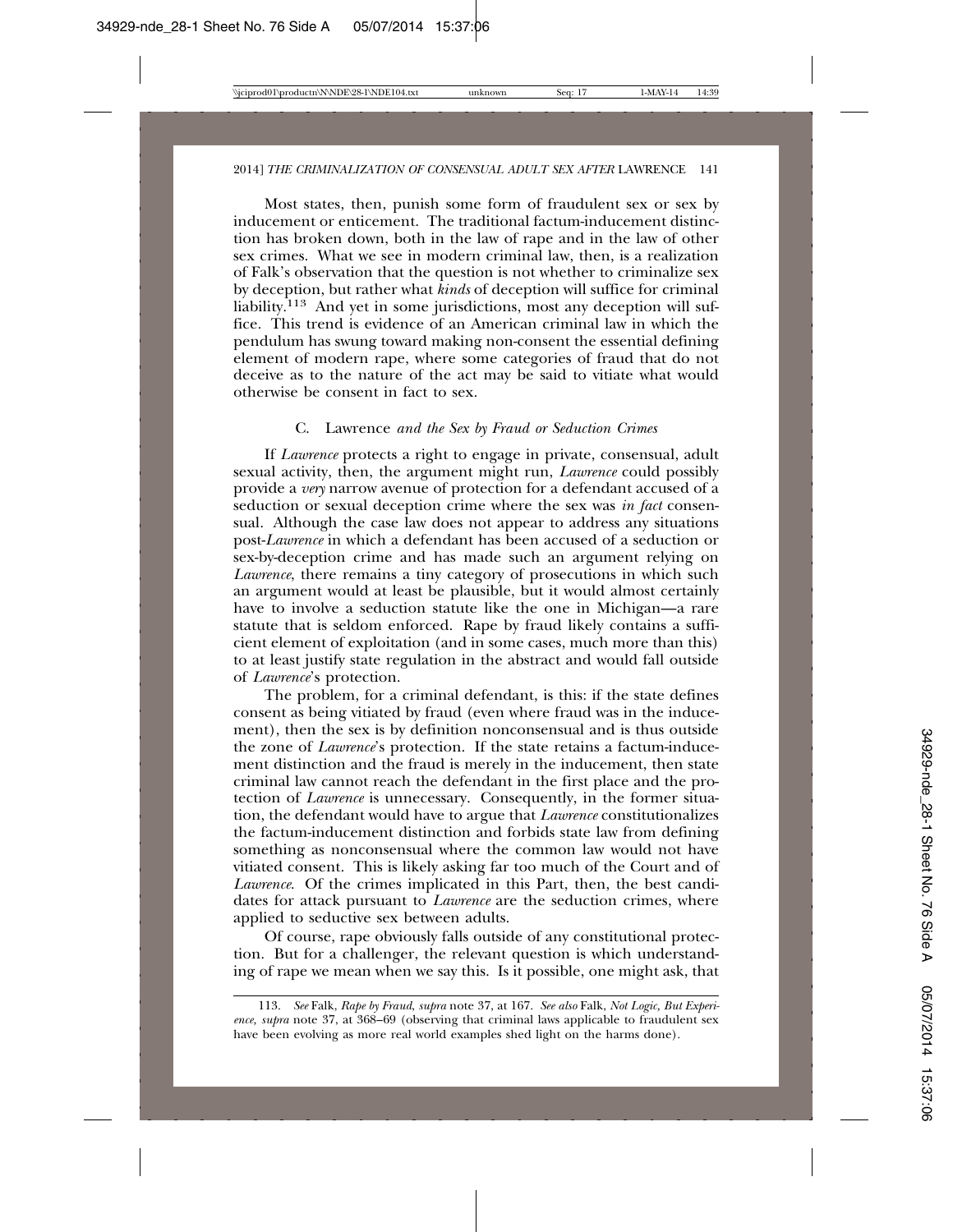Most states, then, punish some form of fraudulent sex or sex by inducement or enticement. The traditional factum-inducement distinction has broken down, both in the law of rape and in the law of other sex crimes. What we see in modern criminal law, then, is a realization of Falk's observation that the question is not whether to criminalize sex by deception, but rather what *kinds* of deception will suffice for criminal liability.113 And yet in some jurisdictions, most any deception will suffice. This trend is evidence of an American criminal law in which the pendulum has swung toward making non-consent the essential defining element of modern rape, where some categories of fraud that do not deceive as to the nature of the act may be said to vitiate what would otherwise be consent in fact to sex.

#### C. Lawrence *and the Sex by Fraud or Seduction Crimes*

If *Lawrence* protects a right to engage in private, consensual, adult sexual activity, then, the argument might run, *Lawrence* could possibly provide a *very* narrow avenue of protection for a defendant accused of a seduction or sexual deception crime where the sex was *in fact* consensual. Although the case law does not appear to address any situations post-*Lawrence* in which a defendant has been accused of a seduction or sex-by-deception crime and has made such an argument relying on *Lawrence*, there remains a tiny category of prosecutions in which such an argument would at least be plausible, but it would almost certainly have to involve a seduction statute like the one in Michigan—a rare statute that is seldom enforced. Rape by fraud likely contains a sufficient element of exploitation (and in some cases, much more than this) to at least justify state regulation in the abstract and would fall outside of *Lawrence*'s protection.

The problem, for a criminal defendant, is this: if the state defines consent as being vitiated by fraud (even where fraud was in the inducement), then the sex is by definition nonconsensual and is thus outside the zone of *Lawrence*'s protection. If the state retains a factum-inducement distinction and the fraud is merely in the inducement, then state criminal law cannot reach the defendant in the first place and the protection of *Lawrence* is unnecessary. Consequently, in the former situation, the defendant would have to argue that *Lawrence* constitutionalizes the factum-inducement distinction and forbids state law from defining something as nonconsensual where the common law would not have vitiated consent. This is likely asking far too much of the Court and of *Lawrence*. Of the crimes implicated in this Part, then, the best candidates for attack pursuant to *Lawrence* are the seduction crimes, where applied to seductive sex between adults.

Of course, rape obviously falls outside of any constitutional protection. But for a challenger, the relevant question is which understanding of rape we mean when we say this. Is it possible, one might ask, that

<sup>113.</sup> *See* Falk, *Rape by Fraud*, *supra* note 37, at 167. *See also* Falk, *Not Logic, But Experience, supra* note 37, at 368–69 (observing that criminal laws applicable to fraudulent sex have been evolving as more real world examples shed light on the harms done).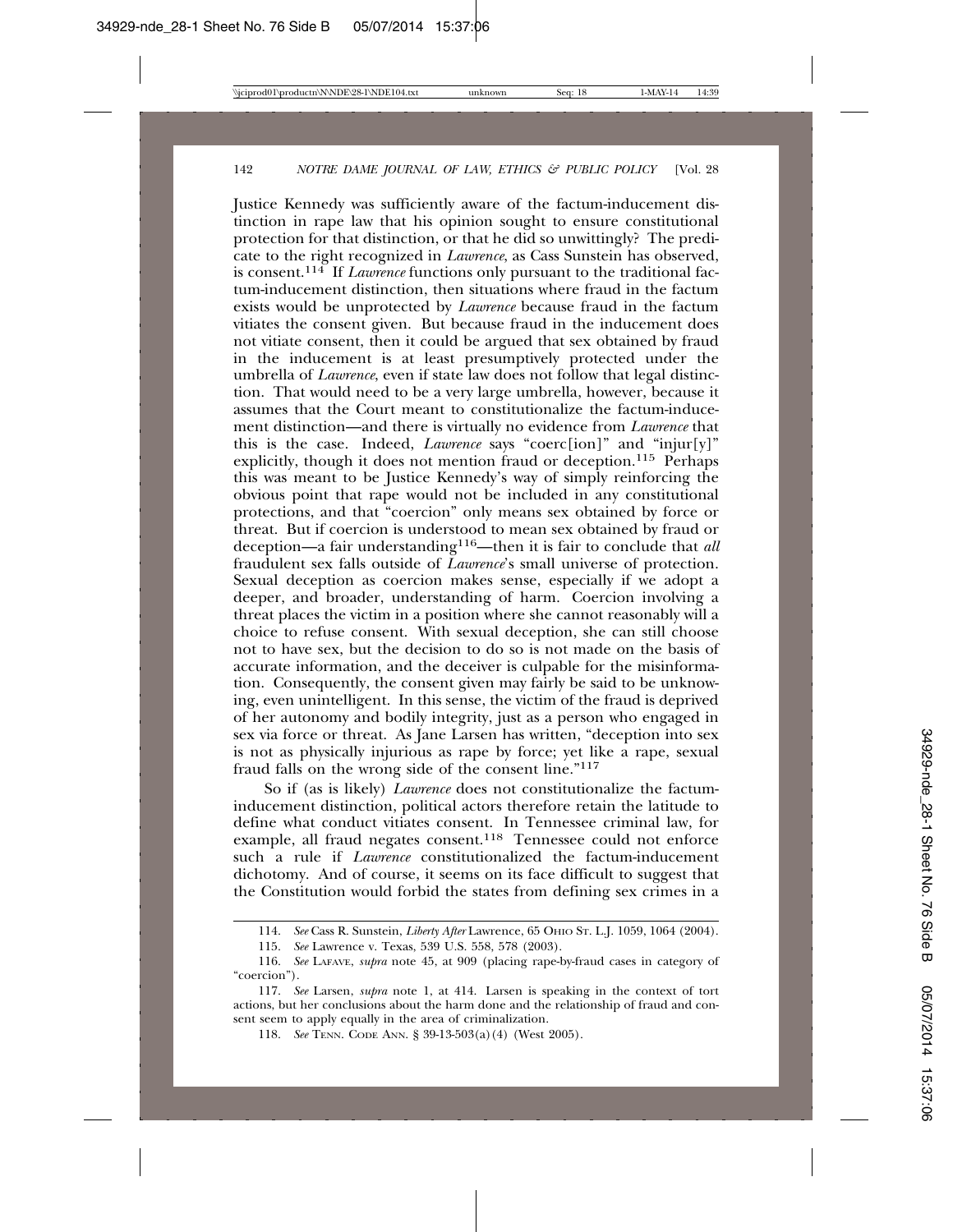Justice Kennedy was sufficiently aware of the factum-inducement distinction in rape law that his opinion sought to ensure constitutional protection for that distinction, or that he did so unwittingly? The predicate to the right recognized in *Lawrence*, as Cass Sunstein has observed, is consent.114 If *Lawrence* functions only pursuant to the traditional factum-inducement distinction, then situations where fraud in the factum exists would be unprotected by *Lawrence* because fraud in the factum vitiates the consent given. But because fraud in the inducement does not vitiate consent, then it could be argued that sex obtained by fraud in the inducement is at least presumptively protected under the umbrella of *Lawrence*, even if state law does not follow that legal distinction. That would need to be a very large umbrella, however, because it assumes that the Court meant to constitutionalize the factum-inducement distinction—and there is virtually no evidence from *Lawrence* that this is the case. Indeed, *Lawrence* says "coerc[ion]" and "injur[y]" explicitly, though it does not mention fraud or deception.<sup>115</sup> Perhaps this was meant to be Justice Kennedy's way of simply reinforcing the obvious point that rape would not be included in any constitutional protections, and that "coercion" only means sex obtained by force or threat. But if coercion is understood to mean sex obtained by fraud or deception—a fair understanding116—then it is fair to conclude that *all* fraudulent sex falls outside of *Lawrence*'s small universe of protection. Sexual deception as coercion makes sense, especially if we adopt a deeper, and broader, understanding of harm. Coercion involving a threat places the victim in a position where she cannot reasonably will a choice to refuse consent. With sexual deception, she can still choose not to have sex, but the decision to do so is not made on the basis of accurate information, and the deceiver is culpable for the misinformation. Consequently, the consent given may fairly be said to be unknowing, even unintelligent. In this sense, the victim of the fraud is deprived of her autonomy and bodily integrity, just as a person who engaged in sex via force or threat. As Jane Larsen has written, "deception into sex is not as physically injurious as rape by force; yet like a rape, sexual fraud falls on the wrong side of the consent line."117

So if (as is likely) *Lawrence* does not constitutionalize the factuminducement distinction, political actors therefore retain the latitude to define what conduct vitiates consent. In Tennessee criminal law, for example, all fraud negates consent.<sup>118</sup> Tennessee could not enforce such a rule if *Lawrence* constitutionalized the factum-inducement dichotomy. And of course, it seems on its face difficult to suggest that the Constitution would forbid the states from defining sex crimes in a

<sup>114.</sup> *See* Cass R. Sunstein, *Liberty After* Lawrence, 65 OHIO ST. L.J. 1059, 1064 (2004).

<sup>115.</sup> *See* Lawrence v. Texas, 539 U.S. 558, 578 (2003).

<sup>116.</sup> *See* LAFAVE, *supra* note 45, at 909 (placing rape-by-fraud cases in category of "coercion").

<sup>117.</sup> *See* Larsen, *supra* note 1, at 414. Larsen is speaking in the context of tort actions, but her conclusions about the harm done and the relationship of fraud and consent seem to apply equally in the area of criminalization.

<sup>118.</sup> *See* TENN. CODE ANN. § 39-13-503(a)(4) (West 2005).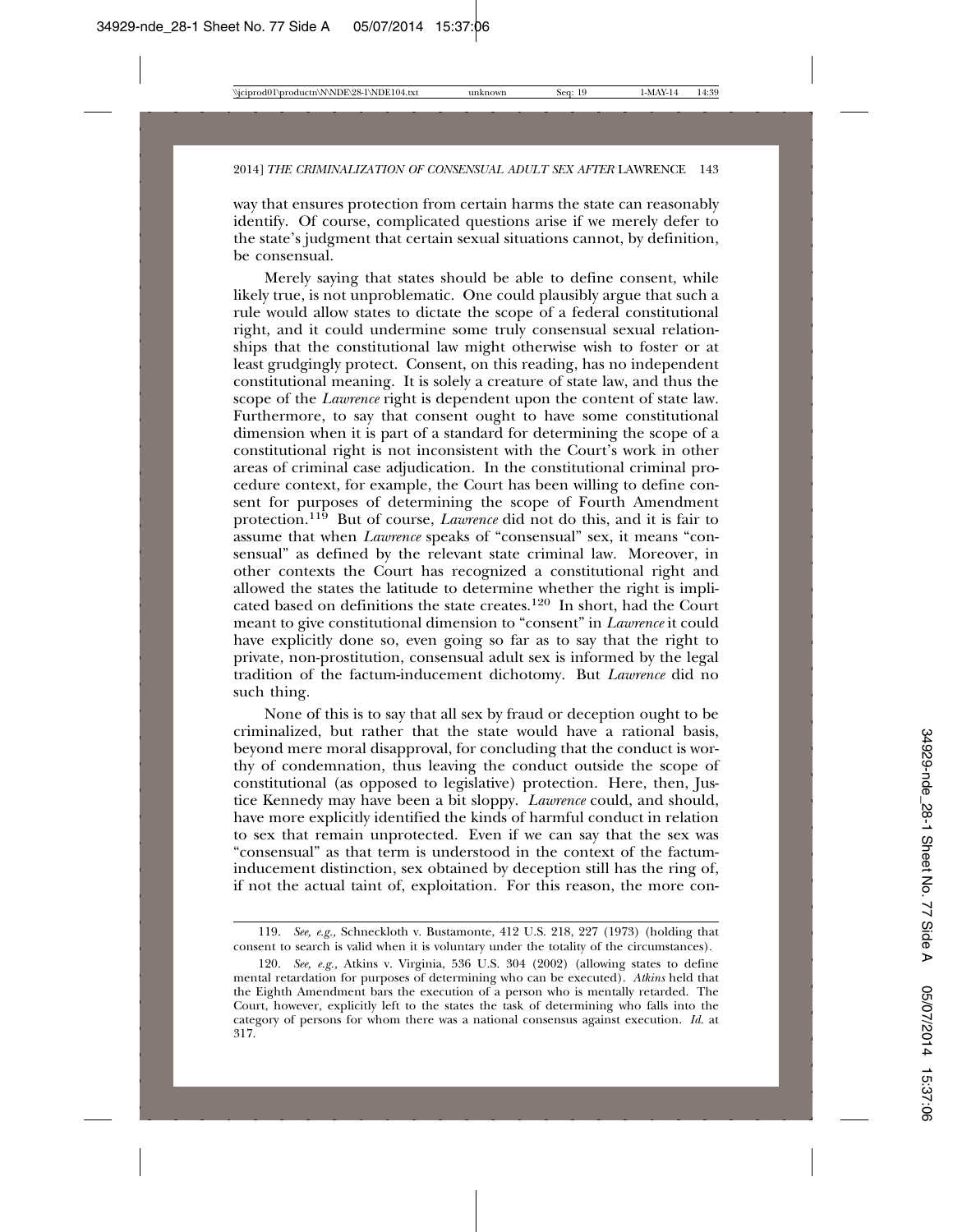way that ensures protection from certain harms the state can reasonably identify. Of course, complicated questions arise if we merely defer to the state's judgment that certain sexual situations cannot, by definition, be consensual.

Merely saying that states should be able to define consent, while likely true, is not unproblematic. One could plausibly argue that such a rule would allow states to dictate the scope of a federal constitutional right, and it could undermine some truly consensual sexual relationships that the constitutional law might otherwise wish to foster or at least grudgingly protect. Consent, on this reading, has no independent constitutional meaning. It is solely a creature of state law, and thus the scope of the *Lawrence* right is dependent upon the content of state law. Furthermore, to say that consent ought to have some constitutional dimension when it is part of a standard for determining the scope of a constitutional right is not inconsistent with the Court's work in other areas of criminal case adjudication. In the constitutional criminal procedure context, for example, the Court has been willing to define consent for purposes of determining the scope of Fourth Amendment protection.119 But of course, *Lawrence* did not do this, and it is fair to assume that when *Lawrence* speaks of "consensual" sex, it means "consensual" as defined by the relevant state criminal law. Moreover, in other contexts the Court has recognized a constitutional right and allowed the states the latitude to determine whether the right is implicated based on definitions the state creates.120 In short, had the Court meant to give constitutional dimension to "consent" in *Lawrence* it could have explicitly done so, even going so far as to say that the right to private, non-prostitution, consensual adult sex is informed by the legal tradition of the factum-inducement dichotomy. But *Lawrence* did no such thing.

None of this is to say that all sex by fraud or deception ought to be criminalized, but rather that the state would have a rational basis, beyond mere moral disapproval, for concluding that the conduct is worthy of condemnation, thus leaving the conduct outside the scope of constitutional (as opposed to legislative) protection. Here, then, Justice Kennedy may have been a bit sloppy. *Lawrence* could, and should, have more explicitly identified the kinds of harmful conduct in relation to sex that remain unprotected. Even if we can say that the sex was "consensual" as that term is understood in the context of the factuminducement distinction, sex obtained by deception still has the ring of, if not the actual taint of, exploitation. For this reason, the more con-

<sup>119.</sup> *See, e.g.,* Schneckloth v. Bustamonte, 412 U.S. 218, 227 (1973) (holding that consent to search is valid when it is voluntary under the totality of the circumstances).

<sup>120.</sup> *See, e.g.,* Atkins v. Virginia, 536 U.S. 304 (2002) (allowing states to define mental retardation for purposes of determining who can be executed). *Atkins* held that the Eighth Amendment bars the execution of a person who is mentally retarded. The Court, however, explicitly left to the states the task of determining who falls into the category of persons for whom there was a national consensus against execution. *Id.* at 317.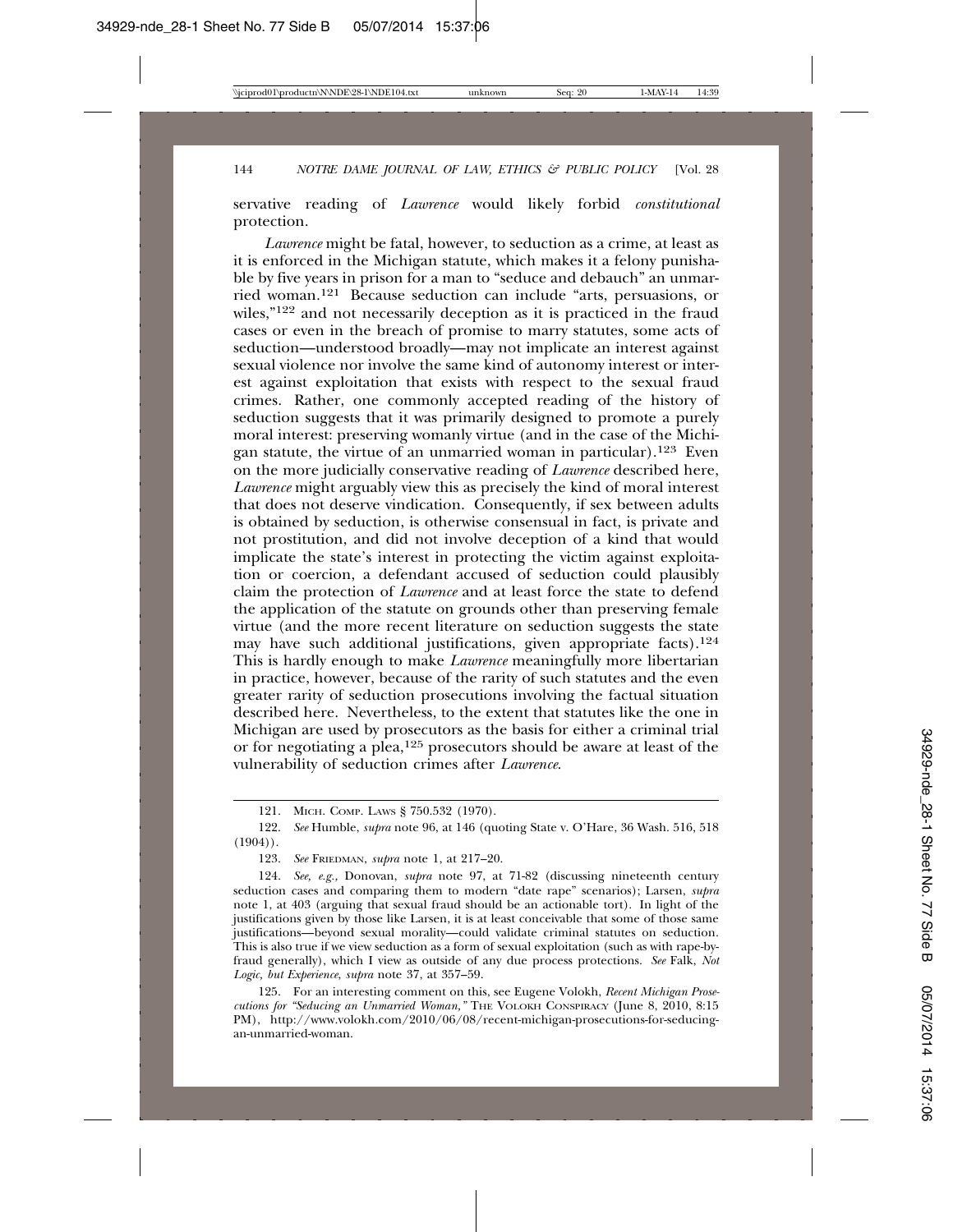servative reading of *Lawrence* would likely forbid *constitutional* protection.

*Lawrence* might be fatal, however, to seduction as a crime, at least as it is enforced in the Michigan statute, which makes it a felony punishable by five years in prison for a man to "seduce and debauch" an unmarried woman.121 Because seduction can include "arts, persuasions, or wiles,"122 and not necessarily deception as it is practiced in the fraud cases or even in the breach of promise to marry statutes, some acts of seduction—understood broadly—may not implicate an interest against sexual violence nor involve the same kind of autonomy interest or interest against exploitation that exists with respect to the sexual fraud crimes. Rather, one commonly accepted reading of the history of seduction suggests that it was primarily designed to promote a purely moral interest: preserving womanly virtue (and in the case of the Michigan statute, the virtue of an unmarried woman in particular).123 Even on the more judicially conservative reading of *Lawrence* described here, *Lawrence* might arguably view this as precisely the kind of moral interest that does not deserve vindication. Consequently, if sex between adults is obtained by seduction, is otherwise consensual in fact, is private and not prostitution, and did not involve deception of a kind that would implicate the state's interest in protecting the victim against exploitation or coercion, a defendant accused of seduction could plausibly claim the protection of *Lawrence* and at least force the state to defend the application of the statute on grounds other than preserving female virtue (and the more recent literature on seduction suggests the state may have such additional justifications, given appropriate facts).<sup>124</sup> This is hardly enough to make *Lawrence* meaningfully more libertarian in practice, however, because of the rarity of such statutes and the even greater rarity of seduction prosecutions involving the factual situation described here. Nevertheless, to the extent that statutes like the one in Michigan are used by prosecutors as the basis for either a criminal trial or for negotiating a plea,125 prosecutors should be aware at least of the vulnerability of seduction crimes after *Lawrence*.

125. For an interesting comment on this, see Eugene Volokh, *Recent Michigan Prosecutions for "Seducing an Unmarried Woman,"* THE VOLOKH CONSPIRACY (June 8, 2010, 8:15 PM), http://www.volokh.com/2010/06/08/recent-michigan-prosecutions-for-seducingan-unmarried-woman.

<sup>121.</sup> MICH. COMP. LAWS § 750.532 (1970).

<sup>122.</sup> *See* Humble, *supra* note 96, at 146 (quoting State v. O'Hare, 36 Wash. 516, 518  $(1904)$ .

<sup>123.</sup> *See* FRIEDMAN, *supra* note 1, at 217–20.

<sup>124.</sup> *See, e.g.,* Donovan, *supra* note 97, at 71-82 (discussing nineteenth century seduction cases and comparing them to modern "date rape" scenarios); Larsen, *supra* note 1, at 403 (arguing that sexual fraud should be an actionable tort). In light of the justifications given by those like Larsen, it is at least conceivable that some of those same justifications—beyond sexual morality—could validate criminal statutes on seduction. This is also true if we view seduction as a form of sexual exploitation (such as with rape-byfraud generally), which I view as outside of any due process protections. *See* Falk, *Not Logic, but Experience*, *supra* note 37, at 357–59.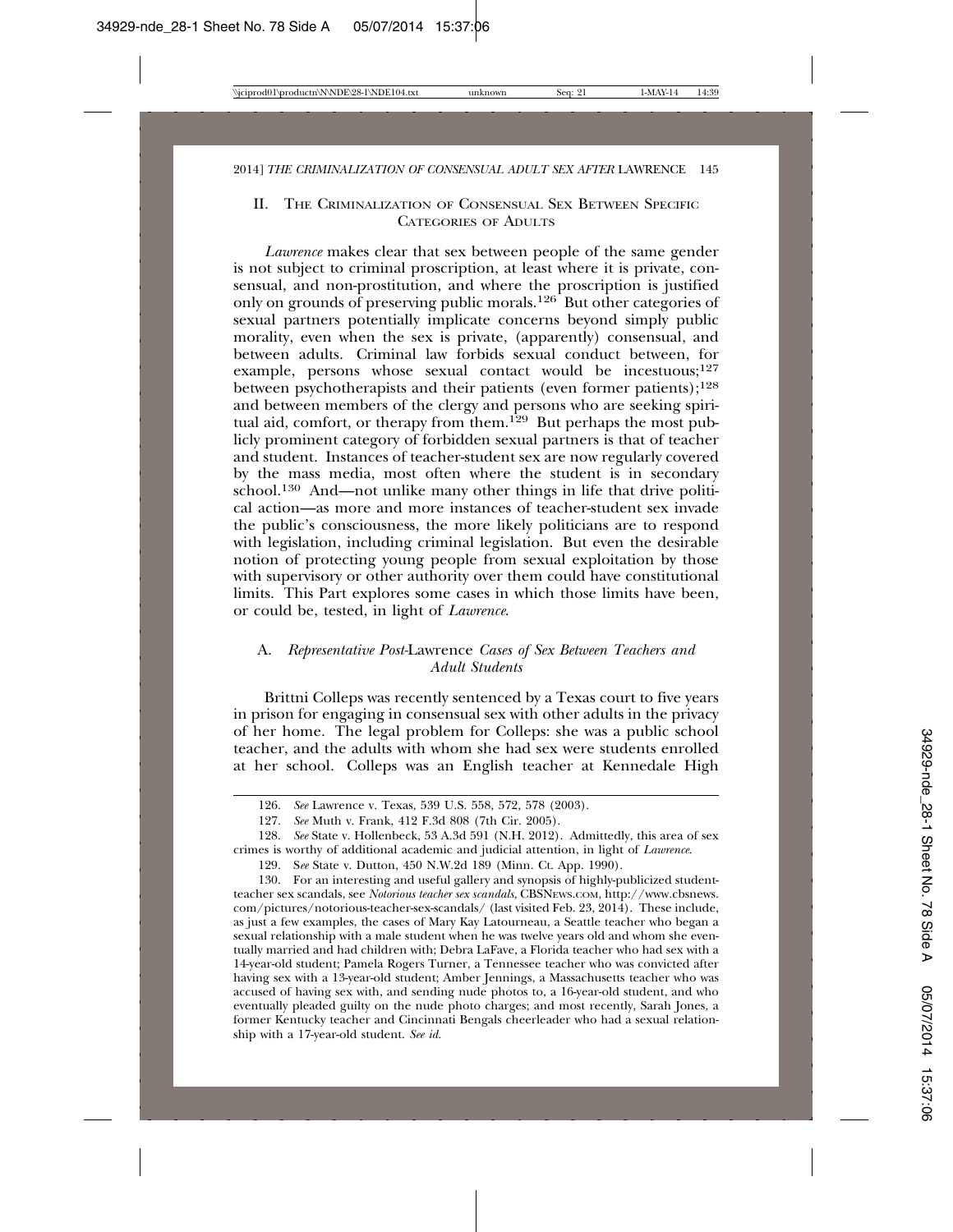#### II. THE CRIMINALIZATION OF CONSENSUAL SEX BETWEEN SPECIFIC CATEGORIES OF ADULTS

*Lawrence* makes clear that sex between people of the same gender is not subject to criminal proscription, at least where it is private, consensual, and non-prostitution, and where the proscription is justified only on grounds of preserving public morals.<sup>126</sup> But other categories of sexual partners potentially implicate concerns beyond simply public morality, even when the sex is private, (apparently) consensual, and between adults. Criminal law forbids sexual conduct between, for example, persons whose sexual contact would be incestuous;<sup>127</sup> between psychotherapists and their patients (even former patients);128 and between members of the clergy and persons who are seeking spiritual aid, comfort, or therapy from them.<sup>129</sup> But perhaps the most publicly prominent category of forbidden sexual partners is that of teacher and student. Instances of teacher-student sex are now regularly covered by the mass media, most often where the student is in secondary school.130 And—not unlike many other things in life that drive political action—as more and more instances of teacher-student sex invade the public's consciousness, the more likely politicians are to respond with legislation, including criminal legislation. But even the desirable notion of protecting young people from sexual exploitation by those with supervisory or other authority over them could have constitutional limits. This Part explores some cases in which those limits have been, or could be, tested, in light of *Lawrence*.

#### A. *Representative Post-*Lawrence *Cases of Sex Between Teachers and Adult Students*

Brittni Colleps was recently sentenced by a Texas court to five years in prison for engaging in consensual sex with other adults in the privacy of her home. The legal problem for Colleps: she was a public school teacher, and the adults with whom she had sex were students enrolled at her school. Colleps was an English teacher at Kennedale High

<sup>126.</sup> *See* Lawrence v. Texas, 539 U.S. 558, 572, 578 (2003).

<sup>127.</sup> *See* Muth v. Frank, 412 F.3d 808 (7th Cir. 2005).

<sup>128.</sup> *See* State v. Hollenbeck, 53 A.3d 591 (N.H. 2012). Admittedly, this area of sex crimes is worthy of additional academic and judicial attention, in light of *Lawrence*.

<sup>129.</sup> S*ee* State v. Dutton, 450 N.W.2d 189 (Minn. Ct. App. 1990).

<sup>130.</sup> For an interesting and useful gallery and synopsis of highly-publicized studentteacher sex scandals, see *Notorious teacher sex scandals*, CBSNEWS.COM, http://www.cbsnews. com/pictures/notorious-teacher-sex-scandals/ (last visited Feb. 23, 2014). These include, as just a few examples, the cases of Mary Kay Latourneau, a Seattle teacher who began a sexual relationship with a male student when he was twelve years old and whom she eventually married and had children with; Debra LaFave, a Florida teacher who had sex with a 14-year-old student; Pamela Rogers Turner, a Tennessee teacher who was convicted after having sex with a 13-year-old student; Amber Jennings, a Massachusetts teacher who was accused of having sex with, and sending nude photos to, a 16-year-old student, and who eventually pleaded guilty on the nude photo charges; and most recently, Sarah Jones, a former Kentucky teacher and Cincinnati Bengals cheerleader who had a sexual relationship with a 17-year-old student. *See id.*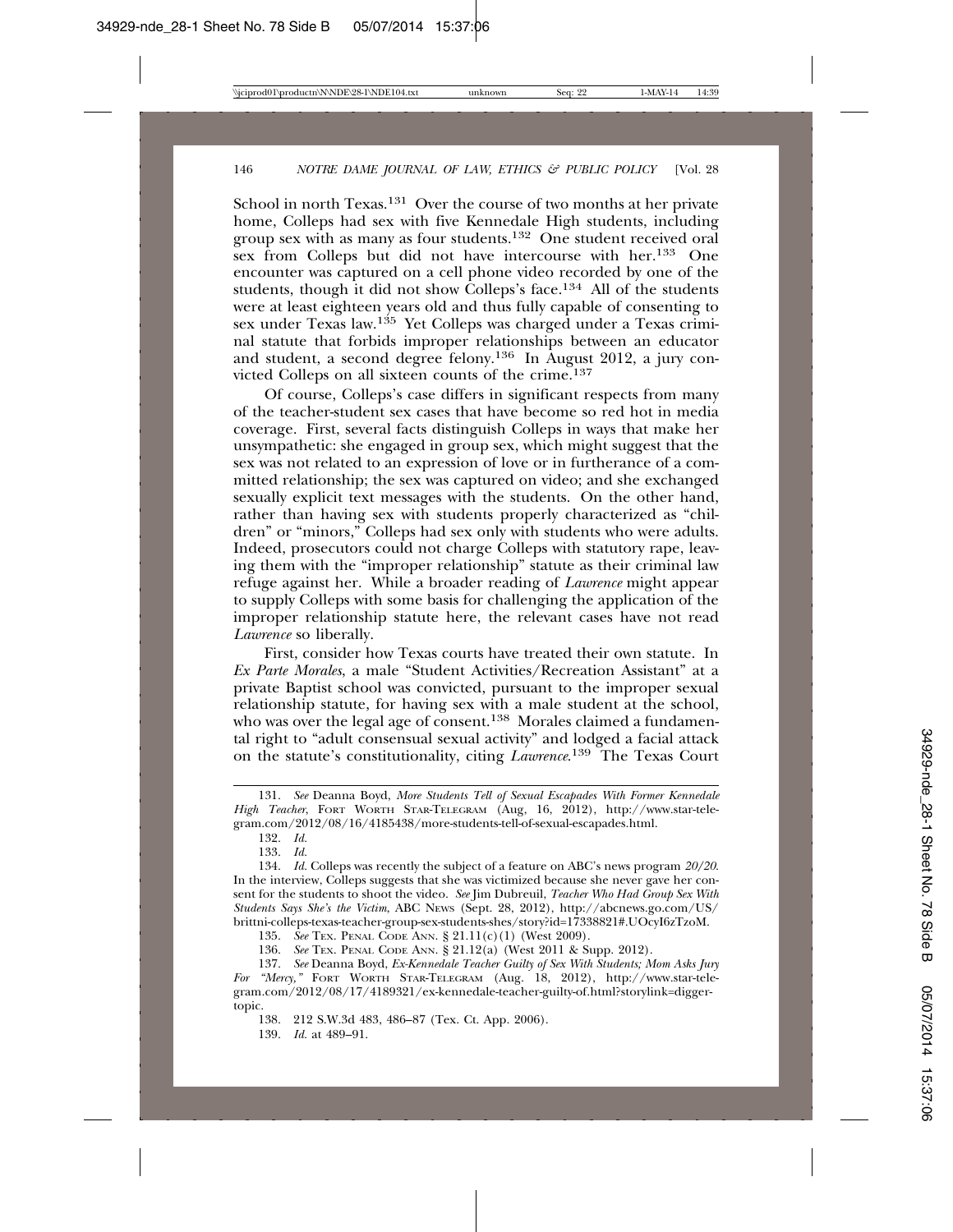School in north Texas.<sup>131</sup> Over the course of two months at her private home, Colleps had sex with five Kennedale High students, including group sex with as many as four students.132 One student received oral sex from Colleps but did not have intercourse with her.133 One encounter was captured on a cell phone video recorded by one of the students, though it did not show Colleps's face.<sup>134</sup> All of the students were at least eighteen years old and thus fully capable of consenting to sex under Texas law.<sup>135</sup> Yet Colleps was charged under a Texas criminal statute that forbids improper relationships between an educator and student, a second degree felony.136 In August 2012, a jury convicted Colleps on all sixteen counts of the crime.137

Of course, Colleps's case differs in significant respects from many of the teacher-student sex cases that have become so red hot in media coverage. First, several facts distinguish Colleps in ways that make her unsympathetic: she engaged in group sex, which might suggest that the sex was not related to an expression of love or in furtherance of a committed relationship; the sex was captured on video; and she exchanged sexually explicit text messages with the students. On the other hand, rather than having sex with students properly characterized as "children" or "minors," Colleps had sex only with students who were adults. Indeed, prosecutors could not charge Colleps with statutory rape, leaving them with the "improper relationship" statute as their criminal law refuge against her. While a broader reading of *Lawrence* might appear to supply Colleps with some basis for challenging the application of the improper relationship statute here, the relevant cases have not read *Lawrence* so liberally.

First, consider how Texas courts have treated their own statute. In *Ex Parte Morales*, a male "Student Activities/Recreation Assistant" at a private Baptist school was convicted, pursuant to the improper sexual relationship statute, for having sex with a male student at the school, who was over the legal age of consent.<sup>138</sup> Morales claimed a fundamental right to "adult consensual sexual activity" and lodged a facial attack on the statute's constitutionality, citing *Lawrence*. 139 The Texas Court

132. *Id.*

133. *Id.*

135. *See* TEX. PENAL CODE ANN. § 21.11(c)(1) (West 2009).

136. *See* TEX. PENAL CODE ANN. § 21.12(a) (West 2011 & Supp. 2012).

139. *Id.* at 489–91.

<sup>131.</sup> *See* Deanna Boyd, *More Students Tell of Sexual Escapades With Former Kennedale High Teacher*, FORT WORTH STAR-TELEGRAM (Aug, 16, 2012), http://www.star-telegram.com/2012/08/16/4185438/more-students-tell-of-sexual-escapades.html.

<sup>134.</sup> *Id.* Colleps was recently the subject of a feature on ABC's news program *20/20*. In the interview, Colleps suggests that she was victimized because she never gave her consent for the students to shoot the video. *See* Jim Dubreuil, *Teacher Who Had Group Sex With Students Says She's the Victim*, ABC NEWS (Sept. 28, 2012), http://abcnews.go.com/US/ brittni-colleps-texas-teacher-group-sex-students-shes/story?id=17338821#.UOcyI6zTzoM.

<sup>137.</sup> *See* Deanna Boyd, *Ex-Kennedale Teacher Guilty of Sex With Students; Mom Asks Jury For "Mercy,"* FORT WORTH STAR-TELEGRAM (Aug. 18, 2012), http://www.star-telegram.com/2012/08/17/4189321/ex-kennedale-teacher-guilty-of.html?storylink=diggertopic.

<sup>138. 212</sup> S.W.3d 483, 486–87 (Tex. Ct. App. 2006).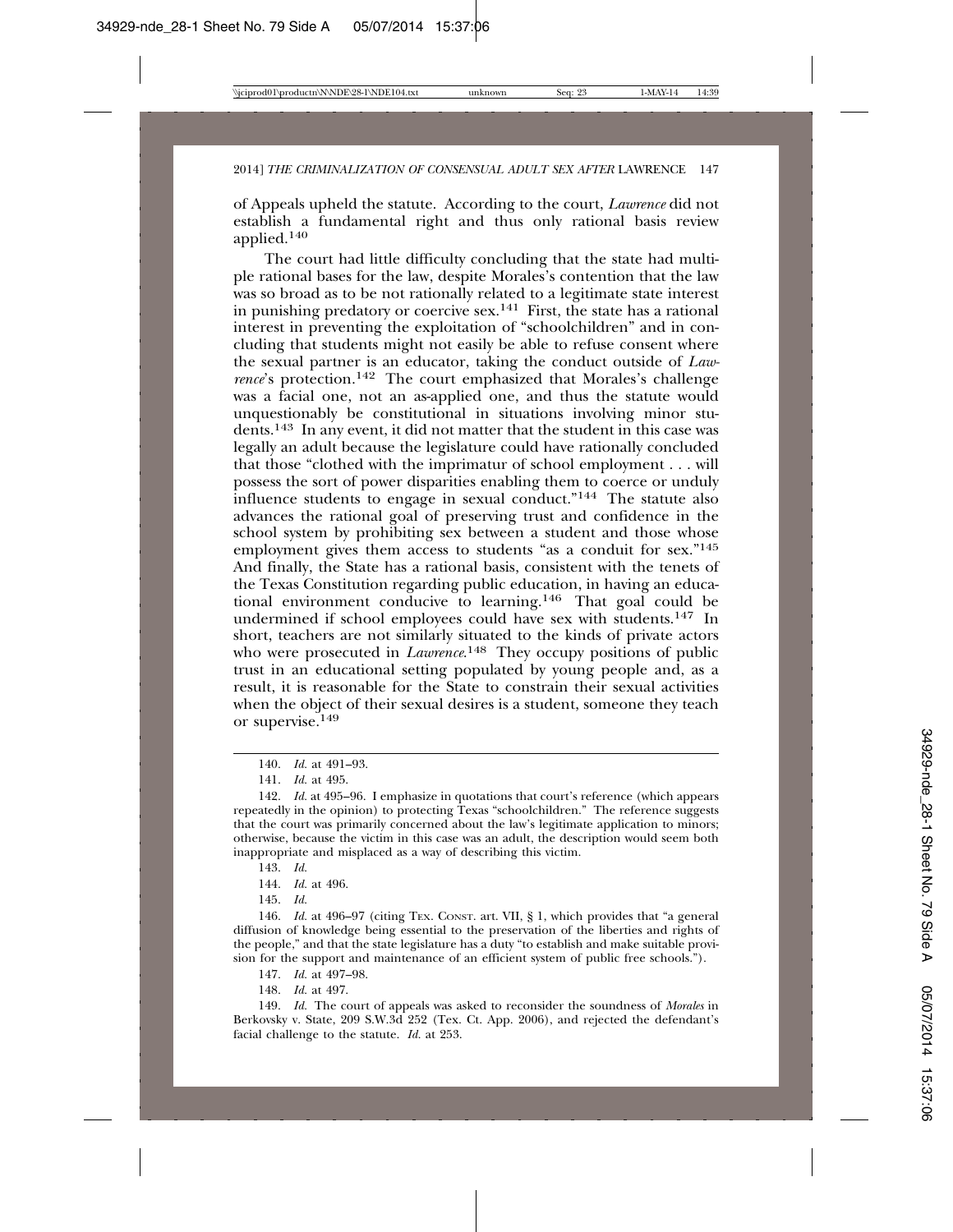of Appeals upheld the statute. According to the court, *Lawrence* did not establish a fundamental right and thus only rational basis review applied.<sup>140</sup>

The court had little difficulty concluding that the state had multiple rational bases for the law, despite Morales's contention that the law was so broad as to be not rationally related to a legitimate state interest in punishing predatory or coercive sex.<sup>141</sup> First, the state has a rational interest in preventing the exploitation of "schoolchildren" and in concluding that students might not easily be able to refuse consent where the sexual partner is an educator, taking the conduct outside of *Lawrence*'s protection.<sup>142</sup> The court emphasized that Morales's challenge was a facial one, not an as-applied one, and thus the statute would unquestionably be constitutional in situations involving minor students.143 In any event, it did not matter that the student in this case was legally an adult because the legislature could have rationally concluded that those "clothed with the imprimatur of school employment . . . will possess the sort of power disparities enabling them to coerce or unduly influence students to engage in sexual conduct."<sup>144</sup> The statute also advances the rational goal of preserving trust and confidence in the school system by prohibiting sex between a student and those whose employment gives them access to students "as a conduit for sex."<sup>145</sup> And finally, the State has a rational basis, consistent with the tenets of the Texas Constitution regarding public education, in having an educational environment conducive to learning.146 That goal could be undermined if school employees could have sex with students.147 In short, teachers are not similarly situated to the kinds of private actors who were prosecuted in *Lawrence*. 148 They occupy positions of public trust in an educational setting populated by young people and, as a result, it is reasonable for the State to constrain their sexual activities when the object of their sexual desires is a student, someone they teach or supervise.149

145. *Id.*

146. *Id.* at 496–97 (citing TEX. CONST. art. VII, § 1, which provides that "a general diffusion of knowledge being essential to the preservation of the liberties and rights of the people," and that the state legislature has a duty "to establish and make suitable provision for the support and maintenance of an efficient system of public free schools.").

147. *Id.* at 497–98.

148. *Id.* at 497.

149. *Id.* The court of appeals was asked to reconsider the soundness of *Morales* in Berkovsky v. State, 209 S.W.3d 252 (Tex. Ct. App. 2006), and rejected the defendant's facial challenge to the statute. *Id.* at 253.

<sup>140.</sup> *Id.* at 491–93.

<sup>141.</sup> *Id.* at 495.

<sup>142.</sup> *Id.* at 495–96. I emphasize in quotations that court's reference (which appears repeatedly in the opinion) to protecting Texas "schoolchildren." The reference suggests that the court was primarily concerned about the law's legitimate application to minors; otherwise, because the victim in this case was an adult, the description would seem both inappropriate and misplaced as a way of describing this victim.

<sup>143.</sup> *Id.*

<sup>144.</sup> *Id.* at 496.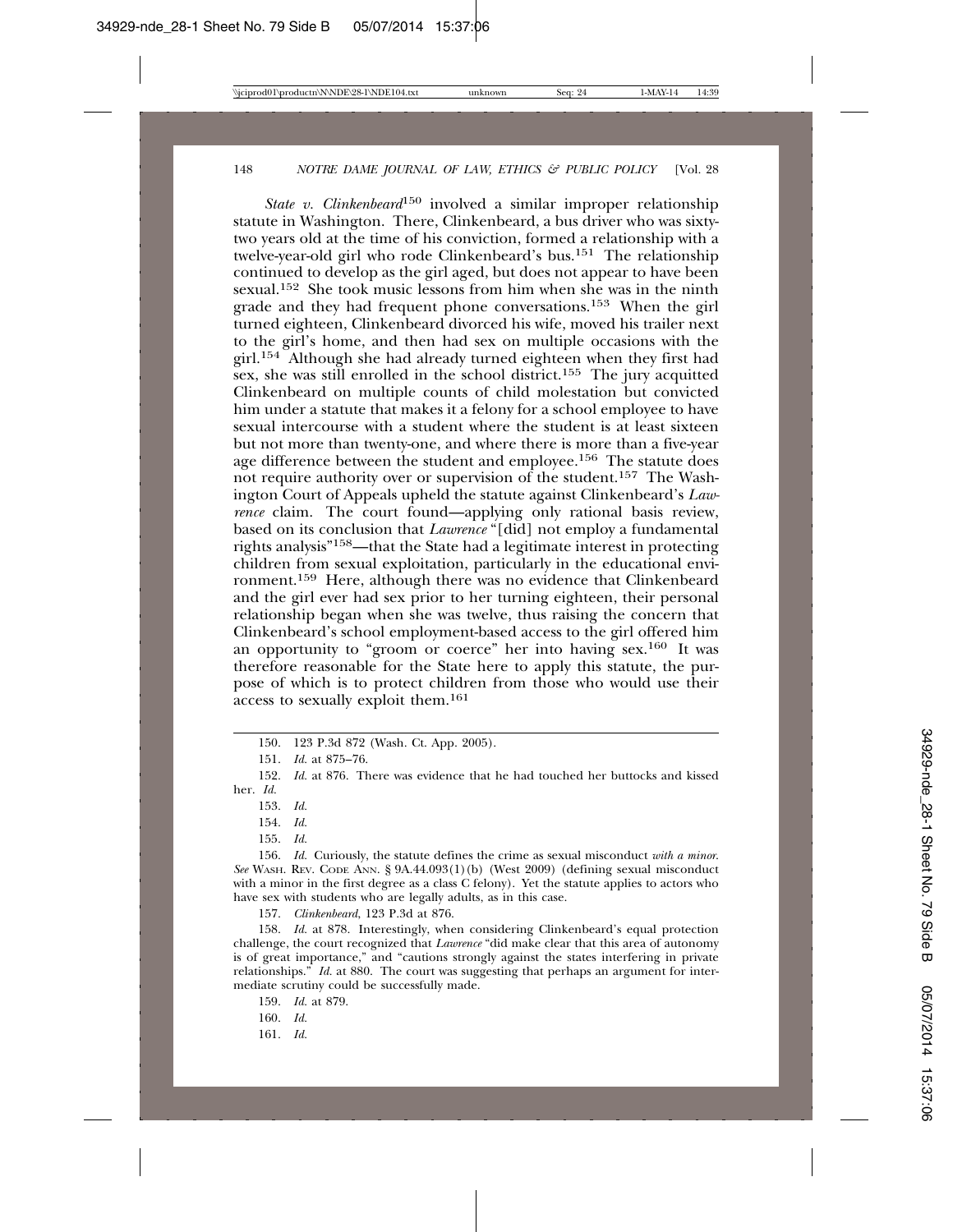*State v. Clinkenbeard*<sup>150</sup> involved a similar improper relationship statute in Washington. There, Clinkenbeard, a bus driver who was sixtytwo years old at the time of his conviction, formed a relationship with a twelve-year-old girl who rode Clinkenbeard's bus.151 The relationship continued to develop as the girl aged, but does not appear to have been sexual.152 She took music lessons from him when she was in the ninth grade and they had frequent phone conversations.153 When the girl turned eighteen, Clinkenbeard divorced his wife, moved his trailer next to the girl's home, and then had sex on multiple occasions with the girl.154 Although she had already turned eighteen when they first had sex, she was still enrolled in the school district.<sup>155</sup> The jury acquitted Clinkenbeard on multiple counts of child molestation but convicted him under a statute that makes it a felony for a school employee to have sexual intercourse with a student where the student is at least sixteen but not more than twenty-one, and where there is more than a five-year age difference between the student and employee.<sup>156</sup> The statute does not require authority over or supervision of the student.157 The Washington Court of Appeals upheld the statute against Clinkenbeard's *Lawrence* claim. The court found—applying only rational basis review, based on its conclusion that *Lawrence* "[did] not employ a fundamental rights analysis"158—that the State had a legitimate interest in protecting children from sexual exploitation, particularly in the educational environment.159 Here, although there was no evidence that Clinkenbeard and the girl ever had sex prior to her turning eighteen, their personal relationship began when she was twelve, thus raising the concern that Clinkenbeard's school employment-based access to the girl offered him an opportunity to "groom or coerce" her into having sex.160 It was therefore reasonable for the State here to apply this statute, the purpose of which is to protect children from those who would use their access to sexually exploit them.161

153. *Id.*

154. *Id.*

155. *Id.*

156. *Id.* Curiously, the statute defines the crime as sexual misconduct *with a minor*. *See* WASH. REV. CODE ANN. § 9A.44.093(1)(b) (West 2009) (defining sexual misconduct with a minor in the first degree as a class C felony). Yet the statute applies to actors who have sex with students who are legally adults, as in this case.

157. *Clinkenbeard*, 123 P.3d at 876.

158. *Id.* at 878. Interestingly, when considering Clinkenbeard's equal protection challenge, the court recognized that *Lawrence* "did make clear that this area of autonomy is of great importance," and "cautions strongly against the states interfering in private relationships." *Id.* at 880. The court was suggesting that perhaps an argument for intermediate scrutiny could be successfully made.

159. *Id.* at 879.

160. *Id.*

161. *Id.*

<sup>150. 123</sup> P.3d 872 (Wash. Ct. App. 2005).

<sup>151.</sup> *Id.* at 875–76.

<sup>152.</sup> *Id.* at 876. There was evidence that he had touched her buttocks and kissed her. *Id.*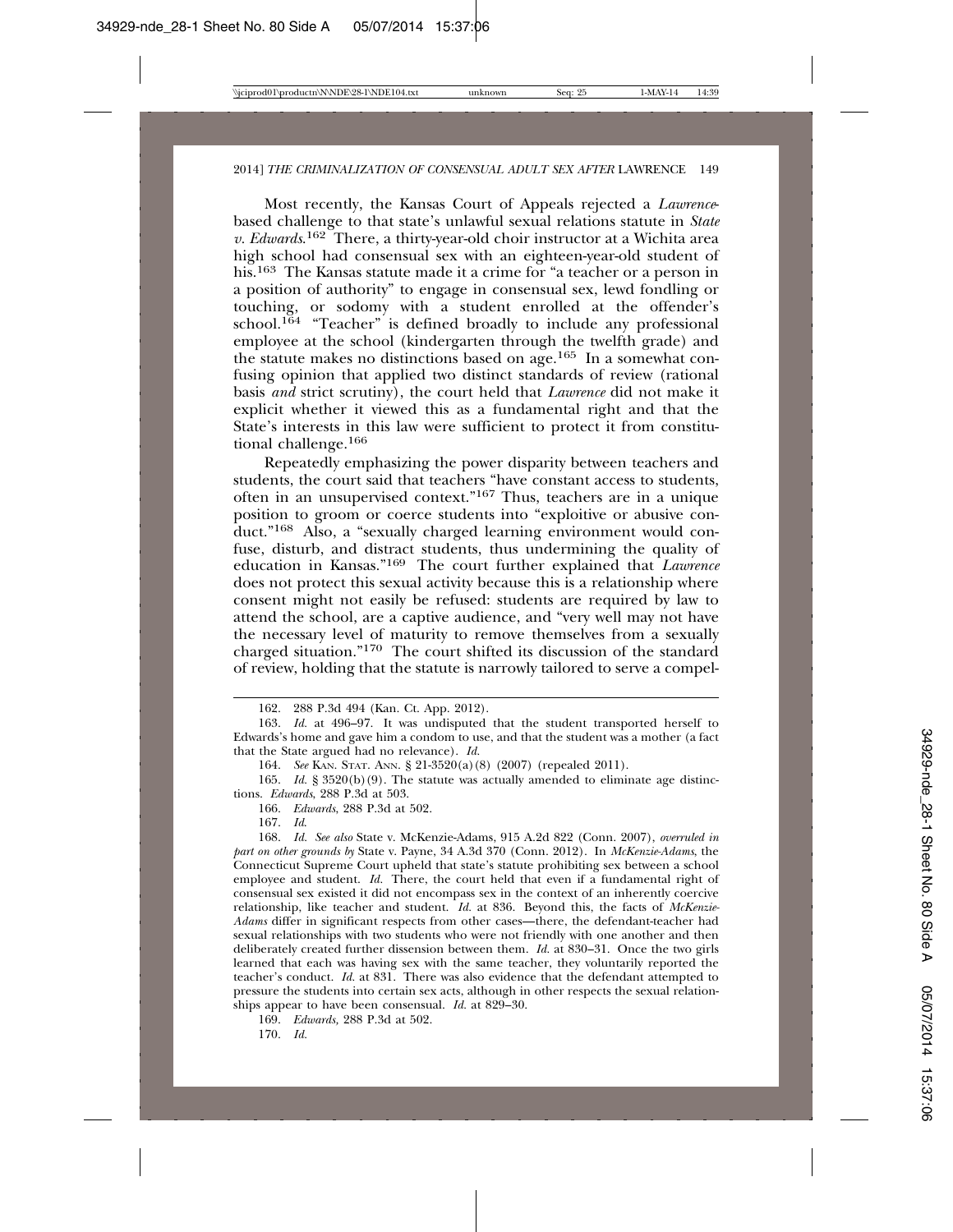Most recently, the Kansas Court of Appeals rejected a *Lawrence*based challenge to that state's unlawful sexual relations statute in *State v. Edwards*. 162 There, a thirty-year-old choir instructor at a Wichita area high school had consensual sex with an eighteen-year-old student of his.163 The Kansas statute made it a crime for "a teacher or a person in a position of authority" to engage in consensual sex, lewd fondling or touching, or sodomy with a student enrolled at the offender's school.<sup>164</sup> "Teacher" is defined broadly to include any professional employee at the school (kindergarten through the twelfth grade) and the statute makes no distinctions based on age.165 In a somewhat confusing opinion that applied two distinct standards of review (rational basis *and* strict scrutiny), the court held that *Lawrence* did not make it explicit whether it viewed this as a fundamental right and that the State's interests in this law were sufficient to protect it from constitutional challenge.166

Repeatedly emphasizing the power disparity between teachers and students, the court said that teachers "have constant access to students, often in an unsupervised context."167 Thus, teachers are in a unique position to groom or coerce students into "exploitive or abusive conduct."168 Also, a "sexually charged learning environment would confuse, disturb, and distract students, thus undermining the quality of education in Kansas."169 The court further explained that *Lawrence* does not protect this sexual activity because this is a relationship where consent might not easily be refused: students are required by law to attend the school, are a captive audience, and "very well may not have the necessary level of maturity to remove themselves from a sexually charged situation."170 The court shifted its discussion of the standard of review, holding that the statute is narrowly tailored to serve a compel-

166. *Edwards*, 288 P.3d at 502.

167. *Id*.

168. *Id. See also* State v. McKenzie-Adams, 915 A.2d 822 (Conn. 2007), *overruled in part on other grounds by* State v. Payne, 34 A.3d 370 (Conn. 2012). In *McKenzie-Adams*, the Connecticut Supreme Court upheld that state's statute prohibiting sex between a school employee and student. *Id.* There, the court held that even if a fundamental right of consensual sex existed it did not encompass sex in the context of an inherently coercive relationship, like teacher and student. *Id.* at 836. Beyond this, the facts of *McKenzie-Adams* differ in significant respects from other cases—there, the defendant-teacher had sexual relationships with two students who were not friendly with one another and then deliberately created further dissension between them. *Id.* at 830–31. Once the two girls learned that each was having sex with the same teacher, they voluntarily reported the teacher's conduct. *Id.* at 831. There was also evidence that the defendant attempted to pressure the students into certain sex acts, although in other respects the sexual relationships appear to have been consensual. *Id.* at 829–30.

169. *Edwards,* 288 P.3d at 502.

170. *Id.*

<sup>162. 288</sup> P.3d 494 (Kan. Ct. App. 2012).

<sup>163.</sup> *Id.* at 496–97. It was undisputed that the student transported herself to Edwards's home and gave him a condom to use, and that the student was a mother (a fact that the State argued had no relevance). *Id.*

<sup>164.</sup> *See* KAN. STAT. ANN. § 21-3520(a)(8) (2007) (repealed 2011).

<sup>165.</sup> *Id.* § 3520(b)(9). The statute was actually amended to eliminate age distinctions. *Edwards*, 288 P.3d at 503.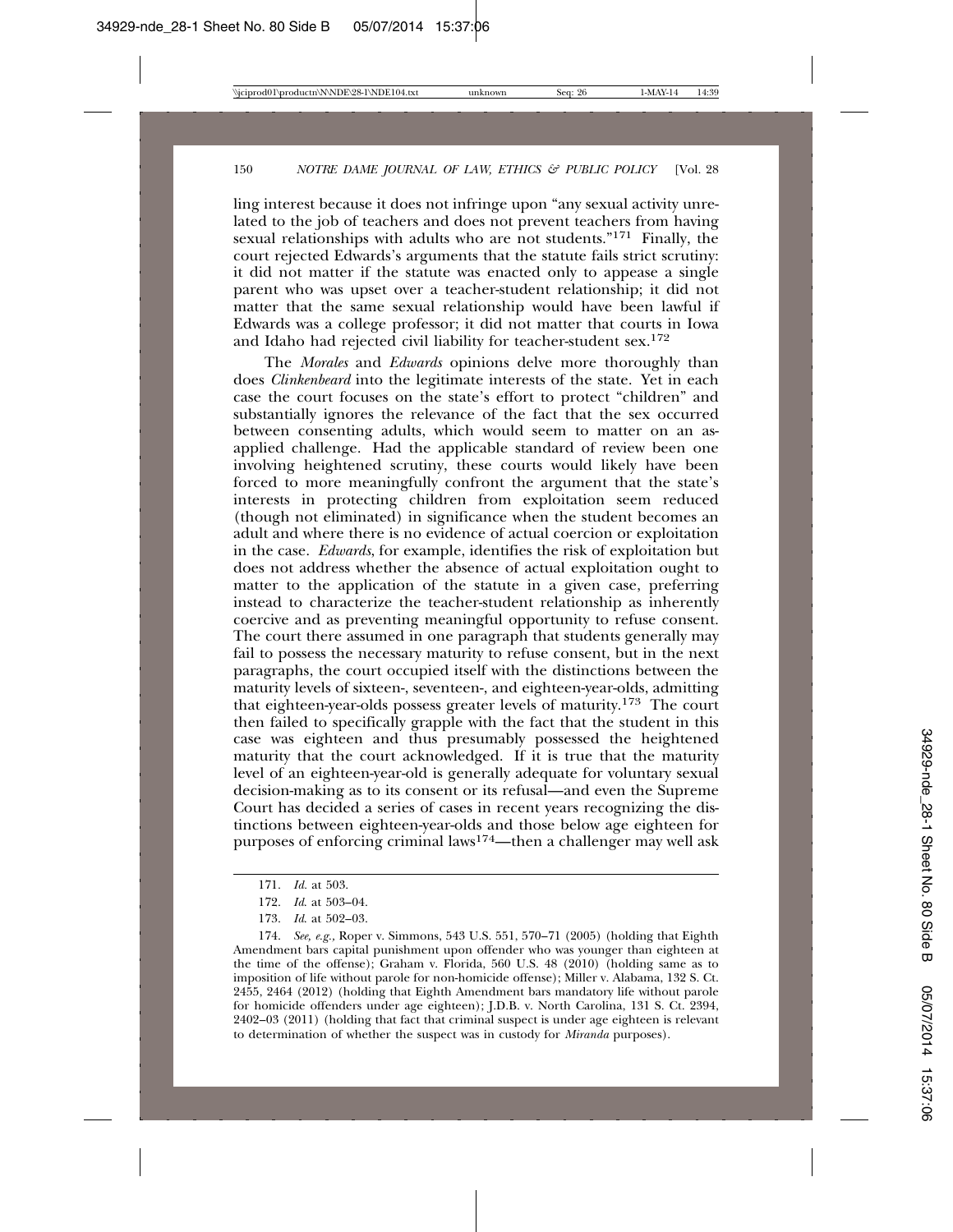ling interest because it does not infringe upon "any sexual activity unrelated to the job of teachers and does not prevent teachers from having sexual relationships with adults who are not students."<sup>171</sup> Finally, the court rejected Edwards's arguments that the statute fails strict scrutiny: it did not matter if the statute was enacted only to appease a single parent who was upset over a teacher-student relationship; it did not matter that the same sexual relationship would have been lawful if Edwards was a college professor; it did not matter that courts in Iowa and Idaho had rejected civil liability for teacher-student sex.<sup>172</sup>

The *Morales* and *Edwards* opinions delve more thoroughly than does *Clinkenbeard* into the legitimate interests of the state. Yet in each case the court focuses on the state's effort to protect "children" and substantially ignores the relevance of the fact that the sex occurred between consenting adults, which would seem to matter on an asapplied challenge. Had the applicable standard of review been one involving heightened scrutiny, these courts would likely have been forced to more meaningfully confront the argument that the state's interests in protecting children from exploitation seem reduced (though not eliminated) in significance when the student becomes an adult and where there is no evidence of actual coercion or exploitation in the case. *Edwards*, for example, identifies the risk of exploitation but does not address whether the absence of actual exploitation ought to matter to the application of the statute in a given case, preferring instead to characterize the teacher-student relationship as inherently coercive and as preventing meaningful opportunity to refuse consent. The court there assumed in one paragraph that students generally may fail to possess the necessary maturity to refuse consent, but in the next paragraphs, the court occupied itself with the distinctions between the maturity levels of sixteen-, seventeen-, and eighteen-year-olds, admitting that eighteen-year-olds possess greater levels of maturity.173 The court then failed to specifically grapple with the fact that the student in this case was eighteen and thus presumably possessed the heightened maturity that the court acknowledged. If it is true that the maturity level of an eighteen-year-old is generally adequate for voluntary sexual decision-making as to its consent or its refusal—and even the Supreme Court has decided a series of cases in recent years recognizing the distinctions between eighteen-year-olds and those below age eighteen for purposes of enforcing criminal laws174—then a challenger may well ask

<sup>171.</sup> *Id.* at 503.

<sup>172.</sup> *Id*. at 503–04.

<sup>173.</sup> *Id*. at 502–03.

<sup>174.</sup> *See, e.g.,* Roper v. Simmons, 543 U.S. 551, 570–71 (2005) (holding that Eighth Amendment bars capital punishment upon offender who was younger than eighteen at the time of the offense); Graham v. Florida, 560 U.S. 48 (2010) (holding same as to imposition of life without parole for non-homicide offense); Miller v. Alabama, 132 S. Ct. 2455, 2464 (2012) (holding that Eighth Amendment bars mandatory life without parole for homicide offenders under age eighteen); J.D.B. v. North Carolina, 131 S. Ct. 2394, 2402–03 (2011) (holding that fact that criminal suspect is under age eighteen is relevant to determination of whether the suspect was in custody for *Miranda* purposes).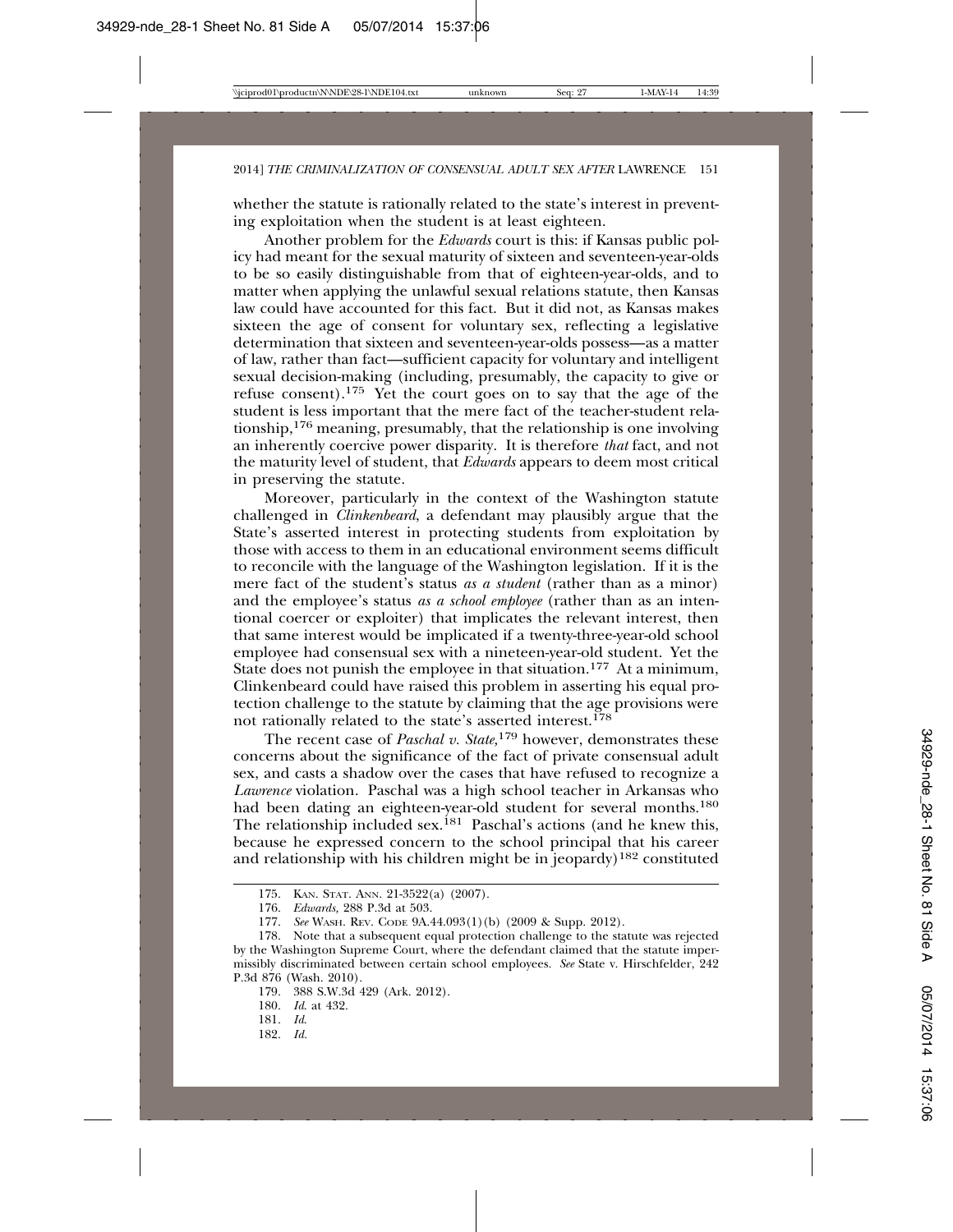whether the statute is rationally related to the state's interest in preventing exploitation when the student is at least eighteen.

Another problem for the *Edwards* court is this: if Kansas public policy had meant for the sexual maturity of sixteen and seventeen-year-olds to be so easily distinguishable from that of eighteen-year-olds, and to matter when applying the unlawful sexual relations statute, then Kansas law could have accounted for this fact. But it did not, as Kansas makes sixteen the age of consent for voluntary sex, reflecting a legislative determination that sixteen and seventeen-year-olds possess—as a matter of law, rather than fact—sufficient capacity for voluntary and intelligent sexual decision-making (including, presumably, the capacity to give or refuse consent).175 Yet the court goes on to say that the age of the student is less important that the mere fact of the teacher-student relationship,176 meaning, presumably, that the relationship is one involving an inherently coercive power disparity. It is therefore *that* fact, and not the maturity level of student, that *Edwards* appears to deem most critical in preserving the statute.

Moreover, particularly in the context of the Washington statute challenged in *Clinkenbeard*, a defendant may plausibly argue that the State's asserted interest in protecting students from exploitation by those with access to them in an educational environment seems difficult to reconcile with the language of the Washington legislation. If it is the mere fact of the student's status *as a student* (rather than as a minor) and the employee's status *as a school employee* (rather than as an intentional coercer or exploiter) that implicates the relevant interest, then that same interest would be implicated if a twenty-three-year-old school employee had consensual sex with a nineteen-year-old student. Yet the State does not punish the employee in that situation.<sup>177</sup> At a minimum, Clinkenbeard could have raised this problem in asserting his equal protection challenge to the statute by claiming that the age provisions were not rationally related to the state's asserted interest.<sup>178</sup>

The recent case of *Paschal v. State,*179 however, demonstrates these concerns about the significance of the fact of private consensual adult sex, and casts a shadow over the cases that have refused to recognize a *Lawrence* violation. Paschal was a high school teacher in Arkansas who had been dating an eighteen-year-old student for several months.<sup>180</sup> The relationship included sex.<sup>181</sup> Paschal's actions (and he knew this, because he expressed concern to the school principal that his career and relationship with his children might be in  $jeopardy$ <sup>182</sup> constituted

182. *Id.*

<sup>175.</sup> KAN. STAT. ANN. 21-3522(a) (2007).

<sup>176.</sup> *Edwards,* 288 P.3d at 503.

<sup>177.</sup> *See* WASH. REV. CODE 9A.44.093(1)(b) (2009 & Supp. 2012).

<sup>178.</sup> Note that a subsequent equal protection challenge to the statute was rejected by the Washington Supreme Court, where the defendant claimed that the statute impermissibly discriminated between certain school employees. *See* State v. Hirschfelder, 242 P.3d 876 (Wash. 2010).

<sup>179. 388</sup> S.W.3d 429 (Ark. 2012).

<sup>180.</sup> *Id*. at 432.

<sup>181.</sup> *Id*.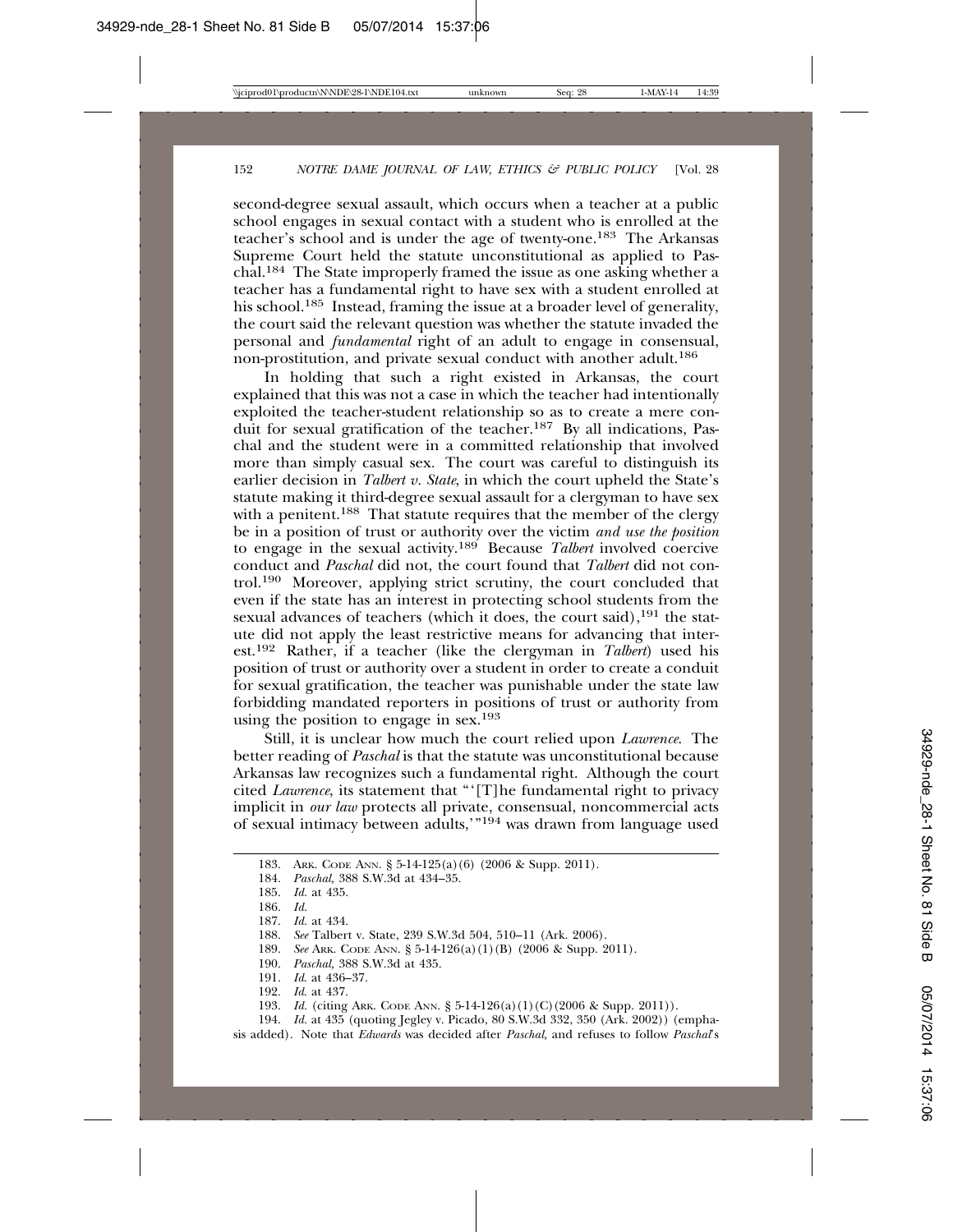second-degree sexual assault, which occurs when a teacher at a public school engages in sexual contact with a student who is enrolled at the teacher's school and is under the age of twenty-one.183 The Arkansas Supreme Court held the statute unconstitutional as applied to Paschal.184 The State improperly framed the issue as one asking whether a teacher has a fundamental right to have sex with a student enrolled at his school.<sup>185</sup> Instead, framing the issue at a broader level of generality, the court said the relevant question was whether the statute invaded the personal and *fundamental* right of an adult to engage in consensual, non-prostitution, and private sexual conduct with another adult.186

In holding that such a right existed in Arkansas, the court explained that this was not a case in which the teacher had intentionally exploited the teacher-student relationship so as to create a mere conduit for sexual gratification of the teacher.187 By all indications, Paschal and the student were in a committed relationship that involved more than simply casual sex. The court was careful to distinguish its earlier decision in *Talbert v. State*, in which the court upheld the State's statute making it third-degree sexual assault for a clergyman to have sex with a penitent.<sup>188</sup> That statute requires that the member of the clergy be in a position of trust or authority over the victim *and use the position* to engage in the sexual activity.189 Because *Talbert* involved coercive conduct and *Paschal* did not, the court found that *Talbert* did not control.190 Moreover, applying strict scrutiny, the court concluded that even if the state has an interest in protecting school students from the sexual advances of teachers (which it does, the court said),<sup>191</sup> the statute did not apply the least restrictive means for advancing that interest.192 Rather, if a teacher (like the clergyman in *Talbert*) used his position of trust or authority over a student in order to create a conduit for sexual gratification, the teacher was punishable under the state law forbidding mandated reporters in positions of trust or authority from using the position to engage in sex.193

Still, it is unclear how much the court relied upon *Lawrence*. The better reading of *Paschal* is that the statute was unconstitutional because Arkansas law recognizes such a fundamental right. Although the court cited *Lawrence*, its statement that "'[T]he fundamental right to privacy implicit in *our law* protects all private, consensual, noncommercial acts of sexual intimacy between adults,'"194 was drawn from language used

191. *Id*. at 436–37.

194. *Id.* at 435 (quoting Jegley v. Picado, 80 S.W.3d 332, 350 (Ark. 2002)) (emphasis added). Note that *Edwards* was decided after *Paschal,* and refuses to follow *Paschal*'s

<sup>183.</sup> ARK. CODE ANN. § 5-14-125(a)(6) (2006 & Supp. 2011).

<sup>184.</sup> *Paschal,* 388 S.W.3d at 434–35.

*Id.* at 435.

<sup>186.</sup> *Id.*

<sup>187.</sup> *Id.* at 434.

<sup>188.</sup> *See* Talbert v. State, 239 S.W.3d 504, 510–11 (Ark. 2006).

<sup>189.</sup> *See* ARK. CODE ANN. § 5-14-126(a)(1)(B) (2006 & Supp. 2011).

<sup>190.</sup> *Paschal,* 388 S.W.3d at 435.

*Id.* at 437.

<sup>193.</sup> *Id.* (citing ARK. CODE ANN. § 5-14-126(a)(1)(C)(2006 & Supp. 2011)).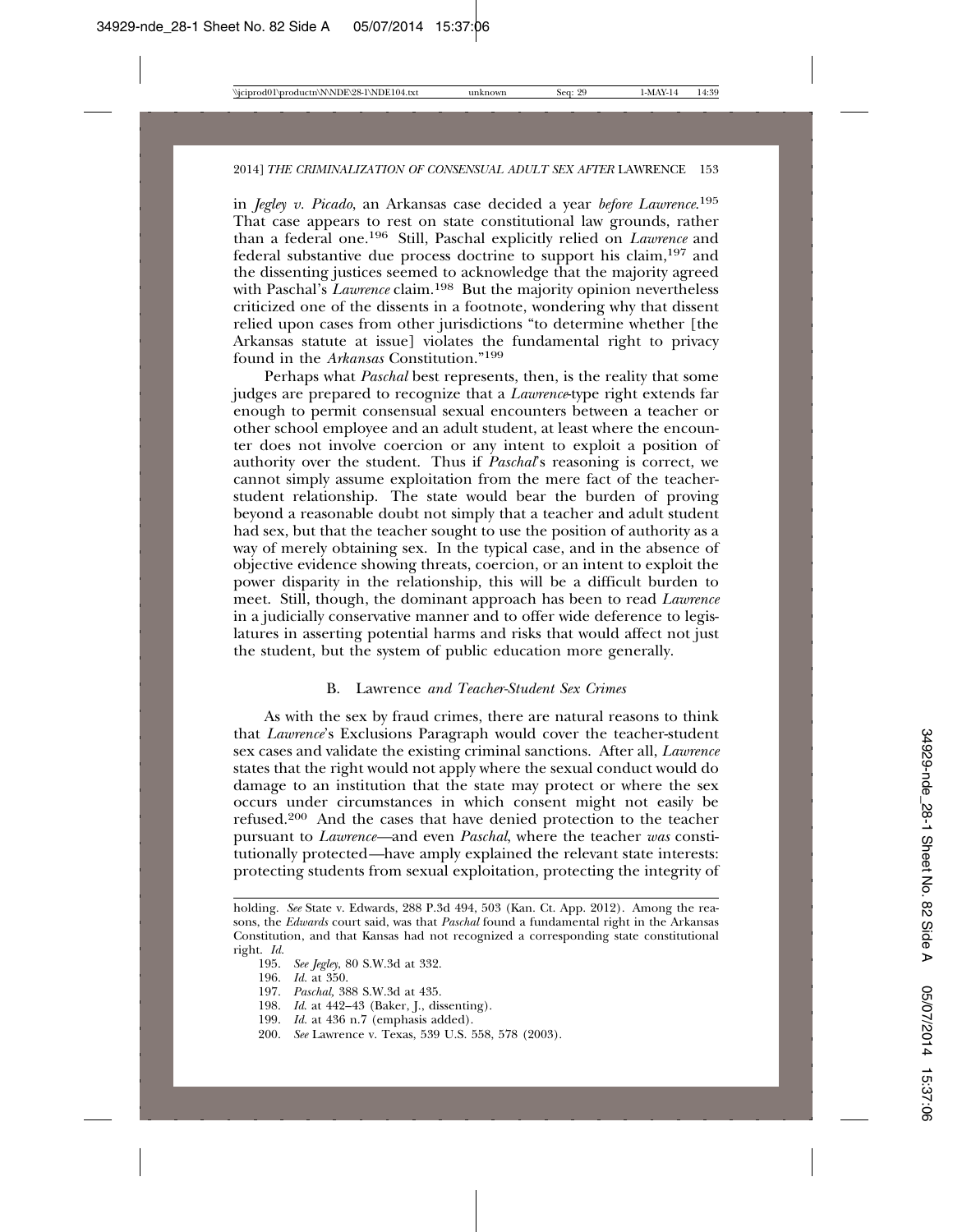in *Jegley v. Picado*, an Arkansas case decided a year *before Lawrence*. 195 That case appears to rest on state constitutional law grounds, rather than a federal one.196 Still, Paschal explicitly relied on *Lawrence* and federal substantive due process doctrine to support his claim,197 and the dissenting justices seemed to acknowledge that the majority agreed with Paschal's *Lawrence* claim.<sup>198</sup> But the majority opinion nevertheless criticized one of the dissents in a footnote, wondering why that dissent relied upon cases from other jurisdictions "to determine whether [the Arkansas statute at issue] violates the fundamental right to privacy found in the *Arkansas* Constitution."<sup>199</sup>

Perhaps what *Paschal* best represents, then, is the reality that some judges are prepared to recognize that a *Lawrence*-type right extends far enough to permit consensual sexual encounters between a teacher or other school employee and an adult student, at least where the encounter does not involve coercion or any intent to exploit a position of authority over the student. Thus if *Paschal*'s reasoning is correct, we cannot simply assume exploitation from the mere fact of the teacherstudent relationship. The state would bear the burden of proving beyond a reasonable doubt not simply that a teacher and adult student had sex, but that the teacher sought to use the position of authority as a way of merely obtaining sex. In the typical case, and in the absence of objective evidence showing threats, coercion, or an intent to exploit the power disparity in the relationship, this will be a difficult burden to meet. Still, though, the dominant approach has been to read *Lawrence* in a judicially conservative manner and to offer wide deference to legislatures in asserting potential harms and risks that would affect not just the student, but the system of public education more generally.

#### B. Lawrence *and Teacher-Student Sex Crimes*

As with the sex by fraud crimes, there are natural reasons to think that *Lawrence*'s Exclusions Paragraph would cover the teacher-student sex cases and validate the existing criminal sanctions. After all, *Lawrence* states that the right would not apply where the sexual conduct would do damage to an institution that the state may protect or where the sex occurs under circumstances in which consent might not easily be refused.200 And the cases that have denied protection to the teacher pursuant to *Lawrence—*and even *Paschal*, where the teacher *was* constitutionally protected*—*have amply explained the relevant state interests: protecting students from sexual exploitation, protecting the integrity of

197. *Paschal,* 388 S.W.3d at 435.

- 199. *Id.* at 436 n.7 (emphasis added).
- 200. *See* Lawrence v. Texas, 539 U.S. 558, 578 (2003).

holding. *See* State v. Edwards, 288 P.3d 494, 503 (Kan. Ct. App. 2012). Among the reasons, the *Edwards* court said, was that *Paschal* found a fundamental right in the Arkansas Constitution, and that Kansas had not recognized a corresponding state constitutional right. *Id.*

<sup>195.</sup> *See Jegley*, 80 S.W.3d at 332.

<sup>196.</sup> *Id.* at 350.

<sup>198.</sup> *Id*. at 442–43 (Baker, J., dissenting).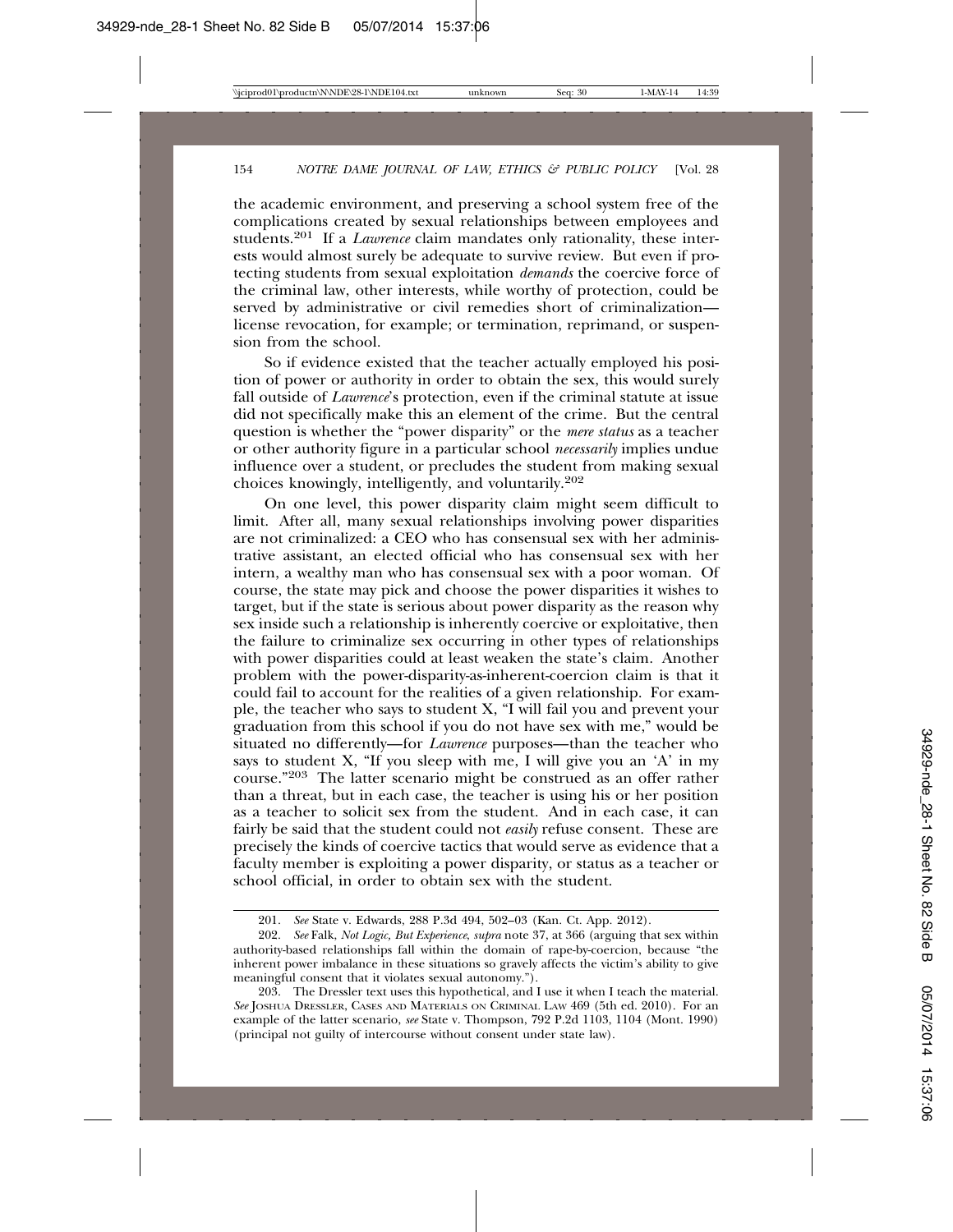the academic environment, and preserving a school system free of the complications created by sexual relationships between employees and students.201 If a *Lawrence* claim mandates only rationality, these interests would almost surely be adequate to survive review. But even if protecting students from sexual exploitation *demands* the coercive force of the criminal law, other interests, while worthy of protection, could be served by administrative or civil remedies short of criminalization license revocation, for example; or termination, reprimand, or suspension from the school.

So if evidence existed that the teacher actually employed his position of power or authority in order to obtain the sex, this would surely fall outside of *Lawrence*'s protection, even if the criminal statute at issue did not specifically make this an element of the crime. But the central question is whether the "power disparity" or the *mere status* as a teacher or other authority figure in a particular school *necessarily* implies undue influence over a student, or precludes the student from making sexual choices knowingly, intelligently, and voluntarily.202

On one level, this power disparity claim might seem difficult to limit. After all, many sexual relationships involving power disparities are not criminalized: a CEO who has consensual sex with her administrative assistant, an elected official who has consensual sex with her intern, a wealthy man who has consensual sex with a poor woman. Of course, the state may pick and choose the power disparities it wishes to target, but if the state is serious about power disparity as the reason why sex inside such a relationship is inherently coercive or exploitative, then the failure to criminalize sex occurring in other types of relationships with power disparities could at least weaken the state's claim. Another problem with the power-disparity-as-inherent-coercion claim is that it could fail to account for the realities of a given relationship. For example, the teacher who says to student X, "I will fail you and prevent your graduation from this school if you do not have sex with me," would be situated no differently—for *Lawrence* purposes—than the teacher who says to student X, "If you sleep with me, I will give you an 'A' in my course."203 The latter scenario might be construed as an offer rather than a threat, but in each case, the teacher is using his or her position as a teacher to solicit sex from the student. And in each case, it can fairly be said that the student could not *easily* refuse consent. These are precisely the kinds of coercive tactics that would serve as evidence that a faculty member is exploiting a power disparity, or status as a teacher or school official, in order to obtain sex with the student.

<sup>201.</sup> *See* State v. Edwards, 288 P.3d 494, 502–03 (Kan. Ct. App. 2012).

<sup>202.</sup> *See* Falk, *Not Logic, But Experience*, *supra* note 37, at 366 (arguing that sex within authority-based relationships fall within the domain of rape-by-coercion, because "the inherent power imbalance in these situations so gravely affects the victim's ability to give meaningful consent that it violates sexual autonomy.").

<sup>203.</sup> The Dressler text uses this hypothetical, and I use it when I teach the material. *See* JOSHUA DRESSLER, CASES AND MATERIALS ON CRIMINAL LAW 469 (5th ed. 2010). For an example of the latter scenario, *see* State v. Thompson, 792 P.2d 1103, 1104 (Mont. 1990) (principal not guilty of intercourse without consent under state law).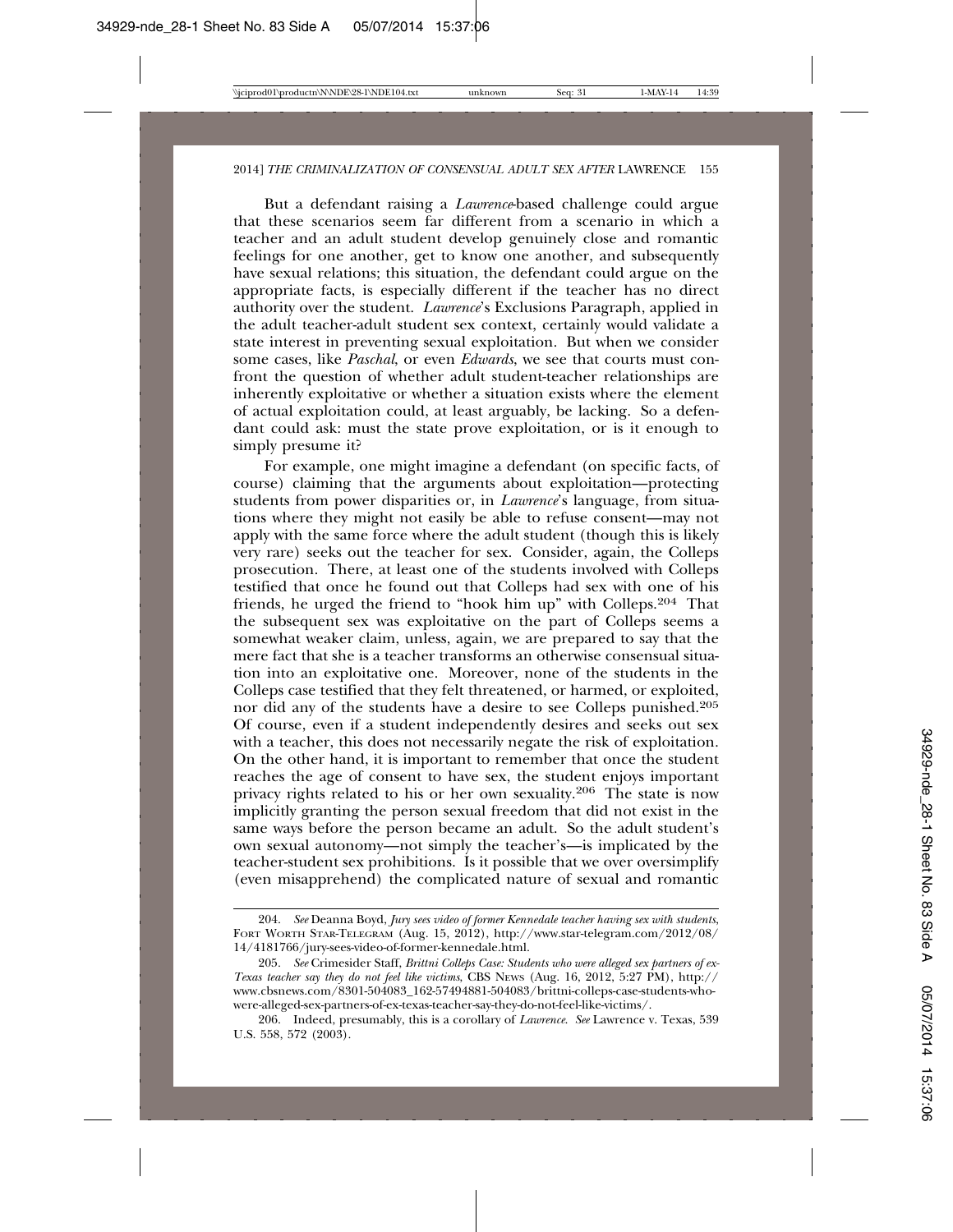But a defendant raising a *Lawrence*-based challenge could argue that these scenarios seem far different from a scenario in which a teacher and an adult student develop genuinely close and romantic feelings for one another, get to know one another, and subsequently have sexual relations; this situation, the defendant could argue on the appropriate facts, is especially different if the teacher has no direct authority over the student. *Lawrence*'s Exclusions Paragraph, applied in the adult teacher-adult student sex context, certainly would validate a state interest in preventing sexual exploitation. But when we consider some cases, like *Paschal*, or even *Edwards*, we see that courts must confront the question of whether adult student-teacher relationships are inherently exploitative or whether a situation exists where the element of actual exploitation could, at least arguably, be lacking. So a defendant could ask: must the state prove exploitation, or is it enough to simply presume it?

For example, one might imagine a defendant (on specific facts, of course) claiming that the arguments about exploitation—protecting students from power disparities or, in *Lawrence*'s language, from situations where they might not easily be able to refuse consent—may not apply with the same force where the adult student (though this is likely very rare) seeks out the teacher for sex. Consider, again, the Colleps prosecution. There, at least one of the students involved with Colleps testified that once he found out that Colleps had sex with one of his friends, he urged the friend to "hook him up" with Colleps.204 That the subsequent sex was exploitative on the part of Colleps seems a somewhat weaker claim, unless, again, we are prepared to say that the mere fact that she is a teacher transforms an otherwise consensual situation into an exploitative one. Moreover, none of the students in the Colleps case testified that they felt threatened, or harmed, or exploited, nor did any of the students have a desire to see Colleps punished.205 Of course, even if a student independently desires and seeks out sex with a teacher, this does not necessarily negate the risk of exploitation. On the other hand, it is important to remember that once the student reaches the age of consent to have sex, the student enjoys important privacy rights related to his or her own sexuality.206 The state is now implicitly granting the person sexual freedom that did not exist in the same ways before the person became an adult. So the adult student's own sexual autonomy—not simply the teacher's—is implicated by the teacher-student sex prohibitions. Is it possible that we over oversimplify (even misapprehend) the complicated nature of sexual and romantic

<sup>204.</sup> *See* Deanna Boyd, *Jury sees video of former Kennedale teacher having sex with students*, FORT WORTH STAR-TELEGRAM (Aug. 15, 2012), http://www.star-telegram.com/2012/08/ 14/4181766/jury-sees-video-of-former-kennedale.html.

<sup>205.</sup> *See* Crimesider Staff, *Brittni Colleps Case: Students who were alleged sex partners of ex-Texas teacher say they do not feel like victims*, CBS NEWS (Aug. 16, 2012, 5:27 PM), http:// www.cbsnews.com/8301-504083\_162-57494881-504083/brittni-colleps-case-students-whowere-alleged-sex-partners-of-ex-texas-teacher-say-they-do-not-feel-like-victims/.

<sup>206.</sup> Indeed, presumably, this is a corollary of *Lawrence*. *See* Lawrence v. Texas, 539 U.S. 558, 572 (2003).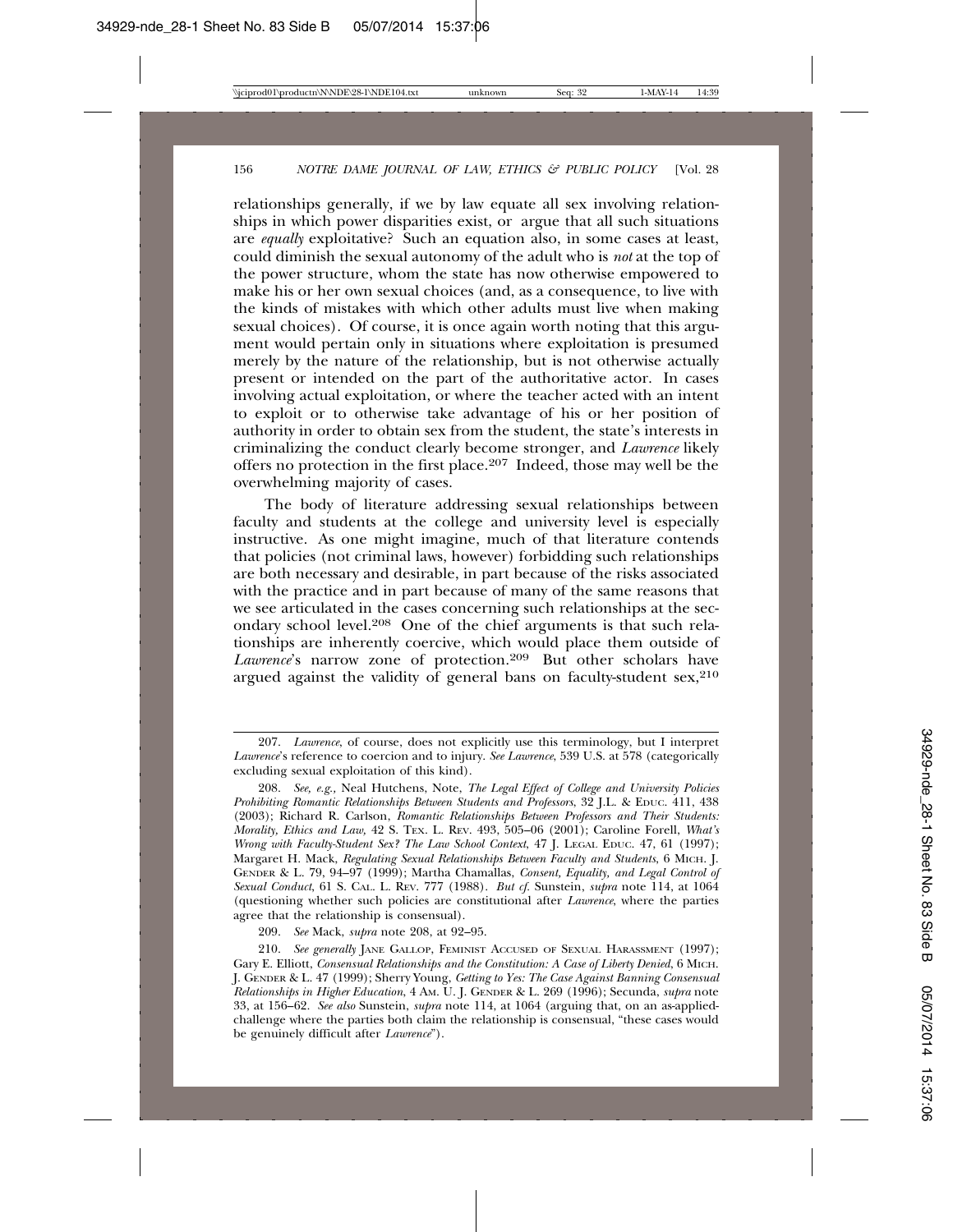relationships generally, if we by law equate all sex involving relationships in which power disparities exist, or argue that all such situations are *equally* exploitative? Such an equation also, in some cases at least, could diminish the sexual autonomy of the adult who is *not* at the top of the power structure, whom the state has now otherwise empowered to make his or her own sexual choices (and, as a consequence, to live with the kinds of mistakes with which other adults must live when making sexual choices). Of course, it is once again worth noting that this argument would pertain only in situations where exploitation is presumed merely by the nature of the relationship, but is not otherwise actually present or intended on the part of the authoritative actor. In cases involving actual exploitation, or where the teacher acted with an intent to exploit or to otherwise take advantage of his or her position of authority in order to obtain sex from the student, the state's interests in criminalizing the conduct clearly become stronger, and *Lawrence* likely offers no protection in the first place.207 Indeed, those may well be the overwhelming majority of cases.

The body of literature addressing sexual relationships between faculty and students at the college and university level is especially instructive. As one might imagine, much of that literature contends that policies (not criminal laws, however) forbidding such relationships are both necessary and desirable, in part because of the risks associated with the practice and in part because of many of the same reasons that we see articulated in the cases concerning such relationships at the secondary school level.208 One of the chief arguments is that such relationships are inherently coercive, which would place them outside of *Lawrence*'s narrow zone of protection.209 But other scholars have argued against the validity of general bans on faculty-student  $sex, <sup>210</sup>$ 

209. *See* Mack, *supra* note 208, at 92–95.

<sup>207.</sup> *Lawrence*, of course, does not explicitly use this terminology, but I interpret *Lawrence*'s reference to coercion and to injury. *See Lawrence*, 539 U.S. at 578 (categorically excluding sexual exploitation of this kind).

<sup>208.</sup> *See, e.g.,* Neal Hutchens, Note, *The Legal Effect of College and University Policies Prohibiting Romantic Relationships Between Students and Professors*, 32 J.L. & EDUC. 411, 438 (2003); Richard R. Carlson, *Romantic Relationships Between Professors and Their Students: Morality, Ethics and Law,* 42 S. TEX. L. REV. 493, 505–06 (2001); Caroline Forell, *What's Wrong with Faculty-Student Sex? The Law School Context*, 47 J. LEGAL EDUC. 47, 61 (1997); Margaret H. Mack, *Regulating Sexual Relationships Between Faculty and Students*, 6 MICH. J. GENDER & L. 79, 94–97 (1999); Martha Chamallas, *Consent, Equality, and Legal Control of Sexual Conduct*, 61 S. CAL. L. REV. 777 (1988). *But cf.* Sunstein, *supra* note 114, at 1064 (questioning whether such policies are constitutional after *Lawrence*, where the parties agree that the relationship is consensual).

<sup>210.</sup> *See generally* JANE GALLOP, FEMINIST ACCUSED OF SEXUAL HARASSMENT (1997); Gary E. Elliott, *Consensual Relationships and the Constitution: A Case of Liberty Denied*, 6 MICH. J. GENDER & L. 47 (1999); Sherry Young, *Getting to Yes: The Case Against Banning Consensual Relationships in Higher Education*, 4 AM. U. J. GENDER & L. 269 (1996); Secunda, *supra* note 33, at 156–62. *See also* Sunstein, *supra* note 114, at 1064 (arguing that, on an as-appliedchallenge where the parties both claim the relationship is consensual, "these cases would be genuinely difficult after *Lawrence*").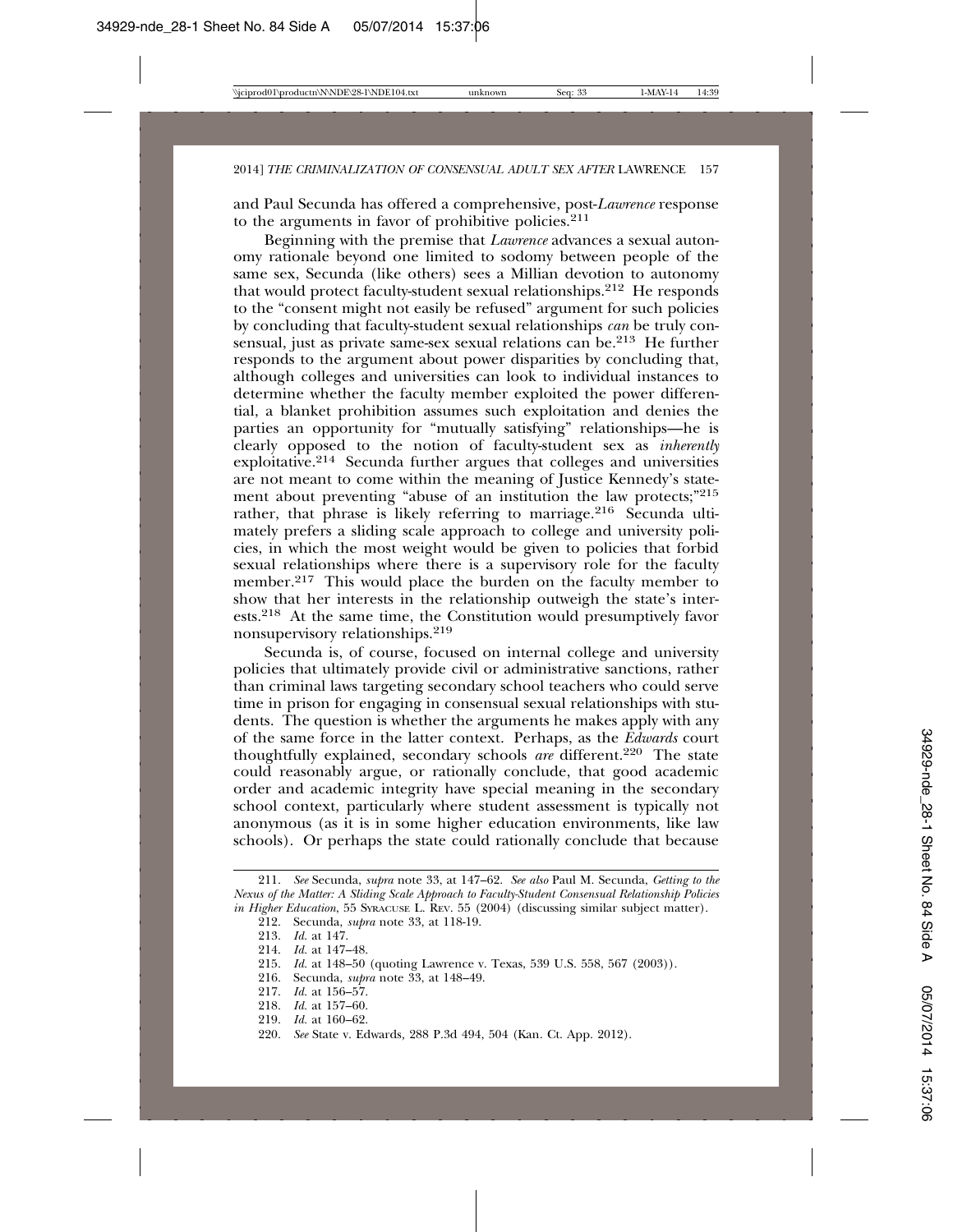and Paul Secunda has offered a comprehensive, post-*Lawrence* response to the arguments in favor of prohibitive policies. $2^{11}$ 

Beginning with the premise that *Lawrence* advances a sexual autonomy rationale beyond one limited to sodomy between people of the same sex, Secunda (like others) sees a Millian devotion to autonomy that would protect faculty-student sexual relationships.212 He responds to the "consent might not easily be refused" argument for such policies by concluding that faculty-student sexual relationships *can* be truly consensual, just as private same-sex sexual relations can be.213 He further responds to the argument about power disparities by concluding that, although colleges and universities can look to individual instances to determine whether the faculty member exploited the power differential, a blanket prohibition assumes such exploitation and denies the parties an opportunity for "mutually satisfying" relationships—he is clearly opposed to the notion of faculty-student sex as *inherently* exploitative.214 Secunda further argues that colleges and universities are not meant to come within the meaning of Justice Kennedy's statement about preventing "abuse of an institution the law protects;"215 rather, that phrase is likely referring to marriage.<sup>216</sup> Secunda ultimately prefers a sliding scale approach to college and university policies, in which the most weight would be given to policies that forbid sexual relationships where there is a supervisory role for the faculty member.<sup>217</sup> This would place the burden on the faculty member to show that her interests in the relationship outweigh the state's interests.218 At the same time, the Constitution would presumptively favor nonsupervisory relationships.219

Secunda is, of course, focused on internal college and university policies that ultimately provide civil or administrative sanctions, rather than criminal laws targeting secondary school teachers who could serve time in prison for engaging in consensual sexual relationships with students. The question is whether the arguments he makes apply with any of the same force in the latter context. Perhaps, as the *Edwards* court thoughtfully explained, secondary schools are different.<sup>220</sup> The state could reasonably argue, or rationally conclude, that good academic order and academic integrity have special meaning in the secondary school context, particularly where student assessment is typically not anonymous (as it is in some higher education environments, like law schools). Or perhaps the state could rationally conclude that because

214. *Id.* at 147–48.

- 216. Secunda, *supra* note 33, at 148–49.
- 217. *Id.* at 156–57.
- 218. *Id.* at 157–60.
- 219. *Id.* at 160–62.
- 220. *See* State v. Edwards*,* 288 P.3d 494, 504 (Kan. Ct. App. 2012).

<sup>211.</sup> *See* Secunda, *supra* note 33, at 147–62. *See also* Paul M. Secunda, *Getting to the Nexus of the Matter: A Sliding Scale Approach to Faculty-Student Consensual Relationship Policies in Higher Education*, 55 SYRACUSE L. REV. 55 (2004) (discussing similar subject matter).

<sup>212.</sup> Secunda, *supra* note 33, at 118-19.

<sup>213.</sup> *Id.* at 147.

<sup>215.</sup> *Id.* at 148–50 (quoting Lawrence v. Texas, 539 U.S. 558, 567 (2003)).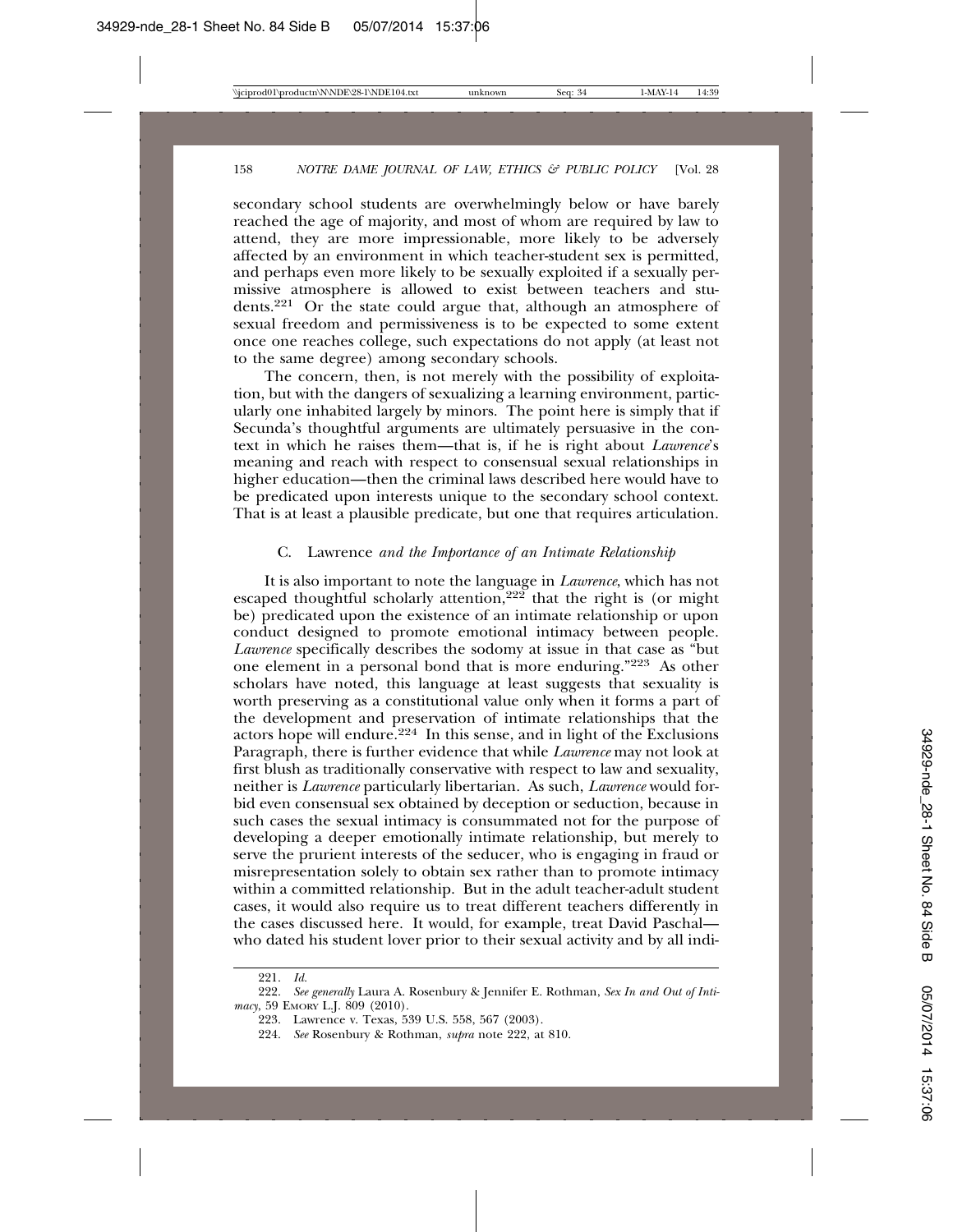secondary school students are overwhelmingly below or have barely reached the age of majority, and most of whom are required by law to attend, they are more impressionable, more likely to be adversely affected by an environment in which teacher-student sex is permitted, and perhaps even more likely to be sexually exploited if a sexually permissive atmosphere is allowed to exist between teachers and students.221 Or the state could argue that, although an atmosphere of sexual freedom and permissiveness is to be expected to some extent once one reaches college, such expectations do not apply (at least not to the same degree) among secondary schools.

The concern, then, is not merely with the possibility of exploitation, but with the dangers of sexualizing a learning environment, particularly one inhabited largely by minors. The point here is simply that if Secunda's thoughtful arguments are ultimately persuasive in the context in which he raises them—that is, if he is right about *Lawrence*'s meaning and reach with respect to consensual sexual relationships in higher education—then the criminal laws described here would have to be predicated upon interests unique to the secondary school context. That is at least a plausible predicate, but one that requires articulation.

#### C. Lawrence *and the Importance of an Intimate Relationship*

It is also important to note the language in *Lawrence*, which has not escaped thoughtful scholarly attention,<sup>222</sup> that the right is (or might be) predicated upon the existence of an intimate relationship or upon conduct designed to promote emotional intimacy between people. *Lawrence* specifically describes the sodomy at issue in that case as "but one element in a personal bond that is more enduring."223 As other scholars have noted, this language at least suggests that sexuality is worth preserving as a constitutional value only when it forms a part of the development and preservation of intimate relationships that the actors hope will endure.<sup>224</sup> In this sense, and in light of the Exclusions Paragraph, there is further evidence that while *Lawrence* may not look at first blush as traditionally conservative with respect to law and sexuality, neither is *Lawrence* particularly libertarian. As such, *Lawrence* would forbid even consensual sex obtained by deception or seduction, because in such cases the sexual intimacy is consummated not for the purpose of developing a deeper emotionally intimate relationship, but merely to serve the prurient interests of the seducer, who is engaging in fraud or misrepresentation solely to obtain sex rather than to promote intimacy within a committed relationship. But in the adult teacher-adult student cases, it would also require us to treat different teachers differently in the cases discussed here. It would, for example, treat David Paschal who dated his student lover prior to their sexual activity and by all indi-

<sup>221.</sup> *Id.* See generally Laura A. Rosenbury & Jennifer E. Rothman, *Sex In and Out of Intimacy*, 59 EMORY L.J. 809 (2010).

<sup>223.</sup> Lawrence v. Texas, 539 U.S. 558, 567 (2003).

<sup>224.</sup> *See* Rosenbury & Rothman, *supra* note 222, at 810.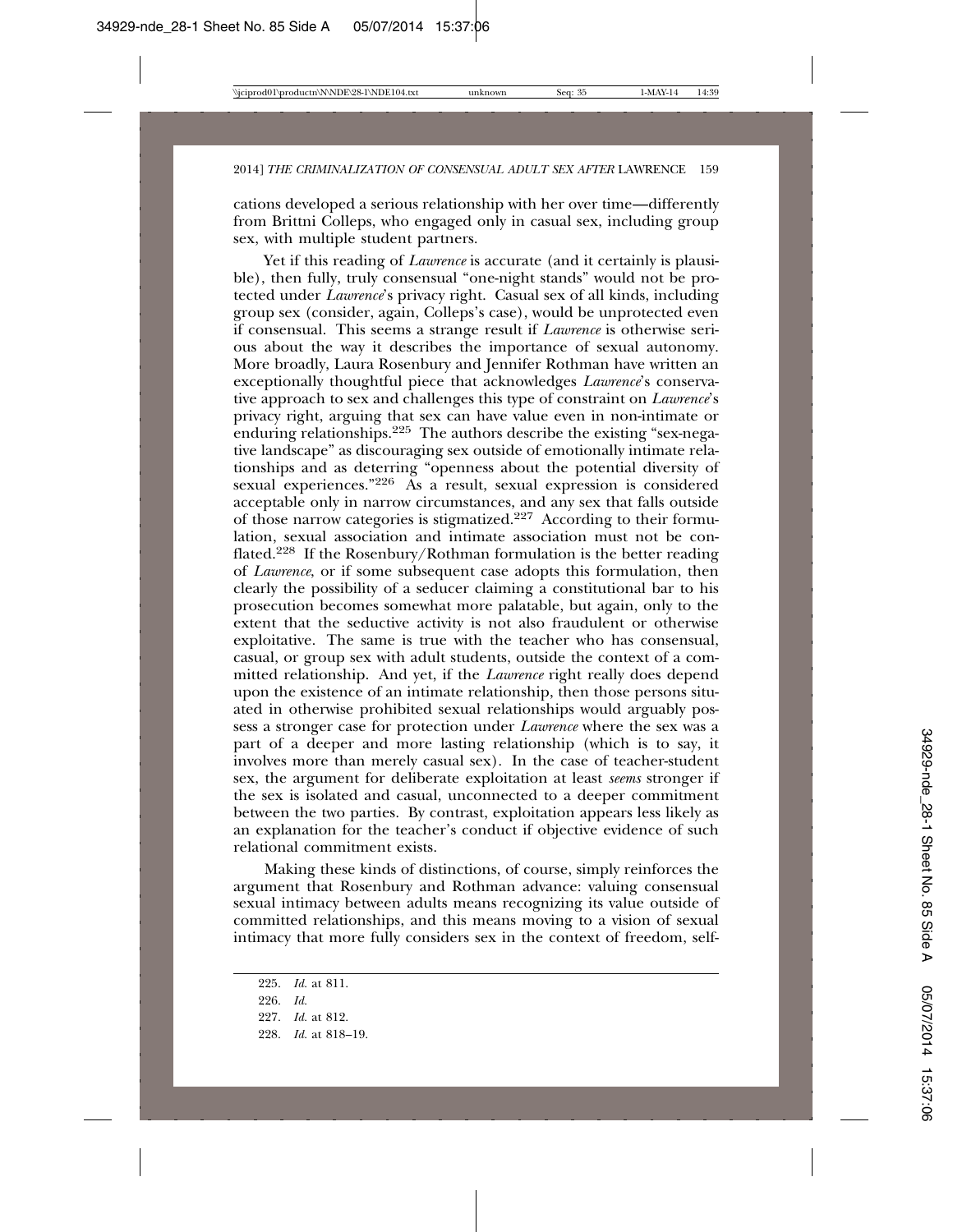cations developed a serious relationship with her over time—differently from Brittni Colleps, who engaged only in casual sex, including group sex, with multiple student partners.

Yet if this reading of *Lawrence* is accurate (and it certainly is plausible), then fully, truly consensual "one-night stands" would not be protected under *Lawrence*'s privacy right. Casual sex of all kinds, including group sex (consider, again, Colleps's case), would be unprotected even if consensual. This seems a strange result if *Lawrence* is otherwise serious about the way it describes the importance of sexual autonomy. More broadly, Laura Rosenbury and Jennifer Rothman have written an exceptionally thoughtful piece that acknowledges *Lawrence*'s conservative approach to sex and challenges this type of constraint on *Lawrence*'s privacy right, arguing that sex can have value even in non-intimate or enduring relationships.<sup>225</sup> The authors describe the existing "sex-negative landscape" as discouraging sex outside of emotionally intimate relationships and as deterring "openness about the potential diversity of sexual experiences."<sup>226</sup> As a result, sexual expression is considered acceptable only in narrow circumstances, and any sex that falls outside of those narrow categories is stigmatized.227 According to their formulation, sexual association and intimate association must not be conflated.228 If the Rosenbury/Rothman formulation is the better reading of *Lawrence*, or if some subsequent case adopts this formulation, then clearly the possibility of a seducer claiming a constitutional bar to his prosecution becomes somewhat more palatable, but again, only to the extent that the seductive activity is not also fraudulent or otherwise exploitative. The same is true with the teacher who has consensual, casual, or group sex with adult students, outside the context of a committed relationship. And yet, if the *Lawrence* right really does depend upon the existence of an intimate relationship, then those persons situated in otherwise prohibited sexual relationships would arguably possess a stronger case for protection under *Lawrence* where the sex was a part of a deeper and more lasting relationship (which is to say, it involves more than merely casual sex). In the case of teacher-student sex, the argument for deliberate exploitation at least *seems* stronger if the sex is isolated and casual, unconnected to a deeper commitment between the two parties. By contrast, exploitation appears less likely as an explanation for the teacher's conduct if objective evidence of such relational commitment exists.

Making these kinds of distinctions, of course, simply reinforces the argument that Rosenbury and Rothman advance: valuing consensual sexual intimacy between adults means recognizing its value outside of committed relationships, and this means moving to a vision of sexual intimacy that more fully considers sex in the context of freedom, self-

225. *Id.* at 811. 226. *Id.* 227. *Id.* at 812. 228. *Id.* at 818–19.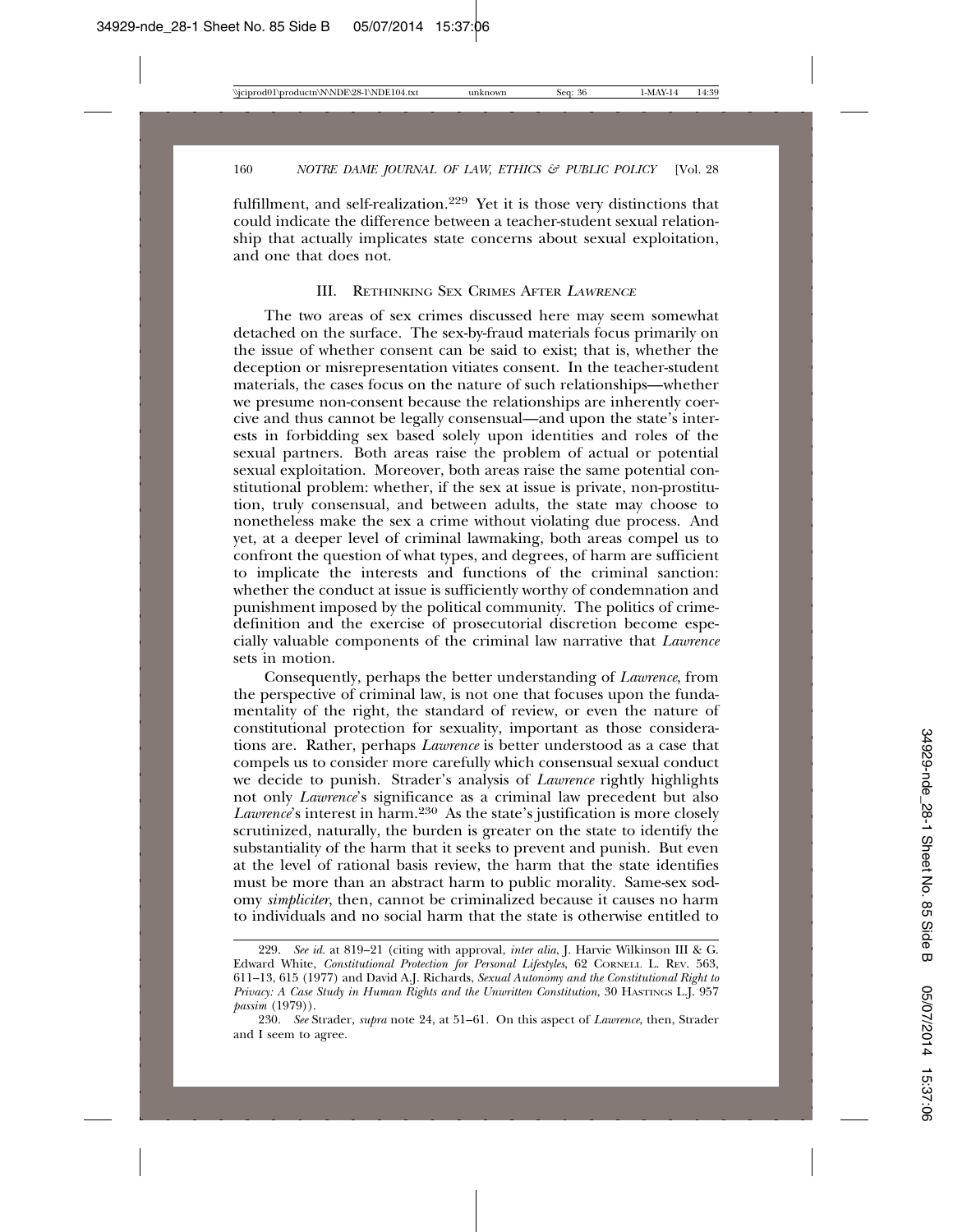fulfillment, and self-realization.229 Yet it is those very distinctions that could indicate the difference between a teacher-student sexual relationship that actually implicates state concerns about sexual exploitation, and one that does not.

#### III. RETHINKING SEX CRIMES AFTER <sup>L</sup>AWRENCE

The two areas of sex crimes discussed here may seem somewhat detached on the surface. The sex-by-fraud materials focus primarily on the issue of whether consent can be said to exist; that is, whether the deception or misrepresentation vitiates consent. In the teacher-student materials, the cases focus on the nature of such relationships—whether we presume non-consent because the relationships are inherently coercive and thus cannot be legally consensual—and upon the state's interests in forbidding sex based solely upon identities and roles of the sexual partners. Both areas raise the problem of actual or potential sexual exploitation. Moreover, both areas raise the same potential constitutional problem: whether, if the sex at issue is private, non-prostitution, truly consensual, and between adults, the state may choose to nonetheless make the sex a crime without violating due process. And yet, at a deeper level of criminal lawmaking, both areas compel us to confront the question of what types, and degrees, of harm are sufficient to implicate the interests and functions of the criminal sanction: whether the conduct at issue is sufficiently worthy of condemnation and punishment imposed by the political community. The politics of crimedefinition and the exercise of prosecutorial discretion become especially valuable components of the criminal law narrative that *Lawrence* sets in motion.

Consequently, perhaps the better understanding of *Lawrence*, from the perspective of criminal law, is not one that focuses upon the fundamentality of the right, the standard of review, or even the nature of constitutional protection for sexuality, important as those considerations are. Rather, perhaps *Lawrence* is better understood as a case that compels us to consider more carefully which consensual sexual conduct we decide to punish. Strader's analysis of *Lawrence* rightly highlights not only *Lawrence*'s significance as a criminal law precedent but also *Lawrence*'s interest in harm.230 As the state's justification is more closely scrutinized, naturally, the burden is greater on the state to identify the substantiality of the harm that it seeks to prevent and punish. But even at the level of rational basis review, the harm that the state identifies must be more than an abstract harm to public morality. Same-sex sodomy *simpliciter*, then, cannot be criminalized because it causes no harm to individuals and no social harm that the state is otherwise entitled to

<sup>229.</sup> *See id.* at 819–21 (citing with approval, *inter alia*, J. Harvie Wilkinson III & G. Edward White, *Constitutional Protection for Personal Lifestyles*, 62 CORNELL L. REV. 563, 611–13, 615 (1977) and David A.J. Richards, *Sexual Autonomy and the Constitutional Right to Privacy: A Case Study in Human Rights and the Unwritten Constitution*, 30 HASTINGS L.J. 957 *passim* (1979)).

<sup>230.</sup> *See* Strader, *supra* note 24, at 51–61. On this aspect of *Lawrence*, then, Strader and I seem to agree.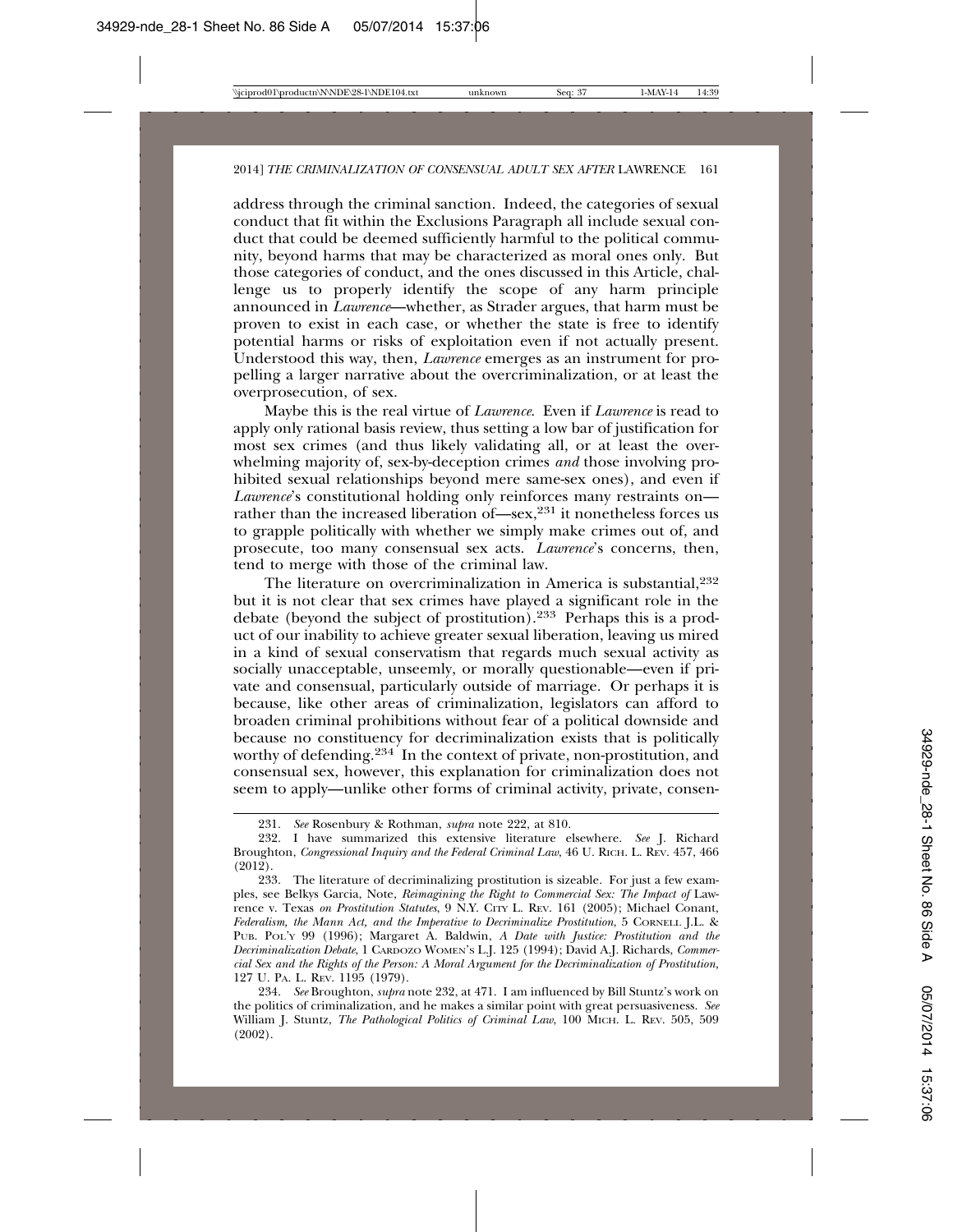address through the criminal sanction. Indeed, the categories of sexual conduct that fit within the Exclusions Paragraph all include sexual conduct that could be deemed sufficiently harmful to the political community, beyond harms that may be characterized as moral ones only. But those categories of conduct, and the ones discussed in this Article, challenge us to properly identify the scope of any harm principle announced in *Lawrence*—whether, as Strader argues, that harm must be proven to exist in each case, or whether the state is free to identify potential harms or risks of exploitation even if not actually present. Understood this way, then, *Lawrence* emerges as an instrument for propelling a larger narrative about the overcriminalization, or at least the overprosecution, of sex.

Maybe this is the real virtue of *Lawrence*. Even if *Lawrence* is read to apply only rational basis review, thus setting a low bar of justification for most sex crimes (and thus likely validating all, or at least the overwhelming majority of, sex-by-deception crimes *and* those involving prohibited sexual relationships beyond mere same-sex ones), and even if *Lawrence*'s constitutional holding only reinforces many restraints on rather than the increased liberation of—sex,<sup>231</sup> it nonetheless forces us to grapple politically with whether we simply make crimes out of, and prosecute, too many consensual sex acts. *Lawrence*'s concerns, then, tend to merge with those of the criminal law.

The literature on overcriminalization in America is substantial,  $232$ but it is not clear that sex crimes have played a significant role in the debate (beyond the subject of prostitution).233 Perhaps this is a product of our inability to achieve greater sexual liberation, leaving us mired in a kind of sexual conservatism that regards much sexual activity as socially unacceptable, unseemly, or morally questionable—even if private and consensual, particularly outside of marriage. Or perhaps it is because, like other areas of criminalization, legislators can afford to broaden criminal prohibitions without fear of a political downside and because no constituency for decriminalization exists that is politically worthy of defending.<sup>234</sup> In the context of private, non-prostitution, and consensual sex, however, this explanation for criminalization does not seem to apply—unlike other forms of criminal activity, private, consen-

<sup>231.</sup> *See* Rosenbury & Rothman, *supra* note 222, at 810.

<sup>232.</sup> I have summarized this extensive literature elsewhere. *See* J. Richard Broughton, *Congressional Inquiry and the Federal Criminal Law*, 46 U. RICH. L. REV. 457, 466 (2012).

<sup>233.</sup> The literature of decriminalizing prostitution is sizeable. For just a few examples, see Belkys Garcia, Note, *Reimagining the Right to Commercial Sex: The Impact of Law*rence v. Texas *on Prostitution Statutes*, 9 N.Y. CITY L. REV. 161 (2005); Michael Conant, *Federalism, the Mann Act, and the Imperative to Decriminalize Prostitution*, 5 CORNELL J.L. & PUB. POL'Y 99 (1996); Margaret A. Baldwin, *A Date with Justice: Prostitution and the Decriminalization Debate*, 1 CARDOZO WOMEN'S L.J. 125 (1994); David A.J. Richards, *Commercial Sex and the Rights of the Person: A Moral Argument for the Decriminalization of Prostitution,* 127 U. PA. L. REV. 1195 (1979).

<sup>234.</sup> *See* Broughton, *supra* note 232, at 471. I am influenced by Bill Stuntz's work on the politics of criminalization, and he makes a similar point with great persuasiveness. *See* William J. Stuntz, *The Pathological Politics of Criminal Law*, 100 MICH. L. REV. 505, 509 (2002).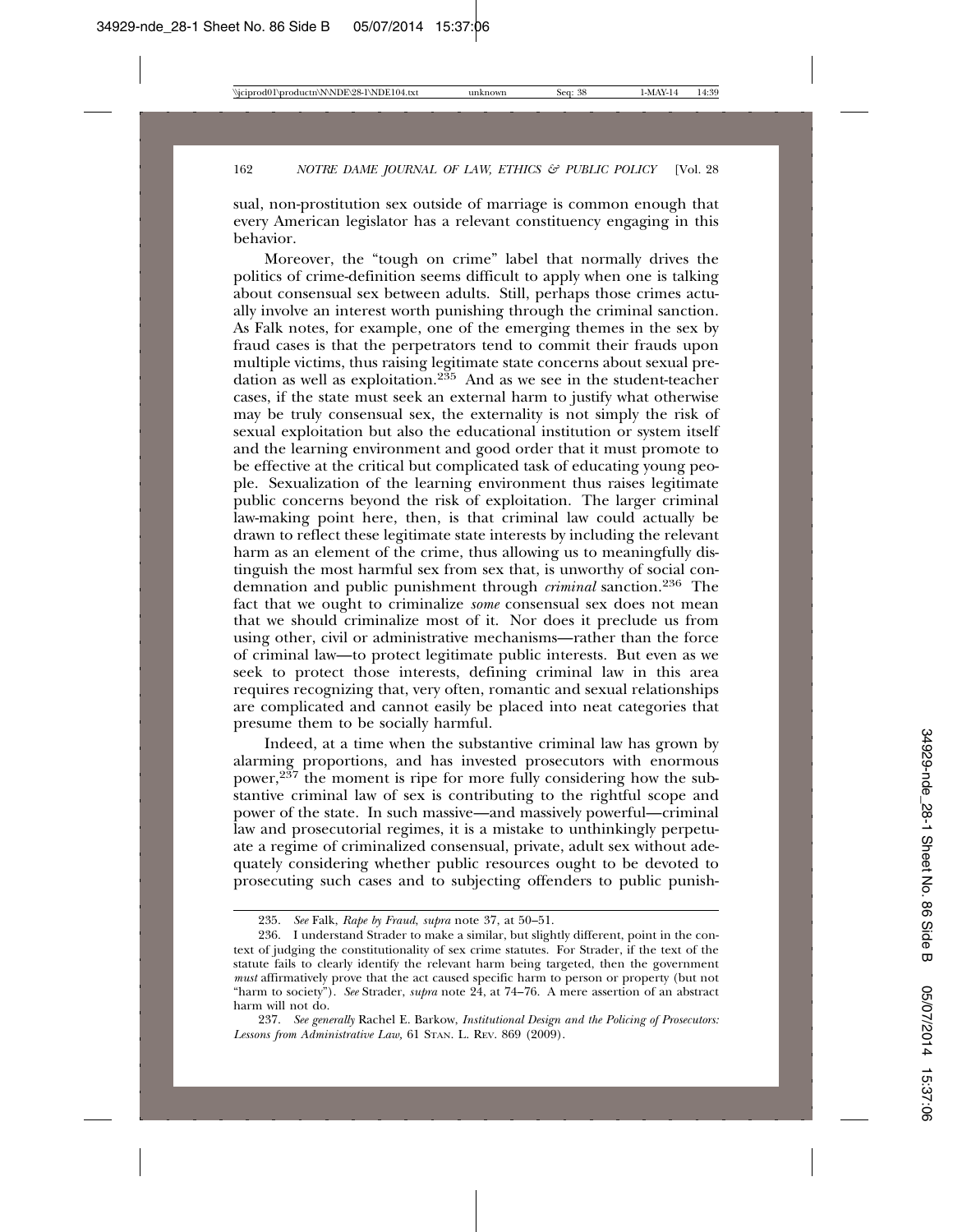sual, non-prostitution sex outside of marriage is common enough that every American legislator has a relevant constituency engaging in this behavior.

Moreover, the "tough on crime" label that normally drives the politics of crime-definition seems difficult to apply when one is talking about consensual sex between adults. Still, perhaps those crimes actually involve an interest worth punishing through the criminal sanction. As Falk notes, for example, one of the emerging themes in the sex by fraud cases is that the perpetrators tend to commit their frauds upon multiple victims, thus raising legitimate state concerns about sexual predation as well as exploitation.<sup>235</sup> And as we see in the student-teacher cases, if the state must seek an external harm to justify what otherwise may be truly consensual sex, the externality is not simply the risk of sexual exploitation but also the educational institution or system itself and the learning environment and good order that it must promote to be effective at the critical but complicated task of educating young people. Sexualization of the learning environment thus raises legitimate public concerns beyond the risk of exploitation. The larger criminal law-making point here, then, is that criminal law could actually be drawn to reflect these legitimate state interests by including the relevant harm as an element of the crime, thus allowing us to meaningfully distinguish the most harmful sex from sex that, is unworthy of social condemnation and public punishment through *criminal* sanction.236 The fact that we ought to criminalize *some* consensual sex does not mean that we should criminalize most of it. Nor does it preclude us from using other, civil or administrative mechanisms—rather than the force of criminal law—to protect legitimate public interests. But even as we seek to protect those interests, defining criminal law in this area requires recognizing that, very often, romantic and sexual relationships are complicated and cannot easily be placed into neat categories that presume them to be socially harmful.

Indeed, at a time when the substantive criminal law has grown by alarming proportions, and has invested prosecutors with enormous power, $2^{37}$  the moment is ripe for more fully considering how the substantive criminal law of sex is contributing to the rightful scope and power of the state. In such massive—and massively powerful—criminal law and prosecutorial regimes, it is a mistake to unthinkingly perpetuate a regime of criminalized consensual, private, adult sex without adequately considering whether public resources ought to be devoted to prosecuting such cases and to subjecting offenders to public punish-

<sup>235.</sup> *See* Falk, *Rape by Fraud*, *supra* note 37, at 50–51.

<sup>236.</sup> I understand Strader to make a similar, but slightly different, point in the context of judging the constitutionality of sex crime statutes. For Strader, if the text of the statute fails to clearly identify the relevant harm being targeted, then the government *must* affirmatively prove that the act caused specific harm to person or property (but not "harm to society"). *See* Strader, *supra* note 24, at 74–76. A mere assertion of an abstract harm will not do.

<sup>237.</sup> *See generally* Rachel E. Barkow, *Institutional Design and the Policing of Prosecutors: Lessons from Administrative Law,* 61 STAN. L. REV. 869 (2009).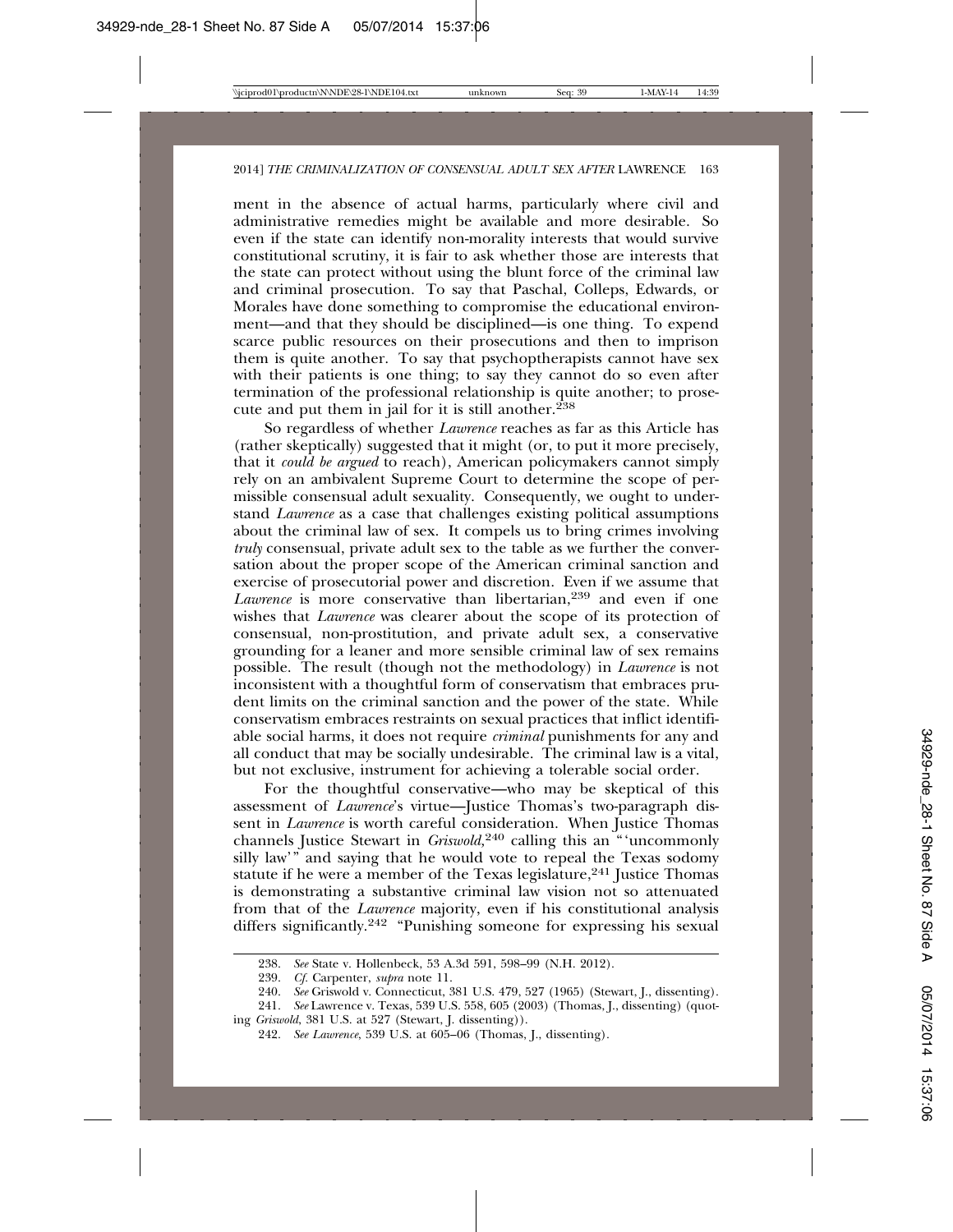ment in the absence of actual harms, particularly where civil and administrative remedies might be available and more desirable. So even if the state can identify non-morality interests that would survive constitutional scrutiny, it is fair to ask whether those are interests that the state can protect without using the blunt force of the criminal law and criminal prosecution. To say that Paschal, Colleps, Edwards, or Morales have done something to compromise the educational environment—and that they should be disciplined—is one thing. To expend scarce public resources on their prosecutions and then to imprison them is quite another. To say that psychoptherapists cannot have sex with their patients is one thing; to say they cannot do so even after termination of the professional relationship is quite another; to prosecute and put them in jail for it is still another.<sup>238</sup>

So regardless of whether *Lawrence* reaches as far as this Article has (rather skeptically) suggested that it might (or, to put it more precisely, that it *could be argued* to reach), American policymakers cannot simply rely on an ambivalent Supreme Court to determine the scope of permissible consensual adult sexuality. Consequently, we ought to understand *Lawrence* as a case that challenges existing political assumptions about the criminal law of sex. It compels us to bring crimes involving *truly* consensual, private adult sex to the table as we further the conversation about the proper scope of the American criminal sanction and exercise of prosecutorial power and discretion. Even if we assume that *Lawrence* is more conservative than libertarian,<sup>239</sup> and even if one wishes that *Lawrence* was clearer about the scope of its protection of consensual, non-prostitution, and private adult sex, a conservative grounding for a leaner and more sensible criminal law of sex remains possible. The result (though not the methodology) in *Lawrence* is not inconsistent with a thoughtful form of conservatism that embraces prudent limits on the criminal sanction and the power of the state. While conservatism embraces restraints on sexual practices that inflict identifiable social harms, it does not require *criminal* punishments for any and all conduct that may be socially undesirable. The criminal law is a vital, but not exclusive, instrument for achieving a tolerable social order.

For the thoughtful conservative—who may be skeptical of this assessment of *Lawrence*'s virtue—Justice Thomas's two-paragraph dissent in *Lawrence* is worth careful consideration. When Justice Thomas channels Justice Stewart in *Griswold,*240 calling this an "'uncommonly silly law'" and saying that he would vote to repeal the Texas sodomy statute if he were a member of the Texas legislature,<sup>241</sup> Justice Thomas is demonstrating a substantive criminal law vision not so attenuated from that of the *Lawrence* majority, even if his constitutional analysis differs significantly.242 "Punishing someone for expressing his sexual

<sup>238.</sup> *See* State v. Hollenbeck, 53 A.3d 591, 598–99 (N.H. 2012).

<sup>239.</sup> *Cf.* Carpenter, *supra* note 11.

<sup>240.</sup> *See* Griswold v. Connecticut, 381 U.S. 479, 527 (1965) (Stewart, J., dissenting).

<sup>241.</sup> *See* Lawrence v. Texas, 539 U.S. 558, 605 (2003) (Thomas, J., dissenting) (quoting *Griswold*, 381 U.S. at 527 (Stewart, J. dissenting)).

<sup>242.</sup> *See Lawrence*, 539 U.S. at 605–06 (Thomas, J., dissenting).